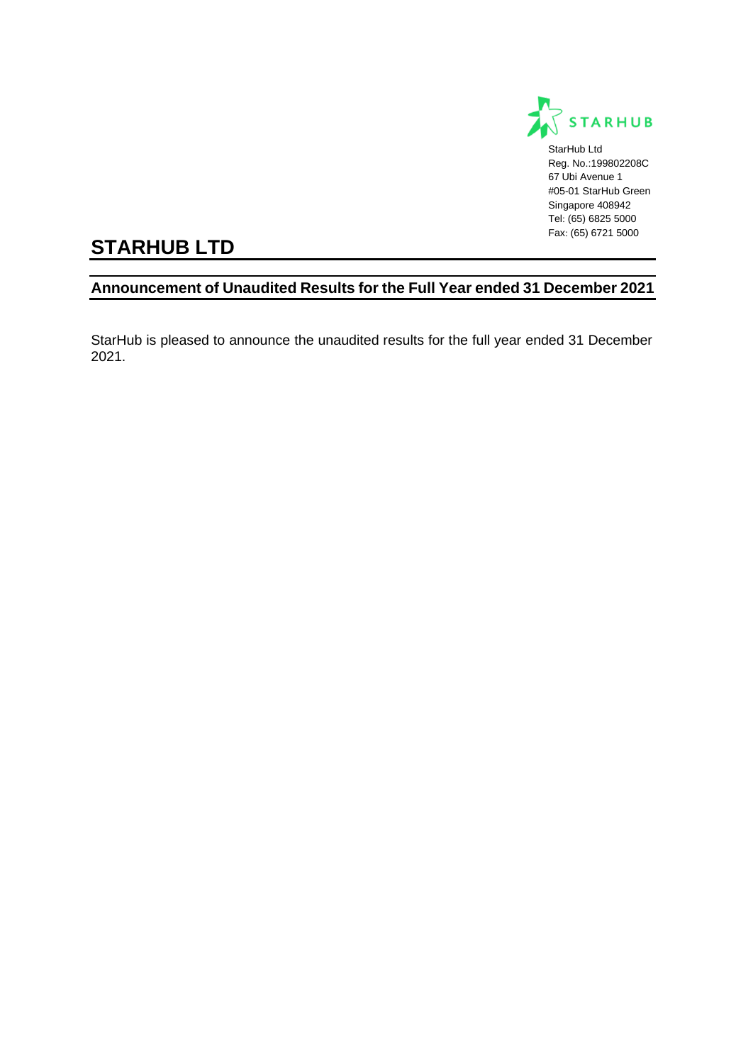

StarHub Ltd Reg. No.:199802208C 67 Ubi Avenue 1 #05-01 StarHub Green Singapore 408942 Tel: (65) 6825 5000 Fax: (65) 6721 5000

# **STARHUB LTD**

# **Announcement of Unaudited Results for the Full Year ended 31 December 2021**

StarHub is pleased to announce the unaudited results for the full year ended 31 December 2021.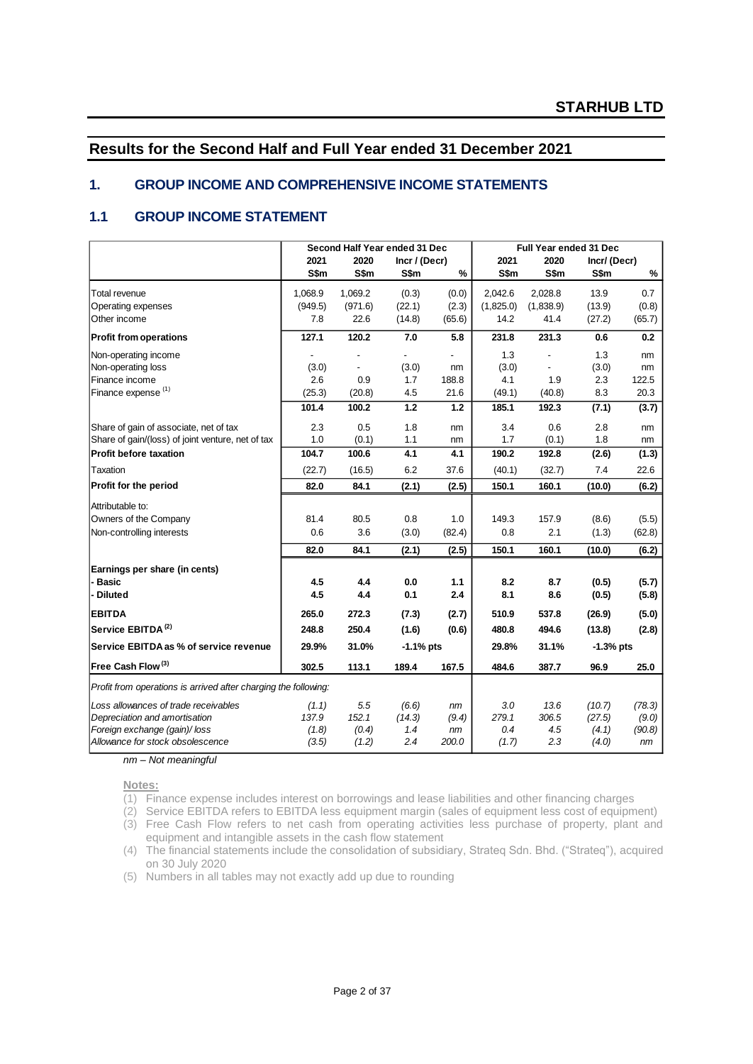# **Results for the Second Half and Full Year ended 31 December 2021**

### **1. GROUP INCOME AND COMPREHENSIVE INCOME STATEMENTS**

### **1.1 GROUP INCOME STATEMENT**

|                                                                 |         | Second Half Year ended 31 Dec |                          |        |           | Full Year ended 31 Dec |             |        |
|-----------------------------------------------------------------|---------|-------------------------------|--------------------------|--------|-----------|------------------------|-------------|--------|
|                                                                 | 2021    | 2020                          | Incr / (Decr)            |        | 2021      | 2020                   | Incr/(Decr) |        |
|                                                                 | S\$m    | S\$m                          | S\$m                     | %      | S\$m      | S\$m                   | S\$m        | %      |
| <b>Total revenue</b>                                            | 1,068.9 | 1,069.2                       | (0.3)                    | (0.0)  | 2,042.6   | 2,028.8                | 13.9        | 0.7    |
| Operating expenses                                              | (949.5) | (971.6)                       | (22.1)                   | (2.3)  | (1,825.0) | (1,838.9)              | (13.9)      | (0.8)  |
| Other income                                                    | 7.8     | 22.6                          | (14.8)                   | (65.6) | 14.2      | 41.4                   | (27.2)      | (65.7) |
| <b>Profit from operations</b>                                   | 127.1   | 120.2                         | 7.0                      | 5.8    | 231.8     | 231.3                  | 0.6         | 0.2    |
| Non-operating income                                            |         |                               | $\overline{\phantom{0}}$ |        | 1.3       |                        | 1.3         | nm     |
| Non-operating loss                                              | (3.0)   | $\overline{a}$                | (3.0)                    | nm     | (3.0)     |                        | (3.0)       | nm     |
| Finance income                                                  | 2.6     | 0.9                           | 1.7                      | 188.8  | 4.1       | 1.9                    | 2.3         | 122.5  |
| Finance expense (1)                                             | (25.3)  | (20.8)                        | 4.5                      | 21.6   | (49.1)    | (40.8)                 | 8.3         | 20.3   |
|                                                                 | 101.4   | 100.2                         | 1.2                      | 1.2    | 185.1     | 192.3                  | (7.1)       | (3.7)  |
| Share of gain of associate, net of tax                          | 2.3     | 0.5                           | 1.8                      | nm     | 3.4       | 0.6                    | 2.8         | nm     |
| Share of gain/(loss) of joint venture, net of tax               | 1.0     | (0.1)                         | 1.1                      | nm     | 1.7       | (0.1)                  | 1.8         | nm     |
| <b>Profit before taxation</b>                                   | 104.7   | 100.6                         | 4.1                      | 4.1    | 190.2     | 192.8                  | (2.6)       | (1.3)  |
| Taxation                                                        | (22.7)  | (16.5)                        | 6.2                      | 37.6   | (40.1)    | (32.7)                 | 7.4         | 22.6   |
| Profit for the period                                           | 82.0    | 84.1                          | (2.1)                    | (2.5)  | 150.1     | 160.1                  | (10.0)      | (6.2)  |
| Attributable to:                                                |         |                               |                          |        |           |                        |             |        |
| Owners of the Company                                           | 81.4    | 80.5                          | 0.8                      | 1.0    | 149.3     | 157.9                  | (8.6)       | (5.5)  |
| Non-controlling interests                                       | 0.6     | 3.6                           | (3.0)                    | (82.4) | 0.8       | 2.1                    | (1.3)       | (62.8) |
|                                                                 | 82.0    | 84.1                          | (2.1)                    | (2.5)  | 150.1     | 160.1                  | (10.0)      | (6.2)  |
| Earnings per share (in cents)                                   |         |                               |                          |        |           |                        |             |        |
| - Basic                                                         | 4.5     | 4.4                           | 0.0                      | 1.1    | 8.2       | 8.7                    | (0.5)       | (5.7)  |
| - Diluted                                                       | 4.5     | 4.4                           | 0.1                      | 2.4    | 8.1       | 8.6                    | (0.5)       | (5.8)  |
| <b>EBITDA</b>                                                   | 265.0   | 272.3                         | (7.3)                    | (2.7)  | 510.9     | 537.8                  | (26.9)      | (5.0)  |
| Service EBITDA <sup>(2)</sup>                                   | 248.8   | 250.4                         | (1.6)                    | (0.6)  | 480.8     | 494.6                  | (13.8)      | (2.8)  |
| Service EBITDA as % of service revenue                          | 29.9%   | 31.0%                         | $-1.1%$ pts              |        | 29.8%     | 31.1%                  | $-1.3%$ pts |        |
| Free Cash Flow <sup>(3)</sup>                                   | 302.5   | 113.1                         | 189.4                    | 167.5  | 484.6     | 387.7                  | 96.9        | 25.0   |
| Profit from operations is arrived after charging the following: |         |                               |                          |        |           |                        |             |        |
| Loss allowances of trade receivables                            | (1.1)   | 5.5                           | (6.6)                    | nm     | 3.0       | 13.6                   | (10.7)      | (78.3) |
| Depreciation and amortisation                                   | 137.9   | 152.1                         | (14.3)                   | (9.4)  | 279.1     | 306.5                  | (27.5)      | (9.0)  |
| Foreign exchange (gain)/loss                                    | (1.8)   | (0.4)                         | 1.4                      | nm     | 0.4       | 4.5                    | (4.1)       | (90.8) |
| Allowance for stock obsolescence                                | (3.5)   | (1.2)                         | 2.4                      | 200.0  | (1.7)     | 2.3                    | (4.0)       | nm     |

*nm – Not meaningful*

**Notes:**

(1) Finance expense includes interest on borrowings and lease liabilities and other financing charges

(2) Service EBITDA refers to EBITDA less equipment margin (sales of equipment less cost of equipment) (3) Free Cash Flow refers to net cash from operating activities less purchase of property, plant and equipment and intangible assets in the cash flow statement

(4) The financial statements include the consolidation of subsidiary, Strateq Sdn. Bhd. ("Strateq"), acquired on 30 July 2020

(5) Numbers in all tables may not exactly add up due to rounding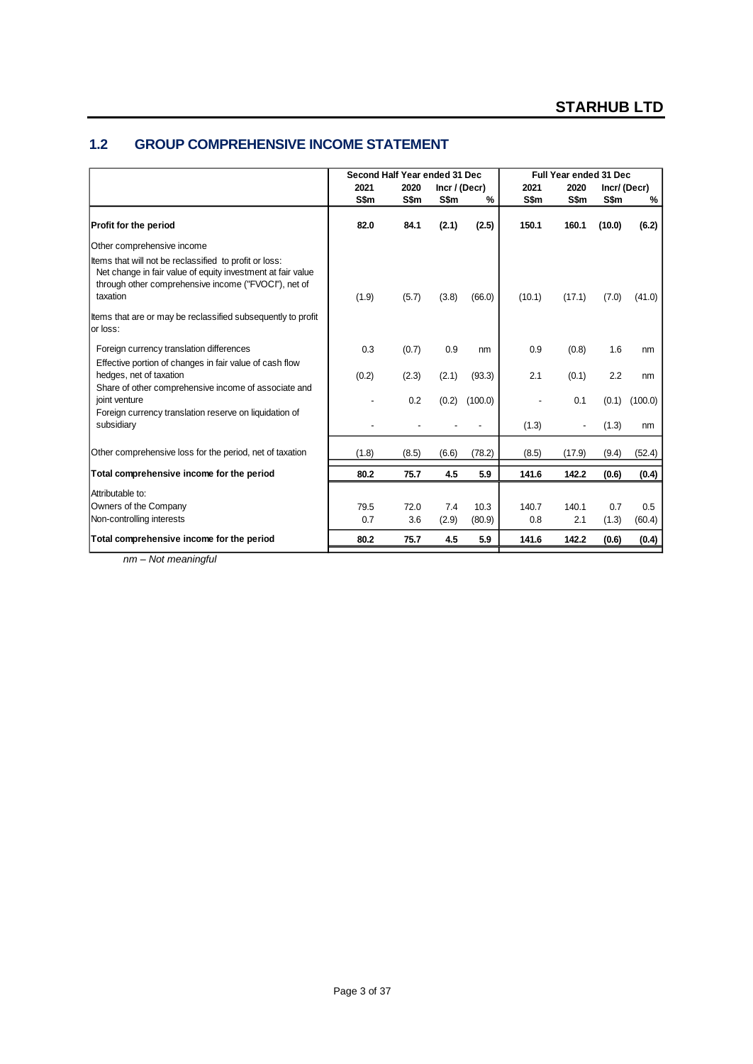### **1.2 GROUP COMPREHENSIVE INCOME STATEMENT**

|                                                                                                                                                                                           |       | Second Half Year ended 31 Dec |                 |         |        | Full Year ended 31 Dec |        |             |
|-------------------------------------------------------------------------------------------------------------------------------------------------------------------------------------------|-------|-------------------------------|-----------------|---------|--------|------------------------|--------|-------------|
|                                                                                                                                                                                           | 2021  | 2020                          | $Incr$ / (Decr) |         | 2021   | 2020                   |        | Incr/(Decr) |
|                                                                                                                                                                                           | S\$m  | S\$m                          | S\$m            | %       | S\$m   | S\$m                   | S\$m   | %           |
| Profit for the period                                                                                                                                                                     | 82.0  | 84.1                          | (2.1)           | (2.5)   | 150.1  | 160.1                  | (10.0) | (6.2)       |
| Other comprehensive income                                                                                                                                                                |       |                               |                 |         |        |                        |        |             |
| Items that will not be reclassified to profit or loss:<br>Net change in fair value of equity investment at fair value<br>through other comprehensive income ("FVOCI"), net of<br>taxation | (1.9) | (5.7)                         | (3.8)           | (66.0)  | (10.1) | (17.1)                 | (7.0)  | (41.0)      |
| Items that are or may be reclassified subsequently to profit<br>lor loss:                                                                                                                 |       |                               |                 |         |        |                        |        |             |
| Foreign currency translation differences                                                                                                                                                  | 0.3   | (0.7)                         | 0.9             | nm      | 0.9    | (0.8)                  | 1.6    | nm          |
| Effective portion of changes in fair value of cash flow                                                                                                                                   |       |                               |                 |         |        |                        |        |             |
| hedges, net of taxation                                                                                                                                                                   | (0.2) | (2.3)                         | (2.1)           | (93.3)  | 2.1    | (0.1)                  | 2.2    | nm          |
| Share of other comprehensive income of associate and<br>joint venture                                                                                                                     |       | 0.2                           | (0.2)           | (100.0) |        | 0.1                    | (0.1)  | (100.0)     |
| Foreign currency translation reserve on liquidation of<br>subsidiary                                                                                                                      |       |                               |                 |         | (1.3)  |                        | (1.3)  | nm          |
| Other comprehensive loss for the period, net of taxation                                                                                                                                  | (1.8) | (8.5)                         | (6.6)           | (78.2)  | (8.5)  | (17.9)                 | (9.4)  | (52.4)      |
| Total comprehensive income for the period                                                                                                                                                 | 80.2  | 75.7                          | 4.5             | 5.9     | 141.6  | 142.2                  | (0.6)  | (0.4)       |
| Attributable to:                                                                                                                                                                          |       |                               |                 |         |        |                        |        |             |
| Owners of the Company                                                                                                                                                                     | 79.5  | 72.0                          | 7.4             | 10.3    | 140.7  | 140.1                  | 0.7    | 0.5         |
| Non-controlling interests                                                                                                                                                                 | 0.7   | 3.6                           | (2.9)           | (80.9)  | 0.8    | 2.1                    | (1.3)  | (60.4)      |
| Total comprehensive income for the period                                                                                                                                                 | 80.2  | 75.7                          | 4.5             | 5.9     | 141.6  | 142.2                  | (0.6)  | (0.4)       |

*nm – Not meaningful*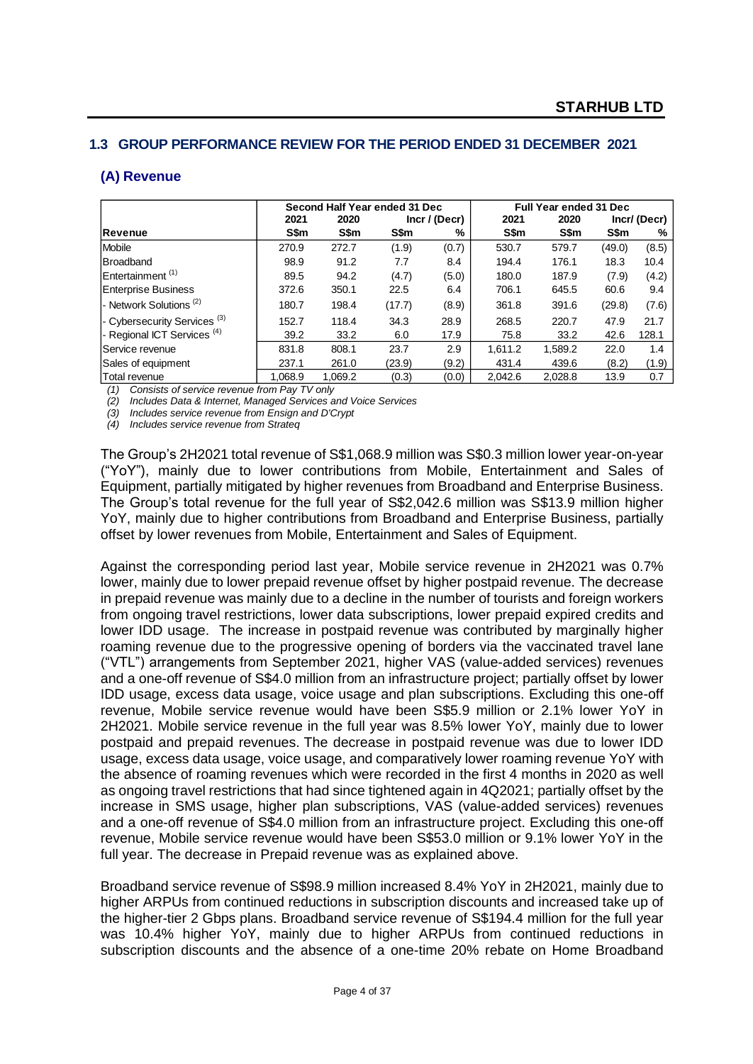### **1.3 GROUP PERFORMANCE REVIEW FOR THE PERIOD ENDED 31 DECEMBER 2021**

### **(A) Revenue**

|                                         |         | Second Half Year ended 31 Dec |        |               |         | <b>Full Year ended 31 Dec</b> |        |             |
|-----------------------------------------|---------|-------------------------------|--------|---------------|---------|-------------------------------|--------|-------------|
|                                         | 2021    | 2020                          |        | Incr / (Decr) | 2021    | 2020                          |        | Incr/(Decr) |
| Revenue                                 | S\$m    | S\$m                          | S\$m   | ℅             | S\$m    | S\$m                          | S\$m   | %           |
| <b>Mobile</b>                           | 270.9   | 272.7                         | (1.9)  | (0.7)         | 530.7   | 579.7                         | (49.0) | (8.5)       |
| <b>Broadband</b>                        | 98.9    | 91.2                          | 7.7    | 8.4           | 194.4   | 176.1                         | 18.3   | 10.4        |
| Entertainment <sup>(1)</sup>            | 89.5    | 94.2                          | (4.7)  | (5.0)         | 180.0   | 187.9                         | (7.9)  | (4.2)       |
| <b>Enterprise Business</b>              | 372.6   | 350.1                         | 22.5   | 6.4           | 706.1   | 645.5                         | 60.6   | 9.4         |
| - Network Solutions <sup>(2)</sup>      | 180.7   | 198.4                         | (17.7) | (8.9)         | 361.8   | 391.6                         | (29.8) | (7.6)       |
| - Cybersecurity Services <sup>(3)</sup> | 152.7   | 118.4                         | 34.3   | 28.9          | 268.5   | 220.7                         | 47.9   | 21.7        |
| - Regional ICT Services <sup>(4)</sup>  | 39.2    | 33.2                          | 6.0    | 17.9          | 75.8    | 33.2                          | 42.6   | 128.1       |
| Service revenue                         | 831.8   | 808.1                         | 23.7   | 2.9           | 1,611.2 | 1,589.2                       | 22.0   | 1.4         |
| Sales of equipment                      | 237.1   | 261.0                         | (23.9) | (9.2)         | 431.4   | 439.6                         | (8.2)  | (1.9)       |
| Total revenue                           | 1.068.9 | 1.069.2                       | (0.3)  | (0.0)         | 2.042.6 | 2.028.8                       | 13.9   | 0.7         |

*(1) Consists of service revenue from Pay TV only*

*(2) Includes Data & Internet, Managed Services and Voice Services*

*(3) Includes service revenue from Ensign and D'Crypt*

*(4) Includes service revenue from Strateq*

The Group's 2H2021 total revenue of S\$1,068.9 million was S\$0.3 million lower year-on-year ("YoY"), mainly due to lower contributions from Mobile, Entertainment and Sales of Equipment, partially mitigated by higher revenues from Broadband and Enterprise Business. The Group's total revenue for the full year of S\$2,042.6 million was S\$13.9 million higher YoY, mainly due to higher contributions from Broadband and Enterprise Business, partially offset by lower revenues from Mobile, Entertainment and Sales of Equipment.

Against the corresponding period last year, Mobile service revenue in 2H2021 was 0.7% lower, mainly due to lower prepaid revenue offset by higher postpaid revenue. The decrease in prepaid revenue was mainly due to a decline in the number of tourists and foreign workers from ongoing travel restrictions, lower data subscriptions, lower prepaid expired credits and lower IDD usage. The increase in postpaid revenue was contributed by marginally higher roaming revenue due to the progressive opening of borders via the vaccinated travel lane ("VTL") arrangements from September 2021, higher VAS (value-added services) revenues and a one-off revenue of S\$4.0 million from an infrastructure project; partially offset by lower IDD usage, excess data usage, voice usage and plan subscriptions. Excluding this one-off revenue, Mobile service revenue would have been S\$5.9 million or 2.1% lower YoY in 2H2021. Mobile service revenue in the full year was 8.5% lower YoY, mainly due to lower postpaid and prepaid revenues. The decrease in postpaid revenue was due to lower IDD usage, excess data usage, voice usage, and comparatively lower roaming revenue YoY with the absence of roaming revenues which were recorded in the first 4 months in 2020 as well as ongoing travel restrictions that had since tightened again in 4Q2021; partially offset by the increase in SMS usage, higher plan subscriptions, VAS (value-added services) revenues and a one-off revenue of S\$4.0 million from an infrastructure project. Excluding this one-off revenue, Mobile service revenue would have been S\$53.0 million or 9.1% lower YoY in the full year. The decrease in Prepaid revenue was as explained above.

Broadband service revenue of S\$98.9 million increased 8.4% YoY in 2H2021, mainly due to higher ARPUs from continued reductions in subscription discounts and increased take up of the higher-tier 2 Gbps plans. Broadband service revenue of S\$194.4 million for the full year was 10.4% higher YoY, mainly due to higher ARPUs from continued reductions in subscription discounts and the absence of a one-time 20% rebate on Home Broadband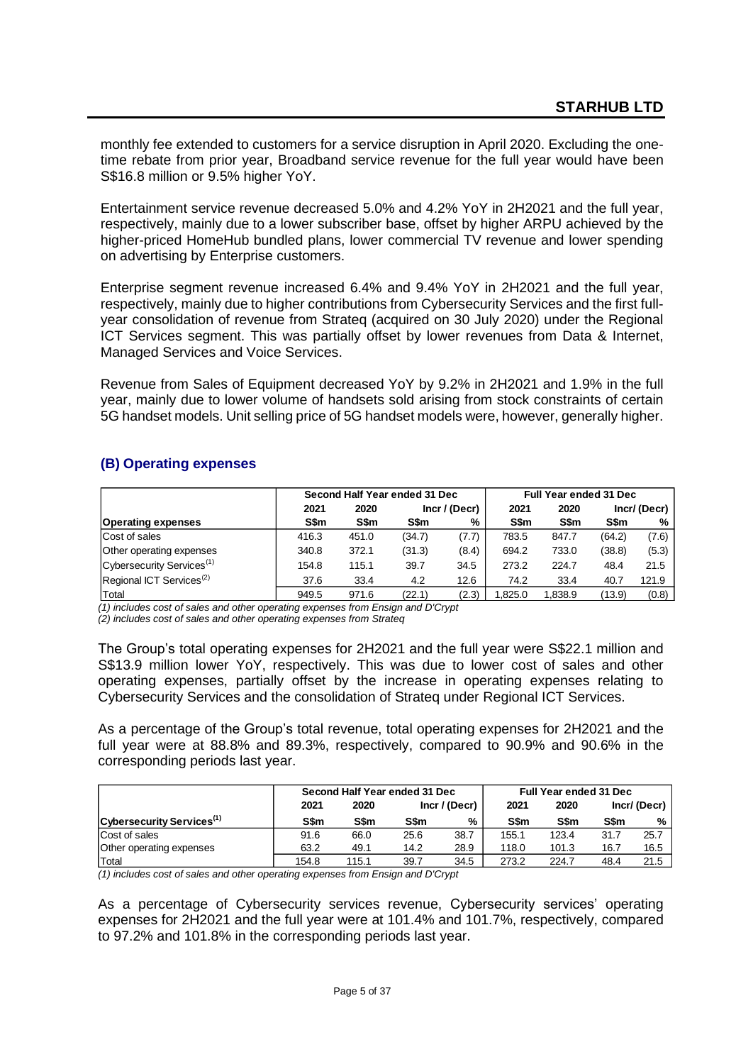monthly fee extended to customers for a service disruption in April 2020. Excluding the onetime rebate from prior year, Broadband service revenue for the full year would have been S\$16.8 million or 9.5% higher YoY.

Entertainment service revenue decreased 5.0% and 4.2% YoY in 2H2021 and the full year, respectively, mainly due to a lower subscriber base, offset by higher ARPU achieved by the higher-priced HomeHub bundled plans, lower commercial TV revenue and lower spending on advertising by Enterprise customers.

Enterprise segment revenue increased 6.4% and 9.4% YoY in 2H2021 and the full year, respectively, mainly due to higher contributions from Cybersecurity Services and the first fullyear consolidation of revenue from Strateq (acquired on 30 July 2020) under the Regional ICT Services segment. This was partially offset by lower revenues from Data & Internet, Managed Services and Voice Services.

Revenue from Sales of Equipment decreased YoY by 9.2% in 2H2021 and 1.9% in the full year, mainly due to lower volume of handsets sold arising from stock constraints of certain 5G handset models. Unit selling price of 5G handset models were, however, generally higher.

### **(B) Operating expenses**

|                                       |       |       | Second Half Year ended 31 Dec | Full Year ended 31 Dec |         |         |        |                |
|---------------------------------------|-------|-------|-------------------------------|------------------------|---------|---------|--------|----------------|
|                                       | 2021  | 2020  | Incr / (Decr)                 |                        | 2021    |         |        | $Incr/$ (Decr) |
| <b>Operating expenses</b>             | S\$m  | S\$m  | S\$m                          | %                      | S\$m    | S\$m    | S\$m   | %              |
| Cost of sales                         | 416.3 | 451.0 | (34.7)                        | (7.7)                  | 783.5   | 847.7   | (64.2) | (7.6)          |
| Other operating expenses              | 340.8 | 372.1 | (31.3)                        | (8.4)                  | 694.2   | 733.0   | (38.8) | (5.3)          |
| Cybersecurity Services <sup>(1)</sup> | 154.8 | 115.1 | 39.7                          | 34.5                   | 273.2   | 224.7   | 48.4   | 21.5           |
| Regional ICT Services <sup>(2)</sup>  | 37.6  | 33.4  | 4.2                           | 12.6                   | 74.2    | 33.4    | 40.7   | 121.9          |
| Total                                 | 949.5 | 971.6 | (22.1)                        | (2.3)                  | 1.825.0 | 1.838.9 | (13.9) | (0.8)          |

*(1) includes cost of sales and other operating expenses from Ensign and D'Crypt*

*(2) includes cost of sales and other operating expenses from Strateq*

The Group's total operating expenses for 2H2021 and the full year were S\$22.1 million and S\$13.9 million lower YoY, respectively. This was due to lower cost of sales and other operating expenses, partially offset by the increase in operating expenses relating to Cybersecurity Services and the consolidation of Strateq under Regional ICT Services.

As a percentage of the Group's total revenue, total operating expenses for 2H2021 and the full year were at 88.8% and 89.3%, respectively, compared to 90.9% and 90.6% in the corresponding periods last year.

|                                       |       | Second Half Year ended 31 Dec |      |               |             | Full Year ended 31 Dec |             |             |
|---------------------------------------|-------|-------------------------------|------|---------------|-------------|------------------------|-------------|-------------|
|                                       | 2021  | 2020                          |      | Incr / (Decr) | 2021        | 2020                   |             | Incr/(Decr) |
| Cybersecurity Services <sup>(1)</sup> | S\$m  | S\$m                          | S\$m | ℅             | <b>S\$m</b> | <b>S\$m</b>            | <b>S\$m</b> | %           |
| Cost of sales                         | 91.6  | 66.0                          | 25.6 | 38.7          | 155.1       | 123.4                  | 31.7        | 25.7        |
| Other operating expenses              | 63.2  | 49.1                          | 14.2 | 28.9          | 118.0       | 101.3                  | 16.7        | 16.5        |
| Total                                 | 154.8 | 115.1                         | 39.7 | 34.5          | 273.2       | 224.7                  | 48.4        | 21.5        |

*(1) includes cost of sales and other operating expenses from Ensign and D'Crypt*

As a percentage of Cybersecurity services revenue, Cybersecurity services' operating expenses for 2H2021 and the full year were at 101.4% and 101.7%, respectively, compared to 97.2% and 101.8% in the corresponding periods last year.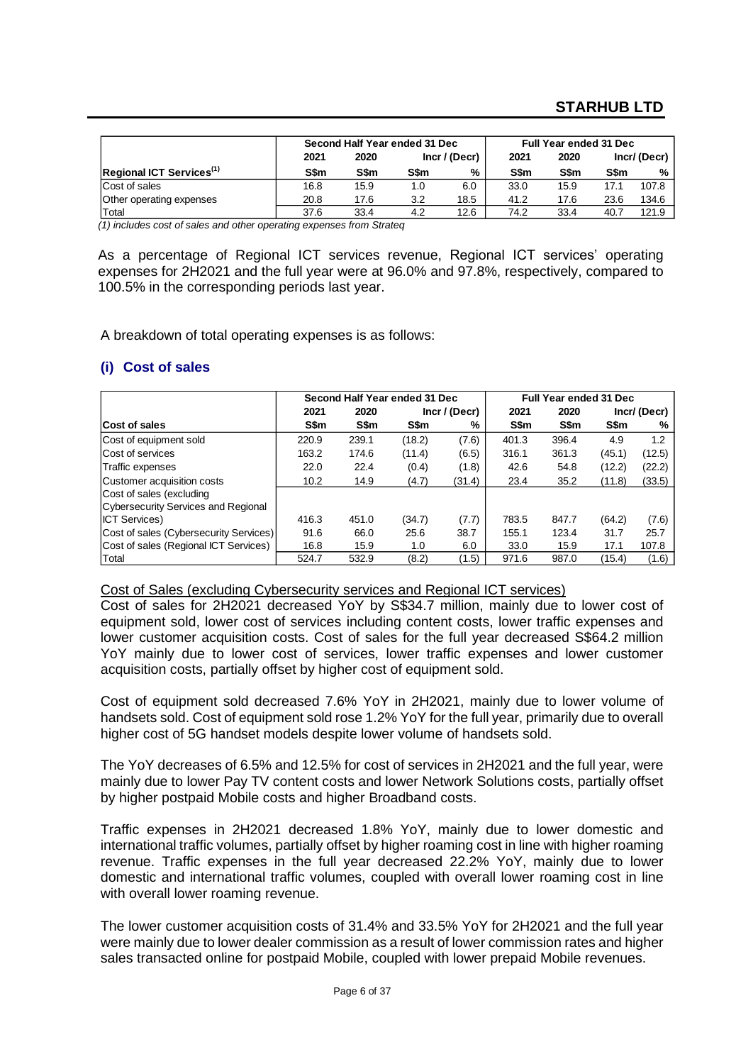# **STARHUB LTD**

|                                      |      | Second Half Year ended 31 Dec |      |                 | <b>Full Year ended 31 Dec</b> |      |      |             |
|--------------------------------------|------|-------------------------------|------|-----------------|-------------------------------|------|------|-------------|
|                                      | 2021 | 2020                          |      | $Incr$ / (Decr) | 2021                          | 2020 |      | Incr/(Decr) |
| Regional ICT Services <sup>(1)</sup> | S\$m | S\$m                          | S\$m | %               | S\$m                          | S\$m | S\$m | %           |
| Cost of sales                        | 16.8 | 15.9                          | 1.0  | 6.0             | 33.0                          | 15.9 | 17.1 | 107.8       |
| Other operating expenses             | 20.8 | 17.6                          | 3.2  | 18.5            | 41.2                          | 17.6 | 23.6 | 134.6       |
| Total                                | 37.6 | 33.4                          | 4.2  | 12.6            | 74.2                          | 33.4 | 40.7 | 121.9       |

*(1) includes cost of sales and other operating expenses from Strateq*

As a percentage of Regional ICT services revenue, Regional ICT services' operating expenses for 2H2021 and the full year were at 96.0% and 97.8%, respectively, compared to 100.5% in the corresponding periods last year.

A breakdown of total operating expenses is as follows:

### **(i) Cost of sales**

|                                        |       |       | Second Half Year ended 31 Dec |               |       | Full Year ended 31 Dec |        |             |
|----------------------------------------|-------|-------|-------------------------------|---------------|-------|------------------------|--------|-------------|
|                                        | 2021  | 2020  |                               | Incr / (Decr) |       | 2020                   |        | Incr/(Decr) |
| Cost of sales                          | S\$m  | S\$m  | S\$m                          | %             | S\$m  | S\$m                   | S\$m   | %           |
| Cost of equipment sold                 | 220.9 | 239.1 | (18.2)                        | (7.6)         | 401.3 | 396.4                  | 4.9    | 1.2         |
| Cost of services                       | 163.2 | 174.6 | (11.4)                        | (6.5)         | 316.1 | 361.3                  | (45.1) | (12.5)      |
| Traffic expenses                       | 22.0  | 22.4  | (0.4)                         | (1.8)         | 42.6  | 54.8                   | (12.2) | (22.2)      |
| Customer acquisition costs             | 10.2  | 14.9  | (4.7)                         | (31.4)        | 23.4  | 35.2                   | (11.8) | (33.5)      |
| Cost of sales (excluding               |       |       |                               |               |       |                        |        |             |
| Cybersecurity Services and Regional    |       |       |                               |               |       |                        |        |             |
| <b>ICT Services)</b>                   | 416.3 | 451.0 | (34.7)                        | (7.7)         | 783.5 | 847.7                  | (64.2) | (7.6)       |
| Cost of sales (Cybersecurity Services) | 91.6  | 66.0  | 25.6                          | 38.7          | 155.1 | 123.4                  | 31.7   | 25.7        |
| Cost of sales (Regional ICT Services)  | 16.8  | 15.9  | 1.0                           | 6.0           | 33.0  | 15.9                   | 17.1   | 107.8       |
| Total                                  | 524.7 | 532.9 | (8.2)                         | (1.5)         | 971.6 | 987.0                  | (15.4) | (1.6)       |

#### Cost of Sales (excluding Cybersecurity services and Regional ICT services)

Cost of sales for 2H2021 decreased YoY by S\$34.7 million, mainly due to lower cost of equipment sold, lower cost of services including content costs, lower traffic expenses and lower customer acquisition costs. Cost of sales for the full year decreased S\$64.2 million YoY mainly due to lower cost of services, lower traffic expenses and lower customer acquisition costs, partially offset by higher cost of equipment sold.

Cost of equipment sold decreased 7.6% YoY in 2H2021, mainly due to lower volume of handsets sold. Cost of equipment sold rose 1.2% YoY for the full year, primarily due to overall higher cost of 5G handset models despite lower volume of handsets sold.

The YoY decreases of 6.5% and 12.5% for cost of services in 2H2021 and the full year, were mainly due to lower Pay TV content costs and lower Network Solutions costs, partially offset by higher postpaid Mobile costs and higher Broadband costs.

Traffic expenses in 2H2021 decreased 1.8% YoY, mainly due to lower domestic and international traffic volumes, partially offset by higher roaming cost in line with higher roaming revenue. Traffic expenses in the full year decreased 22.2% YoY, mainly due to lower domestic and international traffic volumes, coupled with overall lower roaming cost in line with overall lower roaming revenue.

The lower customer acquisition costs of 31.4% and 33.5% YoY for 2H2021 and the full year were mainly due to lower dealer commission as a result of lower commission rates and higher sales transacted online for postpaid Mobile, coupled with lower prepaid Mobile revenues.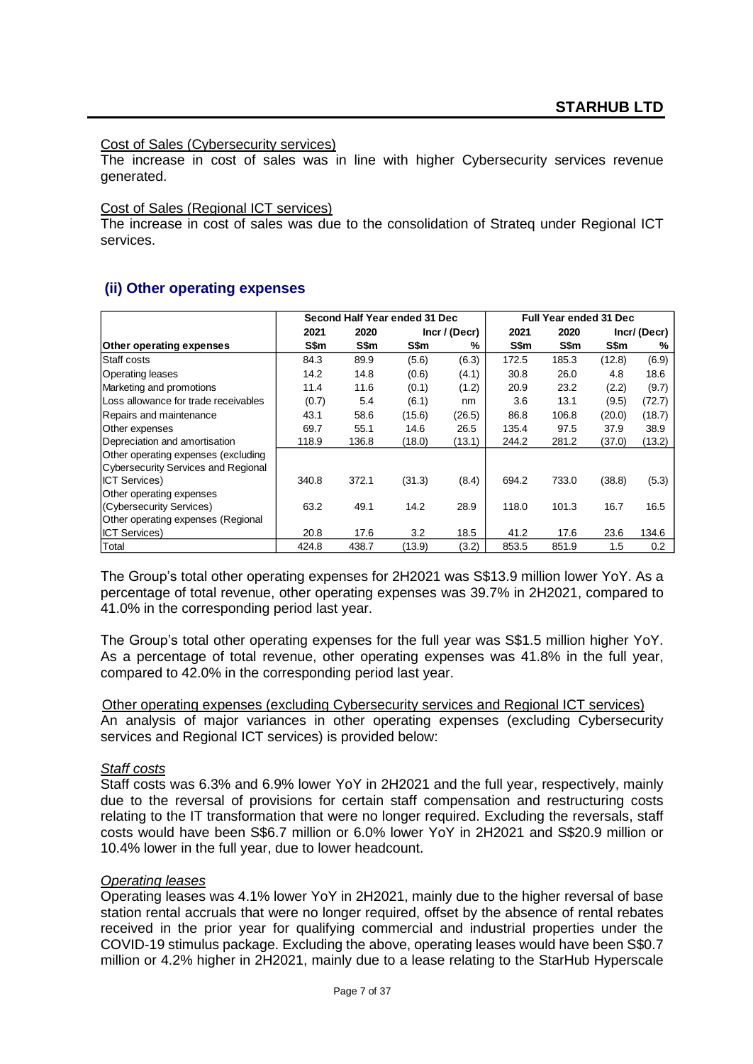#### Cost of Sales (Cybersecurity services)

The increase in cost of sales was in line with higher Cybersecurity services revenue generated.

#### Cost of Sales (Regional ICT services)

The increase in cost of sales was due to the consolidation of Strateq under Regional ICT services.

### **(ii) Other operating expenses**

|                                      |       | Second Half Year ended 31 Dec |        |                 |       | <b>Full Year ended 31 Dec</b> |        |             |
|--------------------------------------|-------|-------------------------------|--------|-----------------|-------|-------------------------------|--------|-------------|
|                                      | 2021  | 2020                          |        | $Incr$ / (Decr) | 2021  | 2020                          |        | Incr/(Decr) |
| <b>Other operating expenses</b>      | S\$m  | S\$m                          | S\$m   | %               | S\$m  | S\$m                          | S\$m   | %           |
| Staff costs                          | 84.3  | 89.9                          | (5.6)  | (6.3)           | 172.5 | 185.3                         | (12.8) | (6.9)       |
| Operating leases                     | 14.2  | 14.8                          | (0.6)  | (4.1)           | 30.8  | 26.0                          | 4.8    | 18.6        |
| Marketing and promotions             | 11.4  | 11.6                          | (0.1)  | (1.2)           | 20.9  | 23.2                          | (2.2)  | (9.7)       |
| Loss allowance for trade receivables | (0.7) | 5.4                           | (6.1)  | nm              | 3.6   | 13.1                          | (9.5)  | (72.7)      |
| Repairs and maintenance              | 43.1  | 58.6                          | (15.6) | (26.5)          | 86.8  | 106.8                         | (20.0) | (18.7)      |
| Other expenses                       | 69.7  | 55.1                          | 14.6   | 26.5            | 135.4 | 97.5                          | 37.9   | 38.9        |
| Depreciation and amortisation        | 118.9 | 136.8                         | (18.0) | (13.1)          | 244.2 | 281.2                         | (37.0) | (13.2)      |
| Other operating expenses (excluding  |       |                               |        |                 |       |                               |        |             |
| Cybersecurity Services and Regional  |       |                               |        |                 |       |                               |        |             |
| <b>ICT Services)</b>                 | 340.8 | 372.1                         | (31.3) | (8.4)           | 694.2 | 733.0                         | (38.8) | (5.3)       |
| Other operating expenses             |       |                               |        |                 |       |                               |        |             |
| (Cybersecurity Services)             | 63.2  | 49.1                          | 14.2   | 28.9            | 118.0 | 101.3                         | 16.7   | 16.5        |
| Other operating expenses (Regional   |       |                               |        |                 |       |                               |        |             |
| <b>ICT Services)</b>                 | 20.8  | 17.6                          | 3.2    | 18.5            | 41.2  | 17.6                          | 23.6   | 134.6       |
| Total                                | 424.8 | 438.7                         | (13.9) | (3.2)           | 853.5 | 851.9                         | 1.5    | 0.2         |

The Group's total other operating expenses for 2H2021 was S\$13.9 million lower YoY. As a percentage of total revenue, other operating expenses was 39.7% in 2H2021, compared to 41.0% in the corresponding period last year.

The Group's total other operating expenses for the full year was S\$1.5 million higher YoY. As a percentage of total revenue, other operating expenses was 41.8% in the full year, compared to 42.0% in the corresponding period last year.

Other operating expenses (excluding Cybersecurity services and Regional ICT services) An analysis of major variances in other operating expenses (excluding Cybersecurity services and Regional ICT services) is provided below:

#### *Staff costs*

Staff costs was 6.3% and 6.9% lower YoY in 2H2021 and the full year, respectively, mainly due to the reversal of provisions for certain staff compensation and restructuring costs relating to the IT transformation that were no longer required. Excluding the reversals, staff costs would have been S\$6.7 million or 6.0% lower YoY in 2H2021 and S\$20.9 million or 10.4% lower in the full year, due to lower headcount.

#### *Operating leases*

Operating leases was 4.1% lower YoY in 2H2021, mainly due to the higher reversal of base station rental accruals that were no longer required, offset by the absence of rental rebates received in the prior year for qualifying commercial and industrial properties under the COVID-19 stimulus package. Excluding the above, operating leases would have been S\$0.7 million or 4.2% higher in 2H2021, mainly due to a lease relating to the StarHub Hyperscale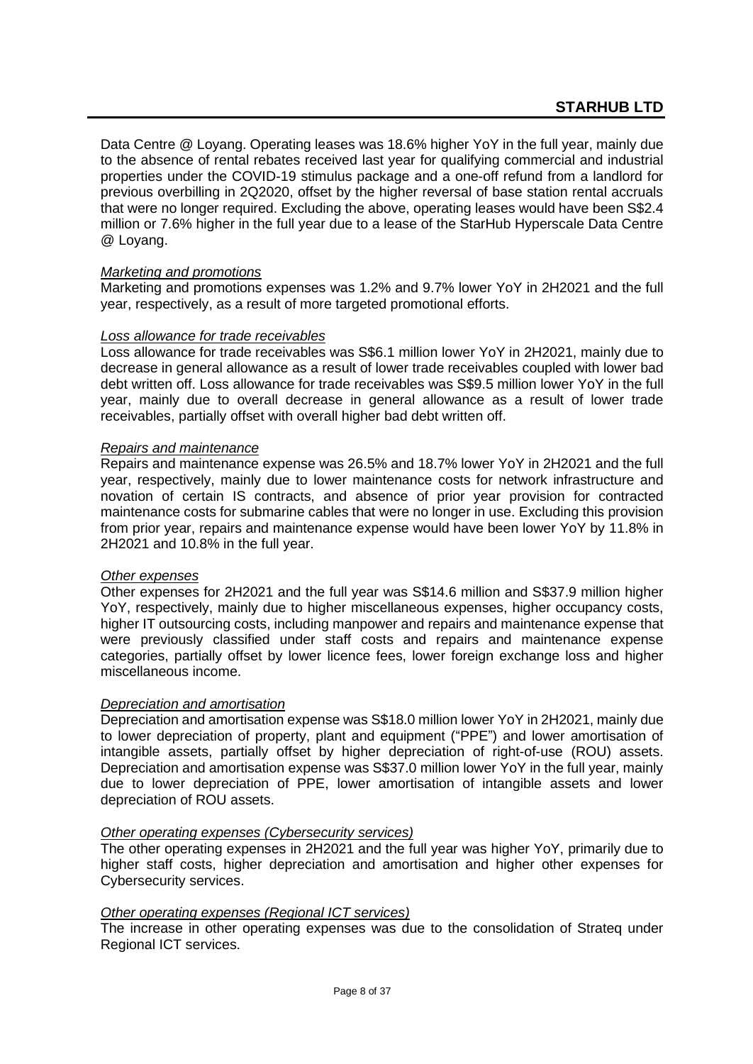Data Centre @ Loyang. Operating leases was 18.6% higher YoY in the full year, mainly due to the absence of rental rebates received last year for qualifying commercial and industrial properties under the COVID-19 stimulus package and a one-off refund from a landlord for previous overbilling in 2Q2020, offset by the higher reversal of base station rental accruals that were no longer required. Excluding the above, operating leases would have been S\$2.4 million or 7.6% higher in the full year due to a lease of the StarHub Hyperscale Data Centre @ Loyang.

### *Marketing and promotions*

Marketing and promotions expenses was 1.2% and 9.7% lower YoY in 2H2021 and the full year, respectively, as a result of more targeted promotional efforts.

### *Loss allowance for trade receivables*

Loss allowance for trade receivables was S\$6.1 million lower YoY in 2H2021, mainly due to decrease in general allowance as a result of lower trade receivables coupled with lower bad debt written off. Loss allowance for trade receivables was S\$9.5 million lower YoY in the full year, mainly due to overall decrease in general allowance as a result of lower trade receivables, partially offset with overall higher bad debt written off.

### *Repairs and maintenance*

Repairs and maintenance expense was 26.5% and 18.7% lower YoY in 2H2021 and the full year, respectively, mainly due to lower maintenance costs for network infrastructure and novation of certain IS contracts, and absence of prior year provision for contracted maintenance costs for submarine cables that were no longer in use. Excluding this provision from prior year, repairs and maintenance expense would have been lower YoY by 11.8% in 2H2021 and 10.8% in the full year.

### *Other expenses*

Other expenses for 2H2021 and the full year was S\$14.6 million and S\$37.9 million higher YoY, respectively, mainly due to higher miscellaneous expenses, higher occupancy costs, higher IT outsourcing costs, including manpower and repairs and maintenance expense that were previously classified under staff costs and repairs and maintenance expense categories, partially offset by lower licence fees, lower foreign exchange loss and higher miscellaneous income.

#### *Depreciation and amortisation*

Depreciation and amortisation expense was S\$18.0 million lower YoY in 2H2021, mainly due to lower depreciation of property, plant and equipment ("PPE") and lower amortisation of intangible assets, partially offset by higher depreciation of right-of-use (ROU) assets. Depreciation and amortisation expense was S\$37.0 million lower YoY in the full year, mainly due to lower depreciation of PPE, lower amortisation of intangible assets and lower depreciation of ROU assets.

#### *Other operating expenses (Cybersecurity services)*

The other operating expenses in 2H2021 and the full year was higher YoY, primarily due to higher staff costs, higher depreciation and amortisation and higher other expenses for Cybersecurity services.

### *Other operating expenses (Regional ICT services)*

The increase in other operating expenses was due to the consolidation of Strateq under Regional ICT services.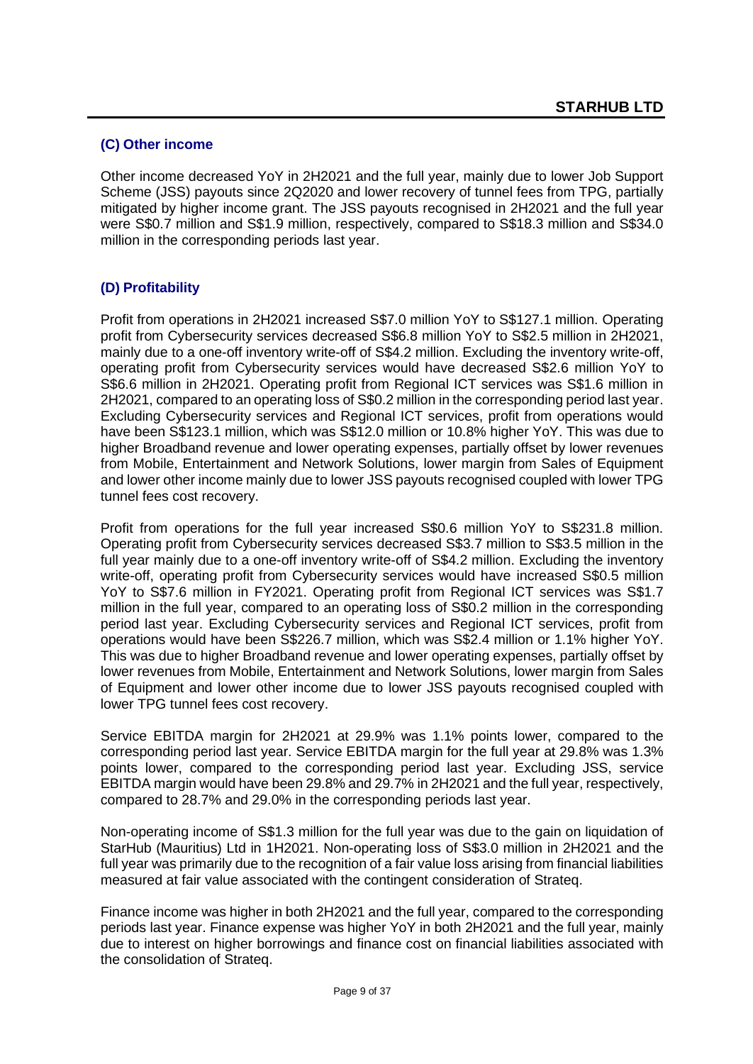### **(C) Other income**

Other income decreased YoY in 2H2021 and the full year, mainly due to lower Job Support Scheme (JSS) payouts since 2Q2020 and lower recovery of tunnel fees from TPG, partially mitigated by higher income grant. The JSS payouts recognised in 2H2021 and the full year were S\$0.7 million and S\$1.9 million, respectively, compared to S\$18.3 million and S\$34.0 million in the corresponding periods last year.

### **(D) Profitability**

Profit from operations in 2H2021 increased S\$7.0 million YoY to S\$127.1 million. Operating profit from Cybersecurity services decreased S\$6.8 million YoY to S\$2.5 million in 2H2021, mainly due to a one-off inventory write-off of S\$4.2 million. Excluding the inventory write-off, operating profit from Cybersecurity services would have decreased S\$2.6 million YoY to S\$6.6 million in 2H2021. Operating profit from Regional ICT services was S\$1.6 million in 2H2021, compared to an operating loss of S\$0.2 million in the corresponding period last year. Excluding Cybersecurity services and Regional ICT services, profit from operations would have been S\$123.1 million, which was S\$12.0 million or 10.8% higher YoY. This was due to higher Broadband revenue and lower operating expenses, partially offset by lower revenues from Mobile, Entertainment and Network Solutions, lower margin from Sales of Equipment and lower other income mainly due to lower JSS payouts recognised coupled with lower TPG tunnel fees cost recovery.

Profit from operations for the full year increased S\$0.6 million YoY to S\$231.8 million. Operating profit from Cybersecurity services decreased S\$3.7 million to S\$3.5 million in the full year mainly due to a one-off inventory write-off of S\$4.2 million. Excluding the inventory write-off, operating profit from Cybersecurity services would have increased S\$0.5 million YoY to S\$7.6 million in FY2021. Operating profit from Regional ICT services was S\$1.7 million in the full year, compared to an operating loss of S\$0.2 million in the corresponding period last year. Excluding Cybersecurity services and Regional ICT services, profit from operations would have been S\$226.7 million, which was S\$2.4 million or 1.1% higher YoY. This was due to higher Broadband revenue and lower operating expenses, partially offset by lower revenues from Mobile, Entertainment and Network Solutions, lower margin from Sales of Equipment and lower other income due to lower JSS payouts recognised coupled with lower TPG tunnel fees cost recovery.

Service EBITDA margin for 2H2021 at 29.9% was 1.1% points lower, compared to the corresponding period last year. Service EBITDA margin for the full year at 29.8% was 1.3% points lower, compared to the corresponding period last year. Excluding JSS, service EBITDA margin would have been 29.8% and 29.7% in 2H2021 and the full year, respectively, compared to 28.7% and 29.0% in the corresponding periods last year.

Non-operating income of S\$1.3 million for the full year was due to the gain on liquidation of StarHub (Mauritius) Ltd in 1H2021. Non-operating loss of S\$3.0 million in 2H2021 and the full year was primarily due to the recognition of a fair value loss arising from financial liabilities measured at fair value associated with the contingent consideration of Strateq.

Finance income was higher in both 2H2021 and the full year, compared to the corresponding periods last year. Finance expense was higher YoY in both 2H2021 and the full year, mainly due to interest on higher borrowings and finance cost on financial liabilities associated with the consolidation of Strateq.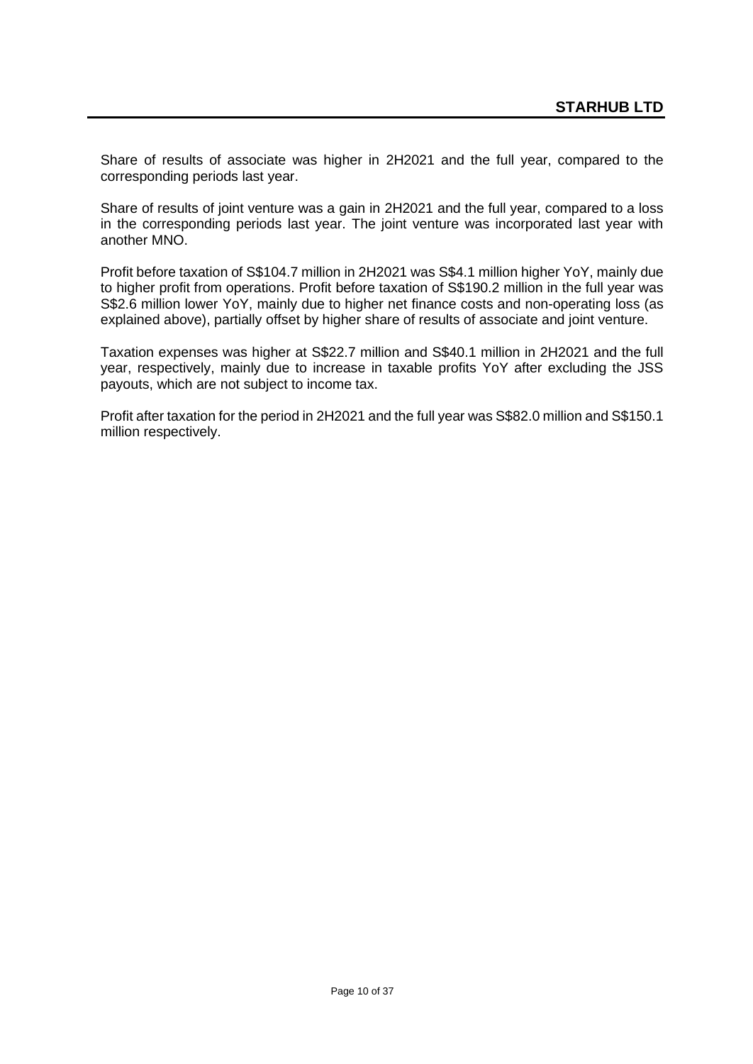Share of results of associate was higher in 2H2021 and the full year, compared to the corresponding periods last year.

Share of results of joint venture was a gain in 2H2021 and the full year, compared to a loss in the corresponding periods last year. The joint venture was incorporated last year with another MNO.

Profit before taxation of S\$104.7 million in 2H2021 was S\$4.1 million higher YoY, mainly due to higher profit from operations. Profit before taxation of S\$190.2 million in the full year was S\$2.6 million lower YoY, mainly due to higher net finance costs and non-operating loss (as explained above), partially offset by higher share of results of associate and joint venture.

Taxation expenses was higher at S\$22.7 million and S\$40.1 million in 2H2021 and the full year, respectively, mainly due to increase in taxable profits YoY after excluding the JSS payouts, which are not subject to income tax.

Profit after taxation for the period in 2H2021 and the full year was S\$82.0 million and S\$150.1 million respectively.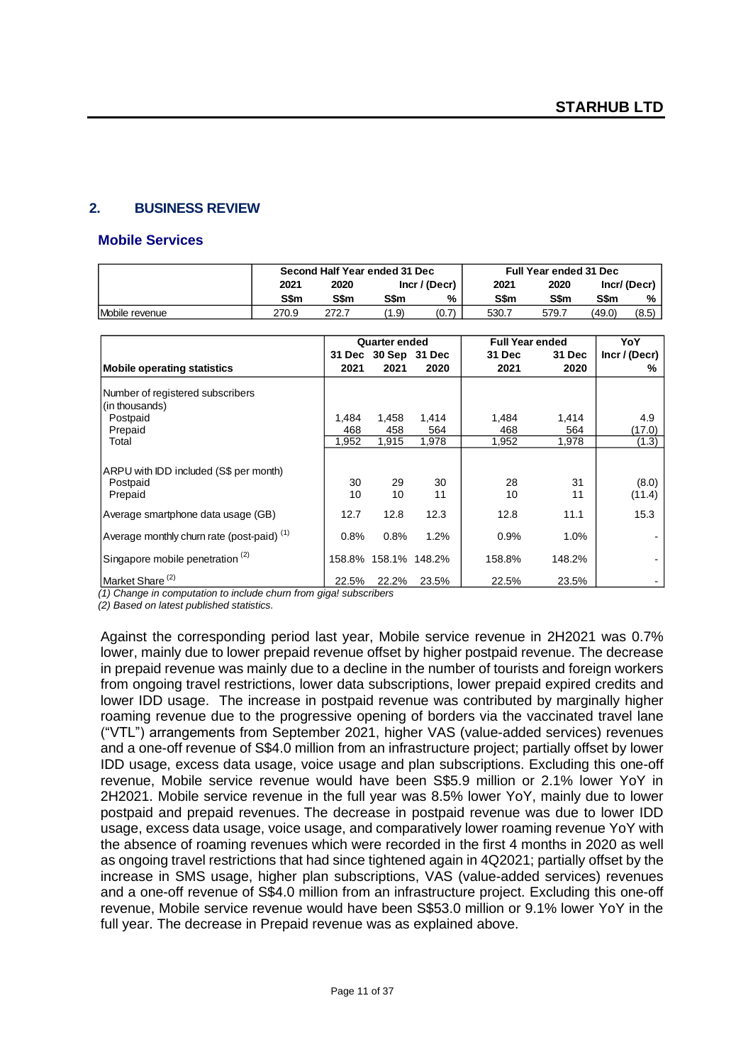### **2. BUSINESS REVIEW**

#### **Mobile Services**

|                | Second Half Year ended 31 Dec |                       |       |       | <b>Full Year ended 31 Dec</b> |       |        |             |
|----------------|-------------------------------|-----------------------|-------|-------|-------------------------------|-------|--------|-------------|
|                | 2021                          | Incr / (Decr)<br>2020 |       |       | 2021                          | 2020  |        | Incr/(Decr) |
|                | S\$m                          | S\$m                  | S\$m  | %     | S\$m                          | S\$m  | S\$m   | %           |
| Mobile revenue | 270.9                         | 272.7                 | (1.9) | (0.7) | 530.7                         | 579.7 | (49.0) | (8.5)       |

|                                                               |          | <b>Quarter ended</b> |          | <b>Full Year ended</b> |          | YoY             |
|---------------------------------------------------------------|----------|----------------------|----------|------------------------|----------|-----------------|
|                                                               |          | 31 Dec 30 Sep 31 Dec |          | <b>31 Dec</b>          | 31 Dec   | Incr / (Decr)   |
| Mobile operating statistics                                   | 2021     | 2021                 | 2020     | 2021                   | 2020     | ℅               |
| Number of registered subscribers                              |          |                      |          |                        |          |                 |
| (in thousands)                                                |          |                      |          |                        |          |                 |
| Postpaid                                                      | 1,484    | 1,458                | 1,414    | 1,484                  | 1,414    | 4.9             |
| Prepaid                                                       | 468      | 458                  | 564      | 468                    | 564      | (17.0)          |
| Total                                                         | 1,952    | 1,915                | 1,978    | 1,952                  | 1.978    | (1.3)           |
| ARPU with IDD included (S\$ per month)<br>Postpaid<br>Prepaid | 30<br>10 | 29<br>10             | 30<br>11 | 28<br>10               | 31<br>11 | (8.0)<br>(11.4) |
| Average smartphone data usage (GB)                            | 12.7     | 12.8                 | 12.3     | 12.8                   | 11.1     | 15.3            |
| Average monthly churn rate (post-paid) <sup>(1)</sup>         | 0.8%     | 0.8%                 | 1.2%     | 0.9%                   | 1.0%     |                 |
| Singapore mobile penetration <sup>(2)</sup>                   |          | 158.8% 158.1% 148.2% |          | 158.8%                 | 148.2%   |                 |
| Market Share <sup>(2)</sup>                                   | 22.5%    | 22.2%                | 23.5%    | 22.5%                  | 23.5%    |                 |

*(1) Change in computation to include churn from giga! subscribers*

*(2) Based on latest published statistics.* 

Against the corresponding period last year, Mobile service revenue in 2H2021 was 0.7% lower, mainly due to lower prepaid revenue offset by higher postpaid revenue. The decrease in prepaid revenue was mainly due to a decline in the number of tourists and foreign workers from ongoing travel restrictions, lower data subscriptions, lower prepaid expired credits and lower IDD usage. The increase in postpaid revenue was contributed by marginally higher roaming revenue due to the progressive opening of borders via the vaccinated travel lane ("VTL") arrangements from September 2021, higher VAS (value-added services) revenues and a one-off revenue of S\$4.0 million from an infrastructure project; partially offset by lower IDD usage, excess data usage, voice usage and plan subscriptions. Excluding this one-off revenue, Mobile service revenue would have been S\$5.9 million or 2.1% lower YoY in 2H2021. Mobile service revenue in the full year was 8.5% lower YoY, mainly due to lower postpaid and prepaid revenues. The decrease in postpaid revenue was due to lower IDD usage, excess data usage, voice usage, and comparatively lower roaming revenue YoY with the absence of roaming revenues which were recorded in the first 4 months in 2020 as well as ongoing travel restrictions that had since tightened again in 4Q2021; partially offset by the increase in SMS usage, higher plan subscriptions, VAS (value-added services) revenues and a one-off revenue of S\$4.0 million from an infrastructure project. Excluding this one-off revenue, Mobile service revenue would have been S\$53.0 million or 9.1% lower YoY in the full year. The decrease in Prepaid revenue was as explained above.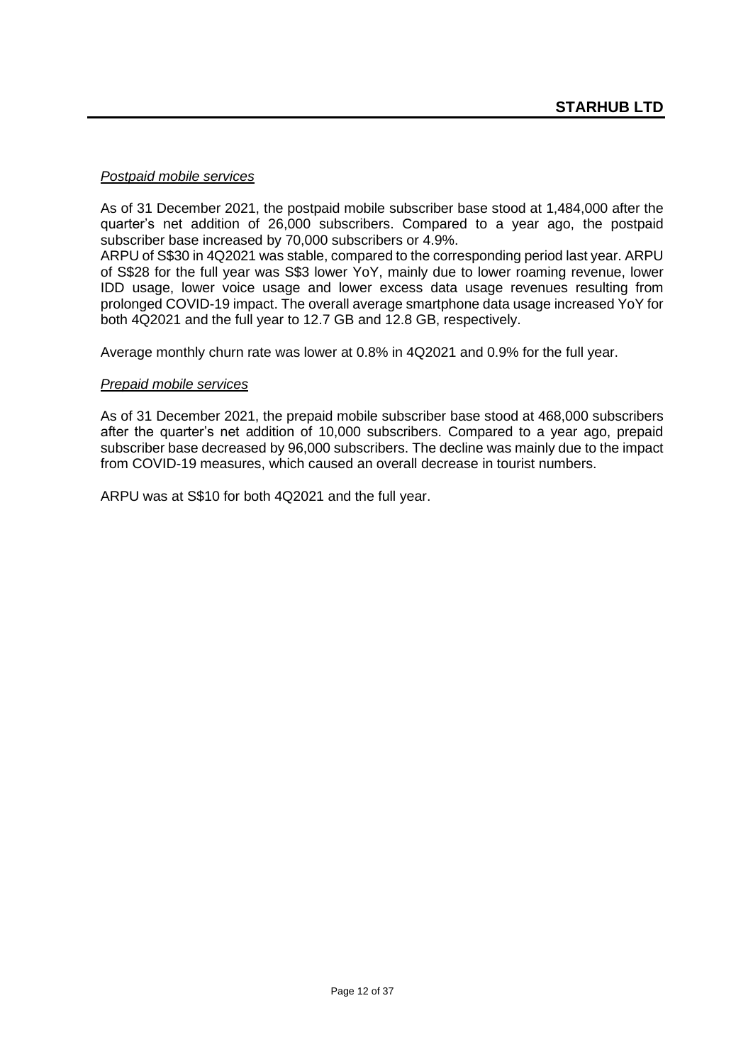#### *Postpaid mobile services*

As of 31 December 2021, the postpaid mobile subscriber base stood at 1,484,000 after the quarter's net addition of 26,000 subscribers. Compared to a year ago, the postpaid subscriber base increased by 70,000 subscribers or 4.9%.

ARPU of S\$30 in 4Q2021 was stable, compared to the corresponding period last year. ARPU of S\$28 for the full year was S\$3 lower YoY, mainly due to lower roaming revenue, lower IDD usage, lower voice usage and lower excess data usage revenues resulting from prolonged COVID-19 impact. The overall average smartphone data usage increased YoY for both 4Q2021 and the full year to 12.7 GB and 12.8 GB, respectively.

Average monthly churn rate was lower at 0.8% in 4Q2021 and 0.9% for the full year.

### *Prepaid mobile services*

As of 31 December 2021, the prepaid mobile subscriber base stood at 468,000 subscribers after the quarter's net addition of 10,000 subscribers. Compared to a year ago, prepaid subscriber base decreased by 96,000 subscribers. The decline was mainly due to the impact from COVID-19 measures, which caused an overall decrease in tourist numbers.

ARPU was at S\$10 for both 4Q2021 and the full year.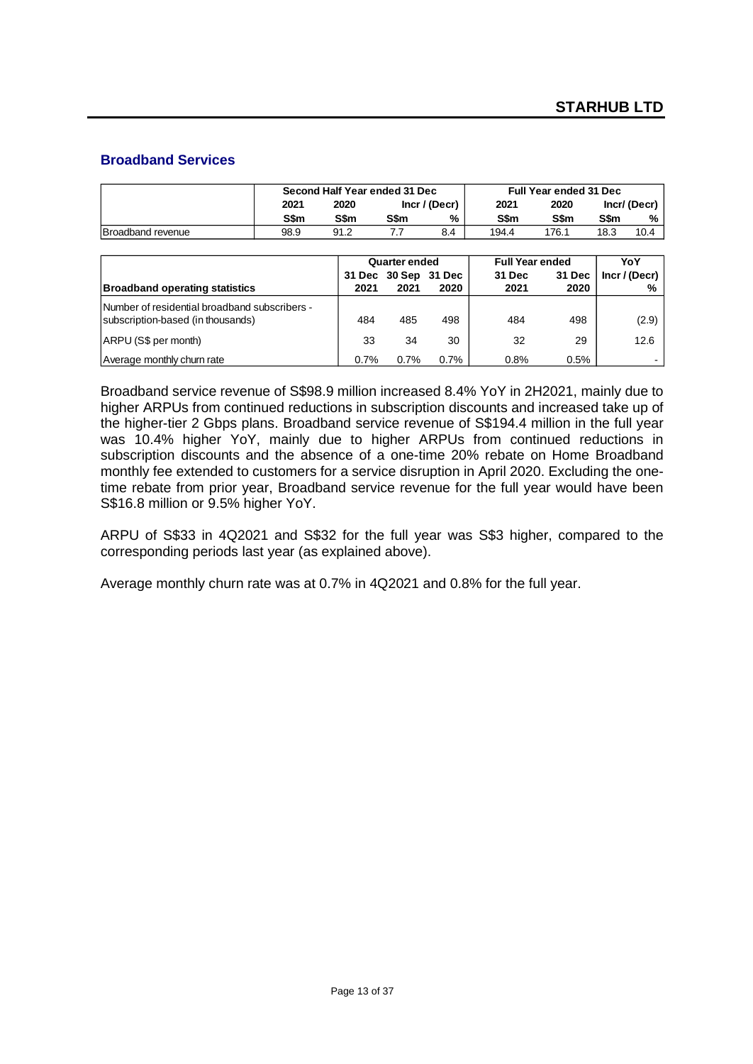### **Broadband Services**

|                   | Second Half Year ended 31 Dec |                       |      |     |       | <b>Full Year ended 31 Dec</b> |             |      |
|-------------------|-------------------------------|-----------------------|------|-----|-------|-------------------------------|-------------|------|
|                   | 2021                          | 2020<br>Incr / (Decr) |      |     | 2021  | 2020                          | Incr/(Decr) |      |
|                   | S\$m                          | S\$m                  | S\$m | %   | S\$m  | S\$m                          | S\$m        | %    |
| Broadband revenue | 98.9                          | 91.2                  |      | 8.4 | 194.4 | 176.1                         | 18.3        | 10.4 |

|                                                                                    |      | <b>Quarter ended</b> |      | <b>Full Year ended</b> |        | YoY             |
|------------------------------------------------------------------------------------|------|----------------------|------|------------------------|--------|-----------------|
|                                                                                    |      | 31 Dec 30 Sep 31 Dec |      | 31 Dec                 | 31 Dec | $Incr$ / (Decr) |
| <b>Broadband operating statistics</b>                                              | 2021 | 2021                 | 2020 | 2021                   | 2020   | %               |
| Number of residential broadband subscribers -<br>subscription-based (in thousands) | 484  | 485                  | 498  | 484                    | 498    | (2.9)           |
| ARPU (S\$ per month)                                                               | 33   | 34                   | 30   | 32                     | 29     | 12.6            |
| Average monthly churn rate                                                         | 0.7% | $0.7\%$              | 0.7% | 0.8%                   | 0.5%   |                 |

Broadband service revenue of S\$98.9 million increased 8.4% YoY in 2H2021, mainly due to higher ARPUs from continued reductions in subscription discounts and increased take up of the higher-tier 2 Gbps plans. Broadband service revenue of S\$194.4 million in the full year was 10.4% higher YoY, mainly due to higher ARPUs from continued reductions in subscription discounts and the absence of a one-time 20% rebate on Home Broadband monthly fee extended to customers for a service disruption in April 2020. Excluding the onetime rebate from prior year, Broadband service revenue for the full year would have been S\$16.8 million or 9.5% higher YoY.

ARPU of S\$33 in 4Q2021 and S\$32 for the full year was S\$3 higher, compared to the corresponding periods last year (as explained above).

Average monthly churn rate was at 0.7% in 4Q2021 and 0.8% for the full year.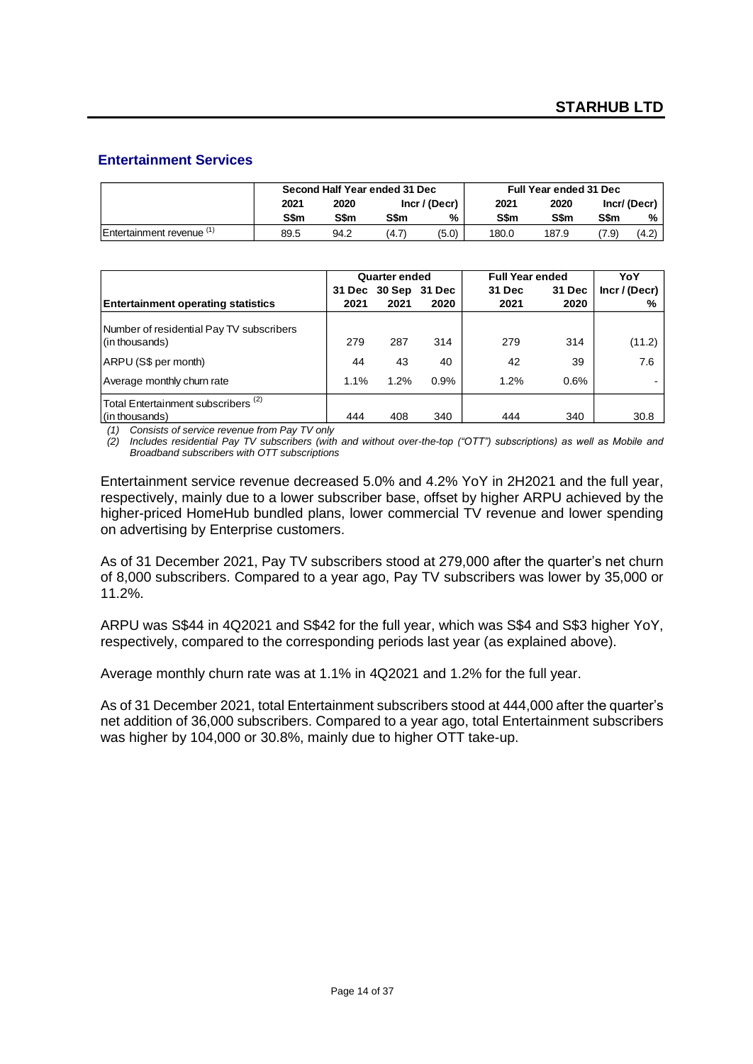### **Entertainment Services**

|                       |      |      | Second Half Year ended 31 Dec | <b>Full Year ended 31 Dec</b> |       |       |             |             |  |
|-----------------------|------|------|-------------------------------|-------------------------------|-------|-------|-------------|-------------|--|
|                       | 2021 | 2020 |                               | Incr / (Decr)                 | 2021  | 2020  |             | Incr/(Decr) |  |
|                       | S\$m | S\$m | <b>S\$m</b>                   | %                             | S\$m  | S\$m  | <b>S\$m</b> | %           |  |
| Entertainment revenue | 89.5 | 94.2 | (4.7)                         | (5.0)                         | 180.0 | 187.9 | 7.9)        | (4.2)       |  |

|                                                                  |      | <b>Quarter ended</b> |                      | <b>Full Year ended</b> |        | YoY         |
|------------------------------------------------------------------|------|----------------------|----------------------|------------------------|--------|-------------|
|                                                                  |      |                      | 31 Dec 30 Sep 31 Dec | 31 Dec                 | 31 Dec | Incr/(Decr) |
| <b>Entertainment operating statistics</b>                        | 2021 | 2021                 | 2020                 | 2021                   | 2020   | %           |
| Number of residential Pay TV subscribers<br>(in thousands)       | 279  | 287                  | 314                  | 279                    | 314    | (11.2)      |
| ARPU (S\$ per month)                                             | 44   | 43                   | 40                   | 42                     | 39     | 7.6         |
| Average monthly churn rate                                       | 1.1% | 1.2%                 | 0.9%                 | 1.2%                   | 0.6%   |             |
| Total Entertainment subscribers <sup>(2)</sup><br>(in thousands) | 444  | 408                  | 340                  | 444                    | 340    | 30.8        |

*(1) Consists of service revenue from Pay TV only*

*(2) Includes residential Pay TV subscribers (with and without over-the-top ("OTT") subscriptions) as well as Mobile and Broadband subscribers with OTT subscriptions* 

Entertainment service revenue decreased 5.0% and 4.2% YoY in 2H2021 and the full year, respectively, mainly due to a lower subscriber base, offset by higher ARPU achieved by the higher-priced HomeHub bundled plans, lower commercial TV revenue and lower spending on advertising by Enterprise customers.

As of 31 December 2021, Pay TV subscribers stood at 279,000 after the quarter's net churn of 8,000 subscribers. Compared to a year ago, Pay TV subscribers was lower by 35,000 or 11.2%.

ARPU was S\$44 in 4Q2021 and S\$42 for the full year, which was S\$4 and S\$3 higher YoY, respectively, compared to the corresponding periods last year (as explained above).

Average monthly churn rate was at 1.1% in 4Q2021 and 1.2% for the full year.

As of 31 December 2021, total Entertainment subscribers stood at 444,000 after the quarter's net addition of 36,000 subscribers. Compared to a year ago, total Entertainment subscribers was higher by 104,000 or 30.8%, mainly due to higher OTT take-up.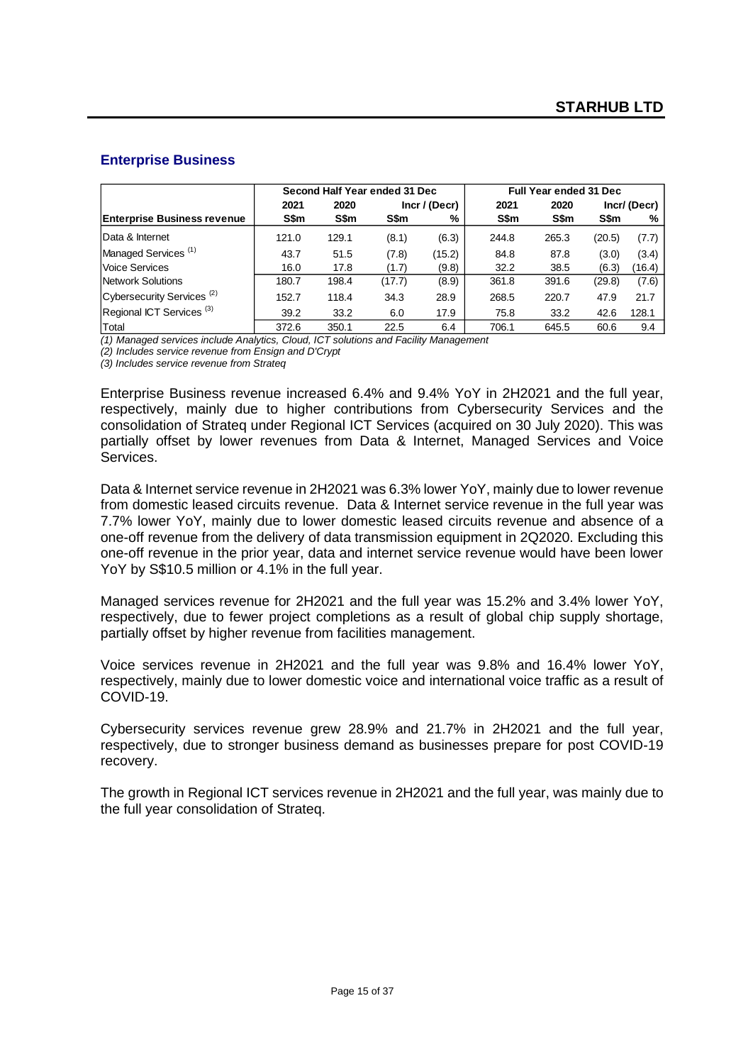### **Enterprise Business**

|                                       |       |       | Second Half Year ended 31 Dec |        | Full Year ended 31 Dec |       |        |                |  |  |
|---------------------------------------|-------|-------|-------------------------------|--------|------------------------|-------|--------|----------------|--|--|
|                                       | 2021  | 2020  | Incr / (Decr)                 |        | 2021                   | 2020  |        | $Incr/$ (Decr) |  |  |
| <b>Enterprise Business revenue</b>    | S\$m  | S\$m  | S\$m                          | %      | S\$m                   | S\$m  | S\$m   | %              |  |  |
| Data & Internet                       | 121.0 | 129.1 | (8.1)                         | (6.3)  | 244.8                  | 265.3 | (20.5) | (7.7)          |  |  |
| Managed Services <sup>(1)</sup>       | 43.7  | 51.5  | (7.8)                         | (15.2) | 84.8                   | 87.8  | (3.0)  | (3.4)          |  |  |
| Voice Services                        | 16.0  | 17.8  | (1.7)                         | (9.8)  | 32.2                   | 38.5  | (6.3)  | (16.4)         |  |  |
| <b>Network Solutions</b>              | 180.7 | 198.4 | (17.7)                        | (8.9)  | 361.8                  | 391.6 | (29.8) | (7.6)          |  |  |
| Cybersecurity Services <sup>(2)</sup> | 152.7 | 118.4 | 34.3                          | 28.9   | 268.5                  | 220.7 | 47.9   | 21.7           |  |  |
| Regional ICT Services <sup>(3)</sup>  | 39.2  | 33.2  | 6.0                           | 17.9   | 75.8                   | 33.2  | 42.6   | 128.1          |  |  |
| Total                                 | 372.6 | 350.1 | 22.5                          | 6.4    | 706.1                  | 645.5 | 60.6   | 9.4            |  |  |

*(1) Managed services include Analytics, Cloud, ICT solutions and Facility Management* 

*(2) Includes service revenue from Ensign and D'Crypt*

*(3) Includes service revenue from Strateq*

Enterprise Business revenue increased 6.4% and 9.4% YoY in 2H2021 and the full year, respectively, mainly due to higher contributions from Cybersecurity Services and the consolidation of Strateq under Regional ICT Services (acquired on 30 July 2020). This was partially offset by lower revenues from Data & Internet, Managed Services and Voice Services.

Data & Internet service revenue in 2H2021 was 6.3% lower YoY, mainly due to lower revenue from domestic leased circuits revenue. Data & Internet service revenue in the full year was 7.7% lower YoY, mainly due to lower domestic leased circuits revenue and absence of a one-off revenue from the delivery of data transmission equipment in 2Q2020. Excluding this one-off revenue in the prior year, data and internet service revenue would have been lower YoY by S\$10.5 million or 4.1% in the full year.

Managed services revenue for 2H2021 and the full year was 15.2% and 3.4% lower YoY, respectively, due to fewer project completions as a result of global chip supply shortage, partially offset by higher revenue from facilities management.

Voice services revenue in 2H2021 and the full year was 9.8% and 16.4% lower YoY, respectively, mainly due to lower domestic voice and international voice traffic as a result of COVID-19.

Cybersecurity services revenue grew 28.9% and 21.7% in 2H2021 and the full year, respectively, due to stronger business demand as businesses prepare for post COVID-19 recovery.

The growth in Regional ICT services revenue in 2H2021 and the full year, was mainly due to the full year consolidation of Strateq.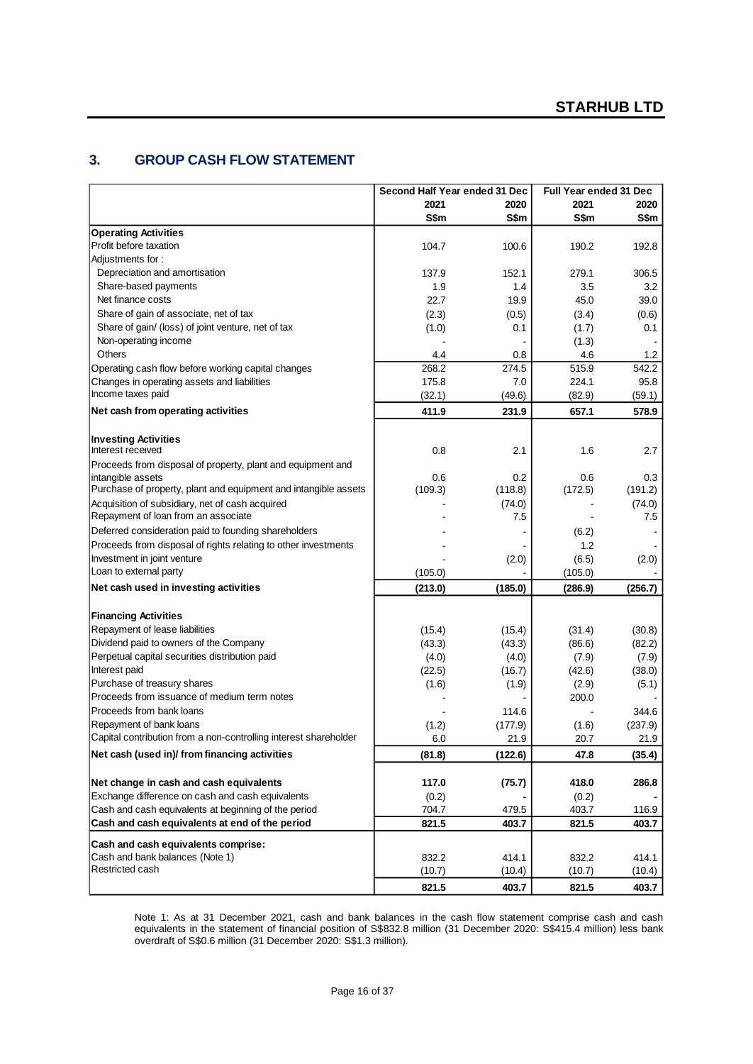## **3. GROUP CASH FLOW STATEMENT**

|                                                                  | Second Half Year ended 31 Dec |         | <b>Full Year ended 31 Dec</b> |         |  |
|------------------------------------------------------------------|-------------------------------|---------|-------------------------------|---------|--|
|                                                                  | 2021                          | 2020    | 2021                          | 2020    |  |
|                                                                  | S\$m                          | S\$m    | S\$m                          | S\$m    |  |
| <b>Operating Activities</b>                                      |                               |         |                               |         |  |
| Profit before taxation                                           | 104.7                         | 100.6   | 190.2                         | 192.8   |  |
| Adjustments for:                                                 |                               |         |                               |         |  |
| Depreciation and amortisation                                    | 137.9                         | 152.1   | 279.1                         | 306.5   |  |
| Share-based payments                                             | 1.9                           | 1.4     | 3.5                           | 3.2     |  |
| Net finance costs                                                | 22.7                          | 19.9    | 45.0                          | 39.0    |  |
| Share of gain of associate, net of tax                           | (2.3)                         | (0.5)   | (3.4)                         | (0.6)   |  |
| Share of gain/ (loss) of joint venture, net of tax               | (1.0)                         | 0.1     | (1.7)                         | 0.1     |  |
| Non-operating income                                             |                               |         | (1.3)                         |         |  |
| Others                                                           | 4.4                           | 0.8     | 4.6                           | 1.2     |  |
| Operating cash flow before working capital changes               | 268.2                         | 274.5   | 515.9                         | 542.2   |  |
| Changes in operating assets and liabilities                      | 175.8                         | 7.0     | 224.1                         | 95.8    |  |
| Income taxes paid                                                | (32.1)                        | (49.6)  | (82.9)                        | (59.1)  |  |
| Net cash from operating activities                               | 411.9                         | 231.9   | 657.1                         | 578.9   |  |
| <b>Investing Activities</b>                                      |                               |         |                               |         |  |
| Interest received                                                | 0.8                           | 2.1     | 1.6                           | 2.7     |  |
| Proceeds from disposal of property, plant and equipment and      |                               |         |                               |         |  |
| intangible assets                                                | 0.6                           | 0.2     | 0.6                           | 0.3     |  |
| Purchase of property, plant and equipment and intangible assets  | (109.3)                       | (118.8) | (172.5)                       | (191.2) |  |
| Acquisition of subsidiary, net of cash acquired                  |                               | (74.0)  |                               | (74.0)  |  |
| Repayment of loan from an associate                              |                               | 7.5     |                               | 7.5     |  |
| Deferred consideration paid to founding shareholders             |                               |         | (6.2)                         |         |  |
| Proceeds from disposal of rights relating to other investments   |                               |         | 1.2                           |         |  |
| Investment in joint venture<br>Loan to external party            |                               | (2.0)   | (6.5)                         | (2.0)   |  |
|                                                                  | (105.0)                       |         | (105.0)                       |         |  |
| Net cash used in investing activities                            | (213.0)                       | (185.0) | (286.9)                       | (256.7) |  |
| <b>Financing Activities</b>                                      |                               |         |                               |         |  |
| Repayment of lease liabilities                                   | (15.4)                        | (15.4)  | (31.4)                        | (30.8)  |  |
| Dividend paid to owners of the Company                           | (43.3)                        | (43.3)  | (86.6)                        | (82.2)  |  |
| Perpetual capital securities distribution paid                   | (4.0)                         | (4.0)   | (7.9)                         | (7.9)   |  |
| Interest paid                                                    | (22.5)                        | (16.7)  | (42.6)                        | (38.0)  |  |
| Purchase of treasury shares                                      | (1.6)                         | (1.9)   | (2.9)                         | (5.1)   |  |
| Proceeds from issuance of medium term notes                      |                               |         | 200.0                         |         |  |
| Proceeds from bank loans                                         |                               | 114.6   |                               | 344.6   |  |
| Repayment of bank loans                                          | (1.2)                         | (177.9) | (1.6)                         | (237.9) |  |
| Capital contribution from a non-controlling interest shareholder | 6.0                           | 21.9    | 20.7                          | 21.9    |  |
| Net cash (used in)/ from financing activities                    | (81.8)                        | (122.6) | 47.8                          | (35.4)  |  |
| Net change in cash and cash equivalents                          | 117.0                         | (75.7)  | 418.0                         | 286.8   |  |
| Exchange difference on cash and cash equivalents                 | (0.2)                         |         | (0.2)                         |         |  |
| Cash and cash equivalents at beginning of the period             | 704.7                         | 479.5   | 403.7                         | 116.9   |  |
| Cash and cash equivalents at end of the period                   | 821.5                         | 403.7   | 821.5                         | 403.7   |  |
| Cash and cash equivalents comprise:                              |                               |         |                               |         |  |
| Cash and bank balances (Note 1)                                  | 832.2                         | 414.1   | 832.2                         | 414.1   |  |
| Restricted cash                                                  | (10.7)                        | (10.4)  | (10.7)                        | (10.4)  |  |
|                                                                  | 821.5                         | 403.7   | 821.5                         | 403.7   |  |

Note 1: As at 31 December 2021, cash and bank balances in the cash flow statement comprise cash and cash equivalents in the statement of financial position of S\$832.8 million (31 December 2020: S\$415.4 million) less bank overdraft of S\$0.6 million (31 December 2020: S\$1.3 million).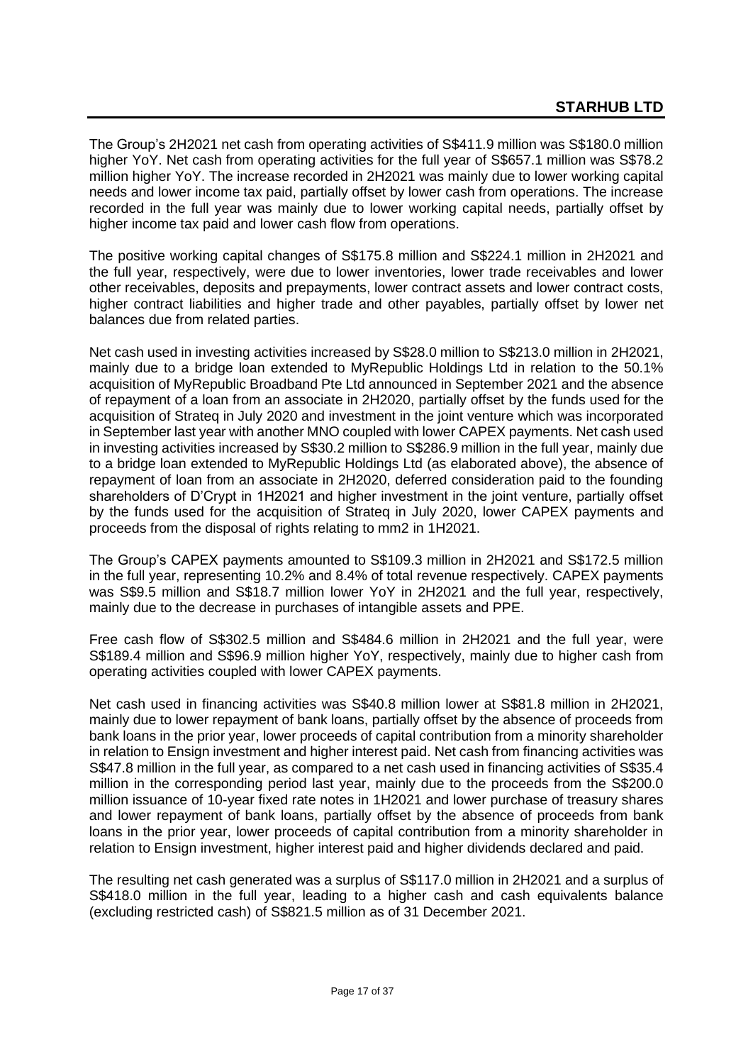The Group's 2H2021 net cash from operating activities of S\$411.9 million was S\$180.0 million higher YoY. Net cash from operating activities for the full year of S\$657.1 million was S\$78.2 million higher YoY. The increase recorded in 2H2021 was mainly due to lower working capital needs and lower income tax paid, partially offset by lower cash from operations. The increase recorded in the full year was mainly due to lower working capital needs, partially offset by higher income tax paid and lower cash flow from operations.

The positive working capital changes of S\$175.8 million and S\$224.1 million in 2H2021 and the full year, respectively, were due to lower inventories, lower trade receivables and lower other receivables, deposits and prepayments, lower contract assets and lower contract costs, higher contract liabilities and higher trade and other payables, partially offset by lower net balances due from related parties.

Net cash used in investing activities increased by S\$28.0 million to S\$213.0 million in 2H2021, mainly due to a bridge loan extended to MyRepublic Holdings Ltd in relation to the 50.1% acquisition of MyRepublic Broadband Pte Ltd announced in September 2021 and the absence of repayment of a loan from an associate in 2H2020, partially offset by the funds used for the acquisition of Strateq in July 2020 and investment in the joint venture which was incorporated in September last year with another MNO coupled with lower CAPEX payments. Net cash used in investing activities increased by S\$30.2 million to S\$286.9 million in the full year, mainly due to a bridge loan extended to MyRepublic Holdings Ltd (as elaborated above), the absence of repayment of loan from an associate in 2H2020, deferred consideration paid to the founding shareholders of D'Crypt in 1H2021 and higher investment in the joint venture, partially offset by the funds used for the acquisition of Strateq in July 2020, lower CAPEX payments and proceeds from the disposal of rights relating to mm2 in 1H2021.

The Group's CAPEX payments amounted to S\$109.3 million in 2H2021 and S\$172.5 million in the full year, representing 10.2% and 8.4% of total revenue respectively. CAPEX payments was S\$9.5 million and S\$18.7 million lower YoY in 2H2021 and the full year, respectively, mainly due to the decrease in purchases of intangible assets and PPE.

Free cash flow of S\$302.5 million and S\$484.6 million in 2H2021 and the full year, were S\$189.4 million and S\$96.9 million higher YoY, respectively, mainly due to higher cash from operating activities coupled with lower CAPEX payments.

Net cash used in financing activities was S\$40.8 million lower at S\$81.8 million in 2H2021, mainly due to lower repayment of bank loans, partially offset by the absence of proceeds from bank loans in the prior year, lower proceeds of capital contribution from a minority shareholder in relation to Ensign investment and higher interest paid. Net cash from financing activities was S\$47.8 million in the full year, as compared to a net cash used in financing activities of S\$35.4 million in the corresponding period last year, mainly due to the proceeds from the S\$200.0 million issuance of 10-year fixed rate notes in 1H2021 and lower purchase of treasury shares and lower repayment of bank loans, partially offset by the absence of proceeds from bank loans in the prior year, lower proceeds of capital contribution from a minority shareholder in relation to Ensign investment, higher interest paid and higher dividends declared and paid.

The resulting net cash generated was a surplus of S\$117.0 million in 2H2021 and a surplus of S\$418.0 million in the full year, leading to a higher cash and cash equivalents balance (excluding restricted cash) of S\$821.5 million as of 31 December 2021.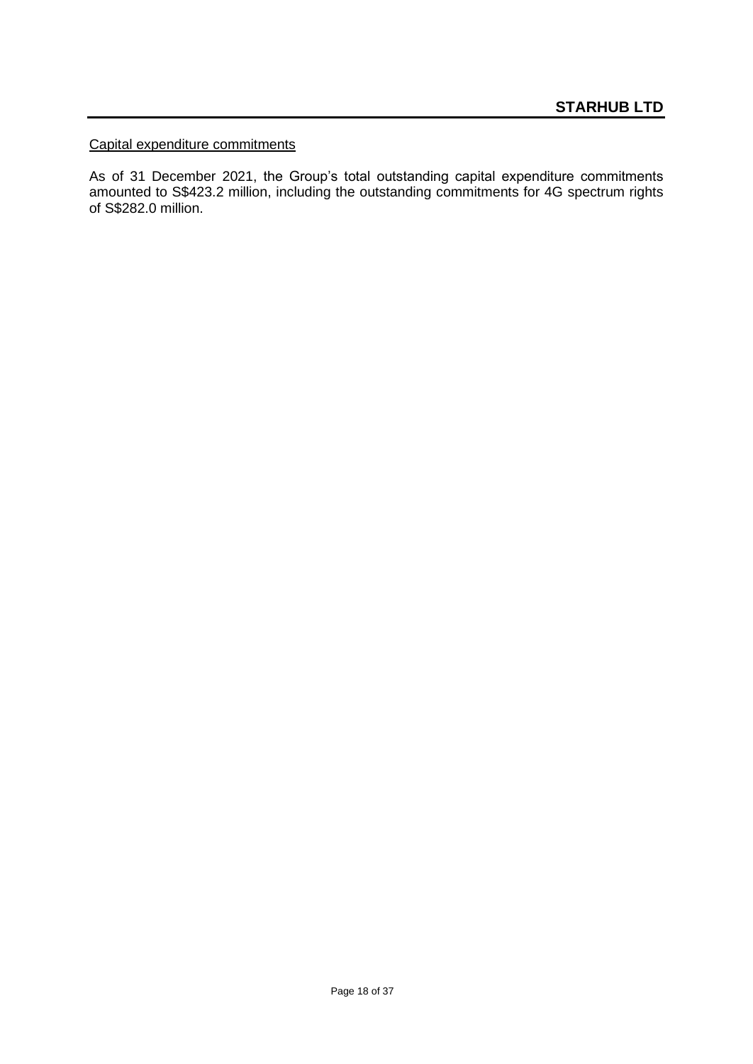### Capital expenditure commitments

As of 31 December 2021, the Group's total outstanding capital expenditure commitments amounted to S\$423.2 million, including the outstanding commitments for 4G spectrum rights of S\$282.0 million.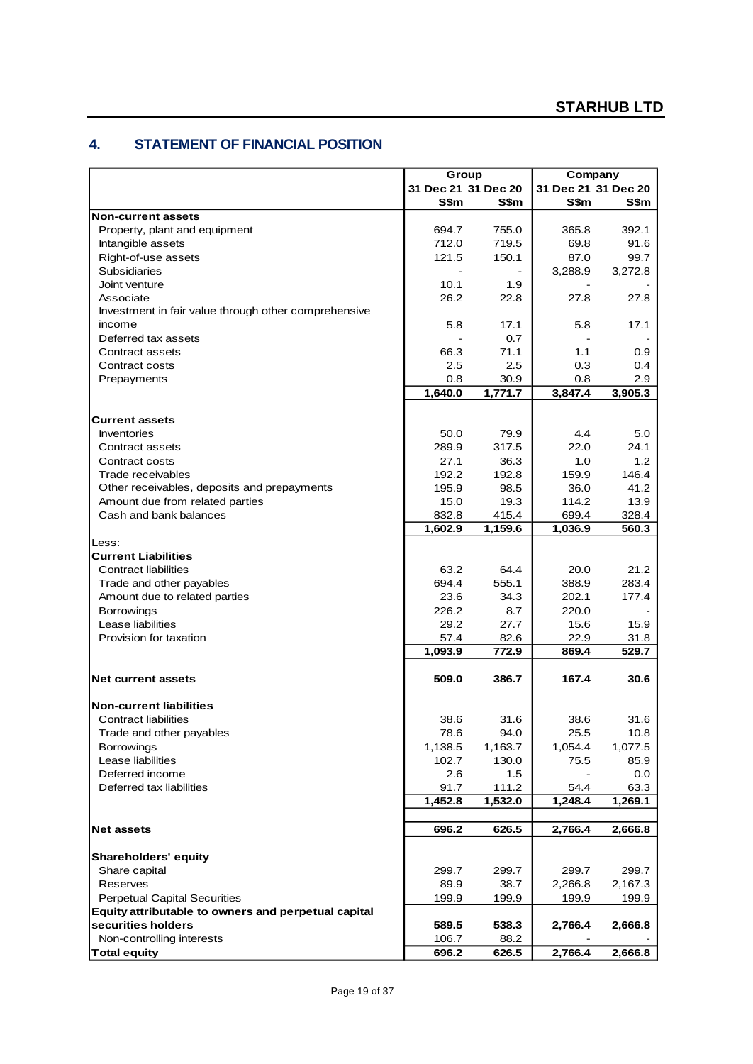### **4. STATEMENT OF FINANCIAL POSITION**

| 31 Dec 21 31 Dec 20<br>31 Dec 21 31 Dec 20<br>S\$m<br>S\$m<br>S\$m<br>S\$m<br><b>Non-current assets</b><br>755.0<br>392.1<br>Property, plant and equipment<br>694.7<br>365.8<br>712.0<br>719.5<br>69.8<br>91.6<br>Intangible assets<br>Right-of-use assets<br>121.5<br>150.1<br>87.0<br>99.7<br><b>Subsidiaries</b><br>3,288.9<br>3,272.8<br>10.1<br>1.9<br>Joint venture<br>26.2<br>22.8<br>27.8<br>Associate<br>27.8<br>Investment in fair value through other comprehensive<br>income<br>5.8<br>17.1<br>5.8<br>17.1<br>Deferred tax assets<br>0.7<br>66.3<br>71.1<br>1.1<br>0.9<br>Contract assets<br>2.5<br>2.5<br>0.3<br>Contract costs<br>0.4<br>0.8<br>30.9<br>Prepayments<br>0.8<br>2.9<br>1,640.0<br>1,771.7<br>3,847.4<br>3,905.3<br><b>Current assets</b><br>Inventories<br>50.0<br>79.9<br>4.4<br>5.0<br>289.9<br>22.0<br>317.5<br>24.1<br>Contract assets<br>27.1<br>36.3<br>1.0<br>1.2<br>Contract costs<br>159.9<br>146.4<br>192.2<br>192.8<br>Trade receivables<br>Other receivables, deposits and prepayments<br>36.0<br>41.2<br>195.9<br>98.5<br>Amount due from related parties<br>15.0<br>19.3<br>114.2<br>13.9<br>Cash and bank balances<br>832.8<br>415.4<br>699.4<br>328.4<br>1,602.9<br>1,159.6<br>1,036.9<br>560.3<br>Less:<br><b>Current Liabilities</b><br><b>Contract liabilities</b><br>63.2<br>64.4<br>20.0<br>21.2<br>388.9<br>283.4<br>694.4<br>555.1<br>Trade and other payables<br>23.6<br>34.3<br>202.1<br>177.4<br>Amount due to related parties<br>226.2<br>220.0<br><b>Borrowings</b><br>8.7<br>Lease liabilities<br>29.2<br>27.7<br>15.6<br>15.9<br>Provision for taxation<br>57.4<br>82.6<br>22.9<br>31.8<br>1,093.9<br>772.9<br>869.4<br>529.7<br>509.0<br>386.7<br>167.4<br>30.6<br>Net current assets<br><b>Non-current liabilities</b><br>Contract liabilities<br>38.6<br>31.6<br>38.6<br>31.6<br>78.6<br>25.5<br>Trade and other payables<br>94.0<br>10.8<br>1,138.5<br>1,163.7<br>1,077.5<br><b>Borrowings</b><br>1,054.4<br>Lease liabilities<br>102.7<br>130.0<br>75.5<br>85.9<br>Deferred income<br>2.6<br>1.5<br>0.0<br>91.7<br>Deferred tax liabilities<br>111.2<br>54.4<br>63.3<br>1,452.8<br>1,532.0<br>1,248.4<br>1,269.1<br><b>Net assets</b><br>696.2<br>626.5<br>2,766.4<br>2,666.8<br><b>Shareholders' equity</b><br>Share capital<br>299.7<br>299.7<br>299.7<br>299.7<br>Reserves<br>89.9<br>38.7<br>2,266.8<br>2,167.3<br><b>Perpetual Capital Securities</b><br>199.9<br>199.9<br>199.9<br>199.9<br>Equity attributable to owners and perpetual capital<br>securities holders<br>538.3<br>2,766.4<br>589.5<br>2,666.8<br>Non-controlling interests<br>106.7<br>88.2<br><b>Total equity</b><br>2,766.4<br>696.2<br>626.5 | Group | Company |  |
|--------------------------------------------------------------------------------------------------------------------------------------------------------------------------------------------------------------------------------------------------------------------------------------------------------------------------------------------------------------------------------------------------------------------------------------------------------------------------------------------------------------------------------------------------------------------------------------------------------------------------------------------------------------------------------------------------------------------------------------------------------------------------------------------------------------------------------------------------------------------------------------------------------------------------------------------------------------------------------------------------------------------------------------------------------------------------------------------------------------------------------------------------------------------------------------------------------------------------------------------------------------------------------------------------------------------------------------------------------------------------------------------------------------------------------------------------------------------------------------------------------------------------------------------------------------------------------------------------------------------------------------------------------------------------------------------------------------------------------------------------------------------------------------------------------------------------------------------------------------------------------------------------------------------------------------------------------------------------------------------------------------------------------------------------------------------------------------------------------------------------------------------------------------------------------------------------------------------------------------------------------------------------------------------------------------------------------------------------------------------------------------------------------------------------------------------------------------------------------------------------------------------------------------------------------------------------------------------------------------------------------------------------------------------------------------|-------|---------|--|
| 2,666.8                                                                                                                                                                                                                                                                                                                                                                                                                                                                                                                                                                                                                                                                                                                                                                                                                                                                                                                                                                                                                                                                                                                                                                                                                                                                                                                                                                                                                                                                                                                                                                                                                                                                                                                                                                                                                                                                                                                                                                                                                                                                                                                                                                                                                                                                                                                                                                                                                                                                                                                                                                                                                                                                              |       |         |  |
|                                                                                                                                                                                                                                                                                                                                                                                                                                                                                                                                                                                                                                                                                                                                                                                                                                                                                                                                                                                                                                                                                                                                                                                                                                                                                                                                                                                                                                                                                                                                                                                                                                                                                                                                                                                                                                                                                                                                                                                                                                                                                                                                                                                                                                                                                                                                                                                                                                                                                                                                                                                                                                                                                      |       |         |  |
|                                                                                                                                                                                                                                                                                                                                                                                                                                                                                                                                                                                                                                                                                                                                                                                                                                                                                                                                                                                                                                                                                                                                                                                                                                                                                                                                                                                                                                                                                                                                                                                                                                                                                                                                                                                                                                                                                                                                                                                                                                                                                                                                                                                                                                                                                                                                                                                                                                                                                                                                                                                                                                                                                      |       |         |  |
|                                                                                                                                                                                                                                                                                                                                                                                                                                                                                                                                                                                                                                                                                                                                                                                                                                                                                                                                                                                                                                                                                                                                                                                                                                                                                                                                                                                                                                                                                                                                                                                                                                                                                                                                                                                                                                                                                                                                                                                                                                                                                                                                                                                                                                                                                                                                                                                                                                                                                                                                                                                                                                                                                      |       |         |  |
|                                                                                                                                                                                                                                                                                                                                                                                                                                                                                                                                                                                                                                                                                                                                                                                                                                                                                                                                                                                                                                                                                                                                                                                                                                                                                                                                                                                                                                                                                                                                                                                                                                                                                                                                                                                                                                                                                                                                                                                                                                                                                                                                                                                                                                                                                                                                                                                                                                                                                                                                                                                                                                                                                      |       |         |  |
|                                                                                                                                                                                                                                                                                                                                                                                                                                                                                                                                                                                                                                                                                                                                                                                                                                                                                                                                                                                                                                                                                                                                                                                                                                                                                                                                                                                                                                                                                                                                                                                                                                                                                                                                                                                                                                                                                                                                                                                                                                                                                                                                                                                                                                                                                                                                                                                                                                                                                                                                                                                                                                                                                      |       |         |  |
|                                                                                                                                                                                                                                                                                                                                                                                                                                                                                                                                                                                                                                                                                                                                                                                                                                                                                                                                                                                                                                                                                                                                                                                                                                                                                                                                                                                                                                                                                                                                                                                                                                                                                                                                                                                                                                                                                                                                                                                                                                                                                                                                                                                                                                                                                                                                                                                                                                                                                                                                                                                                                                                                                      |       |         |  |
|                                                                                                                                                                                                                                                                                                                                                                                                                                                                                                                                                                                                                                                                                                                                                                                                                                                                                                                                                                                                                                                                                                                                                                                                                                                                                                                                                                                                                                                                                                                                                                                                                                                                                                                                                                                                                                                                                                                                                                                                                                                                                                                                                                                                                                                                                                                                                                                                                                                                                                                                                                                                                                                                                      |       |         |  |
|                                                                                                                                                                                                                                                                                                                                                                                                                                                                                                                                                                                                                                                                                                                                                                                                                                                                                                                                                                                                                                                                                                                                                                                                                                                                                                                                                                                                                                                                                                                                                                                                                                                                                                                                                                                                                                                                                                                                                                                                                                                                                                                                                                                                                                                                                                                                                                                                                                                                                                                                                                                                                                                                                      |       |         |  |
|                                                                                                                                                                                                                                                                                                                                                                                                                                                                                                                                                                                                                                                                                                                                                                                                                                                                                                                                                                                                                                                                                                                                                                                                                                                                                                                                                                                                                                                                                                                                                                                                                                                                                                                                                                                                                                                                                                                                                                                                                                                                                                                                                                                                                                                                                                                                                                                                                                                                                                                                                                                                                                                                                      |       |         |  |
|                                                                                                                                                                                                                                                                                                                                                                                                                                                                                                                                                                                                                                                                                                                                                                                                                                                                                                                                                                                                                                                                                                                                                                                                                                                                                                                                                                                                                                                                                                                                                                                                                                                                                                                                                                                                                                                                                                                                                                                                                                                                                                                                                                                                                                                                                                                                                                                                                                                                                                                                                                                                                                                                                      |       |         |  |
|                                                                                                                                                                                                                                                                                                                                                                                                                                                                                                                                                                                                                                                                                                                                                                                                                                                                                                                                                                                                                                                                                                                                                                                                                                                                                                                                                                                                                                                                                                                                                                                                                                                                                                                                                                                                                                                                                                                                                                                                                                                                                                                                                                                                                                                                                                                                                                                                                                                                                                                                                                                                                                                                                      |       |         |  |
|                                                                                                                                                                                                                                                                                                                                                                                                                                                                                                                                                                                                                                                                                                                                                                                                                                                                                                                                                                                                                                                                                                                                                                                                                                                                                                                                                                                                                                                                                                                                                                                                                                                                                                                                                                                                                                                                                                                                                                                                                                                                                                                                                                                                                                                                                                                                                                                                                                                                                                                                                                                                                                                                                      |       |         |  |
|                                                                                                                                                                                                                                                                                                                                                                                                                                                                                                                                                                                                                                                                                                                                                                                                                                                                                                                                                                                                                                                                                                                                                                                                                                                                                                                                                                                                                                                                                                                                                                                                                                                                                                                                                                                                                                                                                                                                                                                                                                                                                                                                                                                                                                                                                                                                                                                                                                                                                                                                                                                                                                                                                      |       |         |  |
|                                                                                                                                                                                                                                                                                                                                                                                                                                                                                                                                                                                                                                                                                                                                                                                                                                                                                                                                                                                                                                                                                                                                                                                                                                                                                                                                                                                                                                                                                                                                                                                                                                                                                                                                                                                                                                                                                                                                                                                                                                                                                                                                                                                                                                                                                                                                                                                                                                                                                                                                                                                                                                                                                      |       |         |  |
|                                                                                                                                                                                                                                                                                                                                                                                                                                                                                                                                                                                                                                                                                                                                                                                                                                                                                                                                                                                                                                                                                                                                                                                                                                                                                                                                                                                                                                                                                                                                                                                                                                                                                                                                                                                                                                                                                                                                                                                                                                                                                                                                                                                                                                                                                                                                                                                                                                                                                                                                                                                                                                                                                      |       |         |  |
|                                                                                                                                                                                                                                                                                                                                                                                                                                                                                                                                                                                                                                                                                                                                                                                                                                                                                                                                                                                                                                                                                                                                                                                                                                                                                                                                                                                                                                                                                                                                                                                                                                                                                                                                                                                                                                                                                                                                                                                                                                                                                                                                                                                                                                                                                                                                                                                                                                                                                                                                                                                                                                                                                      |       |         |  |
|                                                                                                                                                                                                                                                                                                                                                                                                                                                                                                                                                                                                                                                                                                                                                                                                                                                                                                                                                                                                                                                                                                                                                                                                                                                                                                                                                                                                                                                                                                                                                                                                                                                                                                                                                                                                                                                                                                                                                                                                                                                                                                                                                                                                                                                                                                                                                                                                                                                                                                                                                                                                                                                                                      |       |         |  |
|                                                                                                                                                                                                                                                                                                                                                                                                                                                                                                                                                                                                                                                                                                                                                                                                                                                                                                                                                                                                                                                                                                                                                                                                                                                                                                                                                                                                                                                                                                                                                                                                                                                                                                                                                                                                                                                                                                                                                                                                                                                                                                                                                                                                                                                                                                                                                                                                                                                                                                                                                                                                                                                                                      |       |         |  |
|                                                                                                                                                                                                                                                                                                                                                                                                                                                                                                                                                                                                                                                                                                                                                                                                                                                                                                                                                                                                                                                                                                                                                                                                                                                                                                                                                                                                                                                                                                                                                                                                                                                                                                                                                                                                                                                                                                                                                                                                                                                                                                                                                                                                                                                                                                                                                                                                                                                                                                                                                                                                                                                                                      |       |         |  |
|                                                                                                                                                                                                                                                                                                                                                                                                                                                                                                                                                                                                                                                                                                                                                                                                                                                                                                                                                                                                                                                                                                                                                                                                                                                                                                                                                                                                                                                                                                                                                                                                                                                                                                                                                                                                                                                                                                                                                                                                                                                                                                                                                                                                                                                                                                                                                                                                                                                                                                                                                                                                                                                                                      |       |         |  |
|                                                                                                                                                                                                                                                                                                                                                                                                                                                                                                                                                                                                                                                                                                                                                                                                                                                                                                                                                                                                                                                                                                                                                                                                                                                                                                                                                                                                                                                                                                                                                                                                                                                                                                                                                                                                                                                                                                                                                                                                                                                                                                                                                                                                                                                                                                                                                                                                                                                                                                                                                                                                                                                                                      |       |         |  |
|                                                                                                                                                                                                                                                                                                                                                                                                                                                                                                                                                                                                                                                                                                                                                                                                                                                                                                                                                                                                                                                                                                                                                                                                                                                                                                                                                                                                                                                                                                                                                                                                                                                                                                                                                                                                                                                                                                                                                                                                                                                                                                                                                                                                                                                                                                                                                                                                                                                                                                                                                                                                                                                                                      |       |         |  |
|                                                                                                                                                                                                                                                                                                                                                                                                                                                                                                                                                                                                                                                                                                                                                                                                                                                                                                                                                                                                                                                                                                                                                                                                                                                                                                                                                                                                                                                                                                                                                                                                                                                                                                                                                                                                                                                                                                                                                                                                                                                                                                                                                                                                                                                                                                                                                                                                                                                                                                                                                                                                                                                                                      |       |         |  |
|                                                                                                                                                                                                                                                                                                                                                                                                                                                                                                                                                                                                                                                                                                                                                                                                                                                                                                                                                                                                                                                                                                                                                                                                                                                                                                                                                                                                                                                                                                                                                                                                                                                                                                                                                                                                                                                                                                                                                                                                                                                                                                                                                                                                                                                                                                                                                                                                                                                                                                                                                                                                                                                                                      |       |         |  |
|                                                                                                                                                                                                                                                                                                                                                                                                                                                                                                                                                                                                                                                                                                                                                                                                                                                                                                                                                                                                                                                                                                                                                                                                                                                                                                                                                                                                                                                                                                                                                                                                                                                                                                                                                                                                                                                                                                                                                                                                                                                                                                                                                                                                                                                                                                                                                                                                                                                                                                                                                                                                                                                                                      |       |         |  |
|                                                                                                                                                                                                                                                                                                                                                                                                                                                                                                                                                                                                                                                                                                                                                                                                                                                                                                                                                                                                                                                                                                                                                                                                                                                                                                                                                                                                                                                                                                                                                                                                                                                                                                                                                                                                                                                                                                                                                                                                                                                                                                                                                                                                                                                                                                                                                                                                                                                                                                                                                                                                                                                                                      |       |         |  |
|                                                                                                                                                                                                                                                                                                                                                                                                                                                                                                                                                                                                                                                                                                                                                                                                                                                                                                                                                                                                                                                                                                                                                                                                                                                                                                                                                                                                                                                                                                                                                                                                                                                                                                                                                                                                                                                                                                                                                                                                                                                                                                                                                                                                                                                                                                                                                                                                                                                                                                                                                                                                                                                                                      |       |         |  |
|                                                                                                                                                                                                                                                                                                                                                                                                                                                                                                                                                                                                                                                                                                                                                                                                                                                                                                                                                                                                                                                                                                                                                                                                                                                                                                                                                                                                                                                                                                                                                                                                                                                                                                                                                                                                                                                                                                                                                                                                                                                                                                                                                                                                                                                                                                                                                                                                                                                                                                                                                                                                                                                                                      |       |         |  |
|                                                                                                                                                                                                                                                                                                                                                                                                                                                                                                                                                                                                                                                                                                                                                                                                                                                                                                                                                                                                                                                                                                                                                                                                                                                                                                                                                                                                                                                                                                                                                                                                                                                                                                                                                                                                                                                                                                                                                                                                                                                                                                                                                                                                                                                                                                                                                                                                                                                                                                                                                                                                                                                                                      |       |         |  |
|                                                                                                                                                                                                                                                                                                                                                                                                                                                                                                                                                                                                                                                                                                                                                                                                                                                                                                                                                                                                                                                                                                                                                                                                                                                                                                                                                                                                                                                                                                                                                                                                                                                                                                                                                                                                                                                                                                                                                                                                                                                                                                                                                                                                                                                                                                                                                                                                                                                                                                                                                                                                                                                                                      |       |         |  |
|                                                                                                                                                                                                                                                                                                                                                                                                                                                                                                                                                                                                                                                                                                                                                                                                                                                                                                                                                                                                                                                                                                                                                                                                                                                                                                                                                                                                                                                                                                                                                                                                                                                                                                                                                                                                                                                                                                                                                                                                                                                                                                                                                                                                                                                                                                                                                                                                                                                                                                                                                                                                                                                                                      |       |         |  |
|                                                                                                                                                                                                                                                                                                                                                                                                                                                                                                                                                                                                                                                                                                                                                                                                                                                                                                                                                                                                                                                                                                                                                                                                                                                                                                                                                                                                                                                                                                                                                                                                                                                                                                                                                                                                                                                                                                                                                                                                                                                                                                                                                                                                                                                                                                                                                                                                                                                                                                                                                                                                                                                                                      |       |         |  |
|                                                                                                                                                                                                                                                                                                                                                                                                                                                                                                                                                                                                                                                                                                                                                                                                                                                                                                                                                                                                                                                                                                                                                                                                                                                                                                                                                                                                                                                                                                                                                                                                                                                                                                                                                                                                                                                                                                                                                                                                                                                                                                                                                                                                                                                                                                                                                                                                                                                                                                                                                                                                                                                                                      |       |         |  |
|                                                                                                                                                                                                                                                                                                                                                                                                                                                                                                                                                                                                                                                                                                                                                                                                                                                                                                                                                                                                                                                                                                                                                                                                                                                                                                                                                                                                                                                                                                                                                                                                                                                                                                                                                                                                                                                                                                                                                                                                                                                                                                                                                                                                                                                                                                                                                                                                                                                                                                                                                                                                                                                                                      |       |         |  |
|                                                                                                                                                                                                                                                                                                                                                                                                                                                                                                                                                                                                                                                                                                                                                                                                                                                                                                                                                                                                                                                                                                                                                                                                                                                                                                                                                                                                                                                                                                                                                                                                                                                                                                                                                                                                                                                                                                                                                                                                                                                                                                                                                                                                                                                                                                                                                                                                                                                                                                                                                                                                                                                                                      |       |         |  |
|                                                                                                                                                                                                                                                                                                                                                                                                                                                                                                                                                                                                                                                                                                                                                                                                                                                                                                                                                                                                                                                                                                                                                                                                                                                                                                                                                                                                                                                                                                                                                                                                                                                                                                                                                                                                                                                                                                                                                                                                                                                                                                                                                                                                                                                                                                                                                                                                                                                                                                                                                                                                                                                                                      |       |         |  |
|                                                                                                                                                                                                                                                                                                                                                                                                                                                                                                                                                                                                                                                                                                                                                                                                                                                                                                                                                                                                                                                                                                                                                                                                                                                                                                                                                                                                                                                                                                                                                                                                                                                                                                                                                                                                                                                                                                                                                                                                                                                                                                                                                                                                                                                                                                                                                                                                                                                                                                                                                                                                                                                                                      |       |         |  |
|                                                                                                                                                                                                                                                                                                                                                                                                                                                                                                                                                                                                                                                                                                                                                                                                                                                                                                                                                                                                                                                                                                                                                                                                                                                                                                                                                                                                                                                                                                                                                                                                                                                                                                                                                                                                                                                                                                                                                                                                                                                                                                                                                                                                                                                                                                                                                                                                                                                                                                                                                                                                                                                                                      |       |         |  |
|                                                                                                                                                                                                                                                                                                                                                                                                                                                                                                                                                                                                                                                                                                                                                                                                                                                                                                                                                                                                                                                                                                                                                                                                                                                                                                                                                                                                                                                                                                                                                                                                                                                                                                                                                                                                                                                                                                                                                                                                                                                                                                                                                                                                                                                                                                                                                                                                                                                                                                                                                                                                                                                                                      |       |         |  |
|                                                                                                                                                                                                                                                                                                                                                                                                                                                                                                                                                                                                                                                                                                                                                                                                                                                                                                                                                                                                                                                                                                                                                                                                                                                                                                                                                                                                                                                                                                                                                                                                                                                                                                                                                                                                                                                                                                                                                                                                                                                                                                                                                                                                                                                                                                                                                                                                                                                                                                                                                                                                                                                                                      |       |         |  |
|                                                                                                                                                                                                                                                                                                                                                                                                                                                                                                                                                                                                                                                                                                                                                                                                                                                                                                                                                                                                                                                                                                                                                                                                                                                                                                                                                                                                                                                                                                                                                                                                                                                                                                                                                                                                                                                                                                                                                                                                                                                                                                                                                                                                                                                                                                                                                                                                                                                                                                                                                                                                                                                                                      |       |         |  |
|                                                                                                                                                                                                                                                                                                                                                                                                                                                                                                                                                                                                                                                                                                                                                                                                                                                                                                                                                                                                                                                                                                                                                                                                                                                                                                                                                                                                                                                                                                                                                                                                                                                                                                                                                                                                                                                                                                                                                                                                                                                                                                                                                                                                                                                                                                                                                                                                                                                                                                                                                                                                                                                                                      |       |         |  |
|                                                                                                                                                                                                                                                                                                                                                                                                                                                                                                                                                                                                                                                                                                                                                                                                                                                                                                                                                                                                                                                                                                                                                                                                                                                                                                                                                                                                                                                                                                                                                                                                                                                                                                                                                                                                                                                                                                                                                                                                                                                                                                                                                                                                                                                                                                                                                                                                                                                                                                                                                                                                                                                                                      |       |         |  |
|                                                                                                                                                                                                                                                                                                                                                                                                                                                                                                                                                                                                                                                                                                                                                                                                                                                                                                                                                                                                                                                                                                                                                                                                                                                                                                                                                                                                                                                                                                                                                                                                                                                                                                                                                                                                                                                                                                                                                                                                                                                                                                                                                                                                                                                                                                                                                                                                                                                                                                                                                                                                                                                                                      |       |         |  |
|                                                                                                                                                                                                                                                                                                                                                                                                                                                                                                                                                                                                                                                                                                                                                                                                                                                                                                                                                                                                                                                                                                                                                                                                                                                                                                                                                                                                                                                                                                                                                                                                                                                                                                                                                                                                                                                                                                                                                                                                                                                                                                                                                                                                                                                                                                                                                                                                                                                                                                                                                                                                                                                                                      |       |         |  |
|                                                                                                                                                                                                                                                                                                                                                                                                                                                                                                                                                                                                                                                                                                                                                                                                                                                                                                                                                                                                                                                                                                                                                                                                                                                                                                                                                                                                                                                                                                                                                                                                                                                                                                                                                                                                                                                                                                                                                                                                                                                                                                                                                                                                                                                                                                                                                                                                                                                                                                                                                                                                                                                                                      |       |         |  |
|                                                                                                                                                                                                                                                                                                                                                                                                                                                                                                                                                                                                                                                                                                                                                                                                                                                                                                                                                                                                                                                                                                                                                                                                                                                                                                                                                                                                                                                                                                                                                                                                                                                                                                                                                                                                                                                                                                                                                                                                                                                                                                                                                                                                                                                                                                                                                                                                                                                                                                                                                                                                                                                                                      |       |         |  |
|                                                                                                                                                                                                                                                                                                                                                                                                                                                                                                                                                                                                                                                                                                                                                                                                                                                                                                                                                                                                                                                                                                                                                                                                                                                                                                                                                                                                                                                                                                                                                                                                                                                                                                                                                                                                                                                                                                                                                                                                                                                                                                                                                                                                                                                                                                                                                                                                                                                                                                                                                                                                                                                                                      |       |         |  |
|                                                                                                                                                                                                                                                                                                                                                                                                                                                                                                                                                                                                                                                                                                                                                                                                                                                                                                                                                                                                                                                                                                                                                                                                                                                                                                                                                                                                                                                                                                                                                                                                                                                                                                                                                                                                                                                                                                                                                                                                                                                                                                                                                                                                                                                                                                                                                                                                                                                                                                                                                                                                                                                                                      |       |         |  |
|                                                                                                                                                                                                                                                                                                                                                                                                                                                                                                                                                                                                                                                                                                                                                                                                                                                                                                                                                                                                                                                                                                                                                                                                                                                                                                                                                                                                                                                                                                                                                                                                                                                                                                                                                                                                                                                                                                                                                                                                                                                                                                                                                                                                                                                                                                                                                                                                                                                                                                                                                                                                                                                                                      |       |         |  |
|                                                                                                                                                                                                                                                                                                                                                                                                                                                                                                                                                                                                                                                                                                                                                                                                                                                                                                                                                                                                                                                                                                                                                                                                                                                                                                                                                                                                                                                                                                                                                                                                                                                                                                                                                                                                                                                                                                                                                                                                                                                                                                                                                                                                                                                                                                                                                                                                                                                                                                                                                                                                                                                                                      |       |         |  |
|                                                                                                                                                                                                                                                                                                                                                                                                                                                                                                                                                                                                                                                                                                                                                                                                                                                                                                                                                                                                                                                                                                                                                                                                                                                                                                                                                                                                                                                                                                                                                                                                                                                                                                                                                                                                                                                                                                                                                                                                                                                                                                                                                                                                                                                                                                                                                                                                                                                                                                                                                                                                                                                                                      |       |         |  |
|                                                                                                                                                                                                                                                                                                                                                                                                                                                                                                                                                                                                                                                                                                                                                                                                                                                                                                                                                                                                                                                                                                                                                                                                                                                                                                                                                                                                                                                                                                                                                                                                                                                                                                                                                                                                                                                                                                                                                                                                                                                                                                                                                                                                                                                                                                                                                                                                                                                                                                                                                                                                                                                                                      |       |         |  |
|                                                                                                                                                                                                                                                                                                                                                                                                                                                                                                                                                                                                                                                                                                                                                                                                                                                                                                                                                                                                                                                                                                                                                                                                                                                                                                                                                                                                                                                                                                                                                                                                                                                                                                                                                                                                                                                                                                                                                                                                                                                                                                                                                                                                                                                                                                                                                                                                                                                                                                                                                                                                                                                                                      |       |         |  |
|                                                                                                                                                                                                                                                                                                                                                                                                                                                                                                                                                                                                                                                                                                                                                                                                                                                                                                                                                                                                                                                                                                                                                                                                                                                                                                                                                                                                                                                                                                                                                                                                                                                                                                                                                                                                                                                                                                                                                                                                                                                                                                                                                                                                                                                                                                                                                                                                                                                                                                                                                                                                                                                                                      |       |         |  |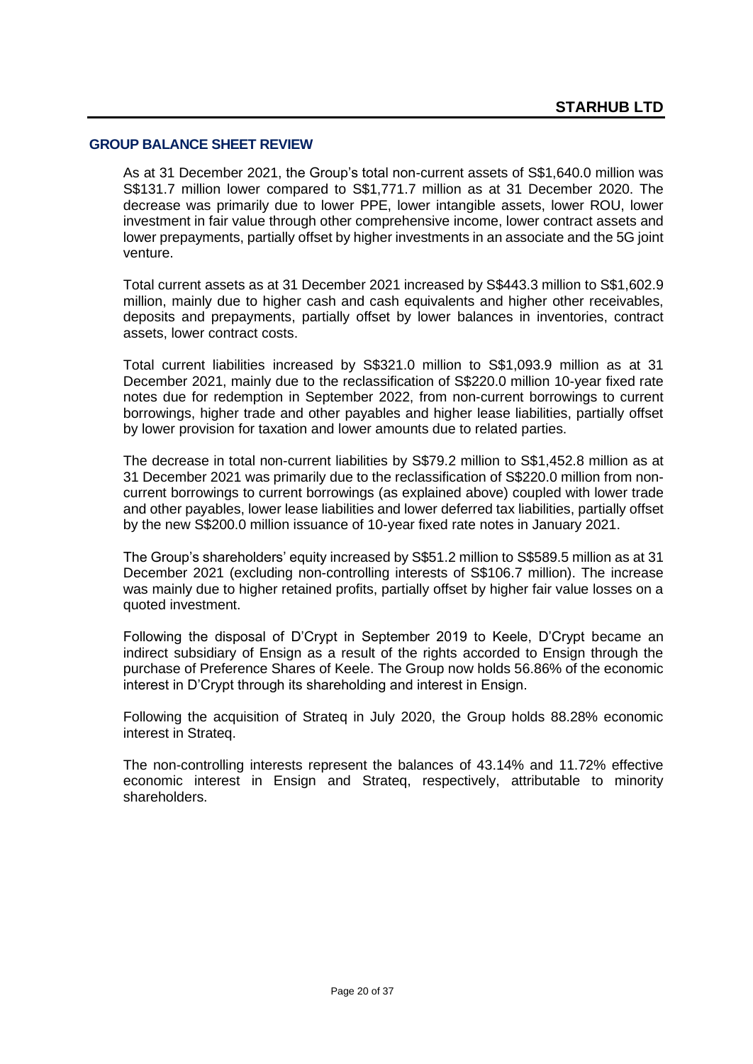#### **GROUP BALANCE SHEET REVIEW**

As at 31 December 2021, the Group's total non-current assets of S\$1,640.0 million was S\$131.7 million lower compared to S\$1,771.7 million as at 31 December 2020. The decrease was primarily due to lower PPE, lower intangible assets, lower ROU, lower investment in fair value through other comprehensive income, lower contract assets and lower prepayments, partially offset by higher investments in an associate and the 5G joint venture.

Total current assets as at 31 December 2021 increased by S\$443.3 million to S\$1,602.9 million, mainly due to higher cash and cash equivalents and higher other receivables, deposits and prepayments, partially offset by lower balances in inventories, contract assets, lower contract costs.

Total current liabilities increased by S\$321.0 million to S\$1,093.9 million as at 31 December 2021, mainly due to the reclassification of S\$220.0 million 10-year fixed rate notes due for redemption in September 2022, from non-current borrowings to current borrowings, higher trade and other payables and higher lease liabilities, partially offset by lower provision for taxation and lower amounts due to related parties.

The decrease in total non-current liabilities by S\$79.2 million to S\$1,452.8 million as at 31 December 2021 was primarily due to the reclassification of S\$220.0 million from noncurrent borrowings to current borrowings (as explained above) coupled with lower trade and other payables, lower lease liabilities and lower deferred tax liabilities, partially offset by the new S\$200.0 million issuance of 10-year fixed rate notes in January 2021.

The Group's shareholders' equity increased by S\$51.2 million to S\$589.5 million as at 31 December 2021 (excluding non-controlling interests of S\$106.7 million). The increase was mainly due to higher retained profits, partially offset by higher fair value losses on a quoted investment.

Following the disposal of D'Crypt in September 2019 to Keele, D'Crypt became an indirect subsidiary of Ensign as a result of the rights accorded to Ensign through the purchase of Preference Shares of Keele. The Group now holds 56.86% of the economic interest in D'Crypt through its shareholding and interest in Ensign.

Following the acquisition of Strateq in July 2020, the Group holds 88.28% economic interest in Strateq.

The non-controlling interests represent the balances of 43.14% and 11.72% effective economic interest in Ensign and Strateq, respectively, attributable to minority shareholders.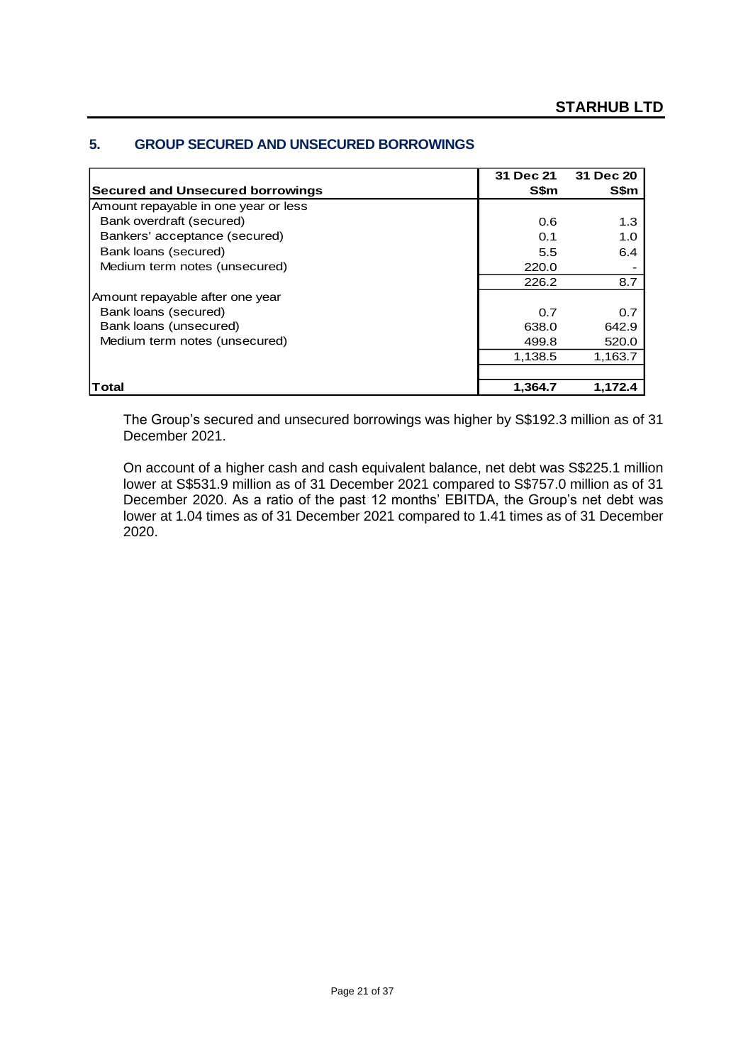|                                         | 31 Dec 21   | 31 Dec 20   |
|-----------------------------------------|-------------|-------------|
| <b>Secured and Unsecured borrowings</b> | <b>S\$m</b> | <b>S\$m</b> |
| Amount repayable in one year or less    |             |             |
| Bank overdraft (secured)                | 0.6         | 1.3         |
| Bankers' acceptance (secured)           | 0.1         | 1.0         |
| Bank loans (secured)                    | 5.5         | 6.4         |
| Medium term notes (unsecured)           | 220.0       |             |
|                                         | 226.2       | 8.7         |
| Amount repayable after one year         |             |             |
| Bank loans (secured)                    | 0.7         | 0.7         |
| Bank loans (unsecured)                  | 638.0       | 642.9       |
| Medium term notes (unsecured)           | 499.8       | 520.0       |
|                                         | 1,138.5     | 1,163.7     |
|                                         |             |             |
| Total                                   | 1,364.7     | 1.172.4     |

### **5. GROUP SECURED AND UNSECURED BORROWINGS**

The Group's secured and unsecured borrowings was higher by S\$192.3 million as of 31 December 2021.

On account of a higher cash and cash equivalent balance, net debt was S\$225.1 million lower at S\$531.9 million as of 31 December 2021 compared to S\$757.0 million as of 31 December 2020. As a ratio of the past 12 months' EBITDA, the Group's net debt was lower at 1.04 times as of 31 December 2021 compared to 1.41 times as of 31 December 2020.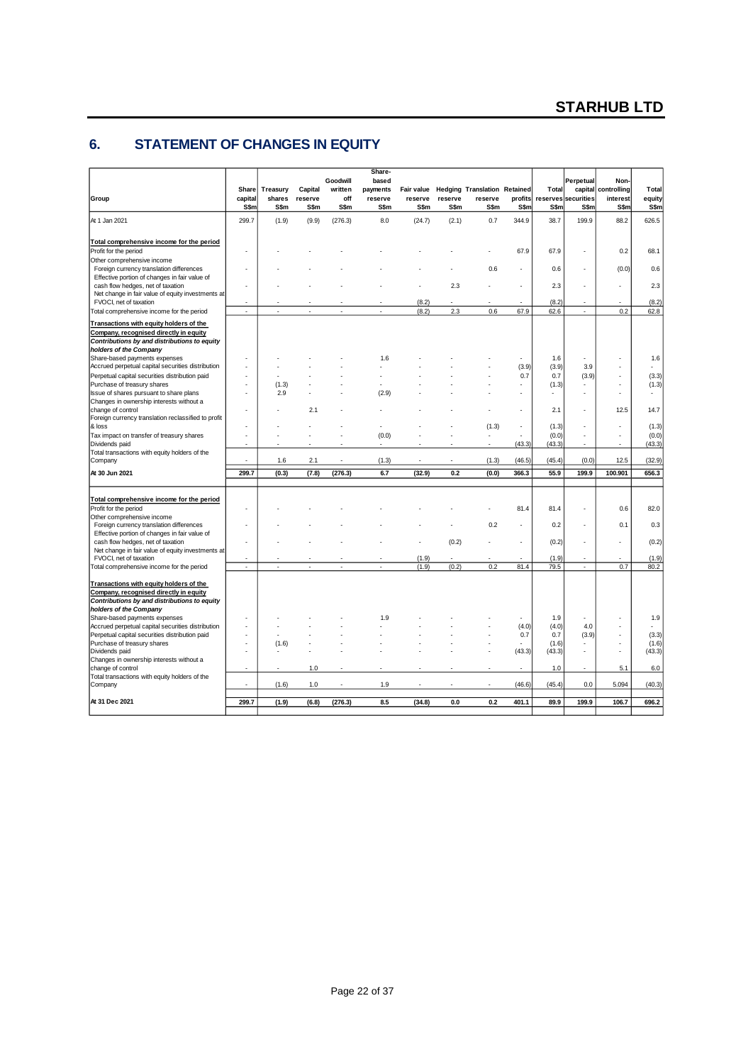### **6. STATEMENT OF CHANGES IN EQUITY**

| Group                                                                                                                             | Share<br>capital<br>S\$m | Treasury<br>shares<br>S\$m | Capital<br>reserve<br>S\$m | Goodwill<br>written<br>off<br>S\$m | Share-<br>based<br>payments<br>reserve<br><b>S\$m</b> | Fair value<br>reserve<br><b>S\$m</b> | reserve<br><b>S\$m</b> | <b>Hedging Translation Retained</b><br>reserve<br>S\$m | profits<br>S\$m | Total<br>S\$m  | Perpetual<br>capital<br>reserves securities<br>S\$m | Non-<br>controlling<br>interest<br>S\$m | Total<br>equity<br>S\$m |
|-----------------------------------------------------------------------------------------------------------------------------------|--------------------------|----------------------------|----------------------------|------------------------------------|-------------------------------------------------------|--------------------------------------|------------------------|--------------------------------------------------------|-----------------|----------------|-----------------------------------------------------|-----------------------------------------|-------------------------|
| At 1 Jan 2021                                                                                                                     | 299.7                    | (1.9)                      | (9.9)                      | (276.3)                            | 8.0                                                   | (24.7)                               | (2.1)                  | 0.7                                                    | 344.9           | 38.7           | 199.9                                               | 88.2                                    | 626.5                   |
| Total comprehensive income for the period                                                                                         |                          |                            |                            |                                    |                                                       |                                      |                        |                                                        |                 |                |                                                     |                                         |                         |
| Profit for the period                                                                                                             |                          |                            |                            |                                    |                                                       |                                      |                        |                                                        | 67.9            | 67.9           |                                                     | 0.2                                     | 68.1                    |
| Other comprehensive income                                                                                                        |                          |                            |                            |                                    |                                                       |                                      |                        |                                                        |                 |                |                                                     |                                         |                         |
| Foreign currency translation differences<br>Effective portion of changes in fair value of                                         |                          |                            |                            |                                    |                                                       |                                      |                        | 0.6                                                    |                 | 0.6            | ä,                                                  | (0.0)                                   | 0.6                     |
| cash flow hedges, net of taxation                                                                                                 |                          |                            |                            |                                    |                                                       |                                      | 2.3                    |                                                        |                 | 2.3            | ÷.                                                  |                                         | 2.3                     |
| Net change in fair value of equity investments at                                                                                 |                          |                            |                            |                                    |                                                       |                                      |                        |                                                        |                 |                |                                                     |                                         |                         |
| FVOCI, net of taxation                                                                                                            |                          |                            |                            |                                    |                                                       | (8.2)                                |                        |                                                        |                 | (8.2)          |                                                     |                                         | (8.2)                   |
| Total comprehensive income for the period                                                                                         | ä,                       |                            |                            |                                    |                                                       | (8.2)                                | 2.3                    | 0.6                                                    | 67.9            | 62.6           | ×,                                                  | 0.2                                     | 62.8                    |
| Transactions with equity holders of the<br>Company, recognised directly in equity<br>Contributions by and distributions to equity |                          |                            |                            |                                    |                                                       |                                      |                        |                                                        |                 |                |                                                     |                                         |                         |
| holders of the Company                                                                                                            |                          |                            |                            |                                    |                                                       |                                      |                        |                                                        |                 |                |                                                     |                                         |                         |
| Share-based payments expenses                                                                                                     |                          |                            |                            |                                    | 1.6                                                   |                                      |                        |                                                        |                 | 1.6            | ä,                                                  |                                         | 1.6                     |
| Accrued perpetual capital securities distribution                                                                                 |                          |                            |                            |                                    |                                                       |                                      |                        |                                                        | (3.9)           | (3.9)          | 3.9                                                 |                                         | ÷.                      |
| Perpetual capital securities distribution paid                                                                                    |                          |                            |                            |                                    |                                                       |                                      |                        |                                                        | 0.7             | 0.7            | (3.9)                                               |                                         | (3.3)                   |
| Purchase of treasury shares<br>Issue of shares pursuant to share plans                                                            |                          | (1.3)<br>2.9               |                            |                                    | (2.9)                                                 |                                      |                        |                                                        | ٠               | (1.3)          |                                                     |                                         | (1.3)                   |
| Changes in ownership interests without a                                                                                          |                          |                            |                            |                                    |                                                       |                                      |                        |                                                        |                 |                |                                                     |                                         |                         |
| change of control                                                                                                                 |                          |                            | 2.1                        |                                    |                                                       |                                      |                        |                                                        |                 | 2.1            | ä,                                                  | 12.5                                    | 14.7                    |
| Foreign currency translation reclassified to profit                                                                               |                          |                            |                            |                                    |                                                       |                                      |                        |                                                        |                 |                |                                                     |                                         |                         |
| & loss<br>Tax impact on transfer of treasury shares                                                                               | ä,                       |                            |                            |                                    | (0.0)                                                 |                                      |                        | (1.3)                                                  | ٠               | (1.3)<br>(0.0) | ä,<br>ä,                                            | ٠<br>٠                                  | (1.3)<br>(0.0)          |
| Dividends paid                                                                                                                    |                          |                            |                            |                                    |                                                       |                                      |                        |                                                        | (43.3)          | (43.3)         | ٠                                                   | $\overline{\phantom{a}}$                | (43.3)                  |
| Total transactions with equity holders of the<br>Company                                                                          |                          | 1.6                        | 2.1                        |                                    | (1.3)                                                 |                                      |                        | (1.3)                                                  | (46.5)          | (45.4)         | (0.0)                                               | 12.5                                    | (32.9)                  |
| At 30 Jun 2021                                                                                                                    | 299.7                    | (0.3)                      | (7.8)                      | (276.3)                            | 6.7                                                   | (32.9)                               | 0.2                    | (0.0)                                                  | 366.3           | 55.9           | 199.9                                               | 100.901                                 | 656.3                   |
|                                                                                                                                   |                          |                            |                            |                                    |                                                       |                                      |                        |                                                        |                 |                |                                                     |                                         |                         |
| Total comprehensive income for the period                                                                                         |                          |                            |                            |                                    |                                                       |                                      |                        |                                                        |                 |                |                                                     |                                         |                         |
| Profit for the period                                                                                                             |                          |                            |                            |                                    |                                                       |                                      |                        |                                                        | 81.4            | 81.4           | ä,                                                  | 0.6                                     | 82.0                    |
| Other comprehensive income<br>Foreign currency translation differences                                                            |                          |                            |                            |                                    |                                                       |                                      |                        | 0.2                                                    | ٠               | 0.2            | ä,                                                  | 0.1                                     | 0.3                     |
| Effective portion of changes in fair value of                                                                                     |                          |                            |                            |                                    |                                                       |                                      |                        |                                                        |                 |                |                                                     |                                         |                         |
| cash flow hedges, net of taxation                                                                                                 |                          |                            |                            |                                    |                                                       |                                      | (0.2)                  |                                                        |                 | (0.2)          | ä,                                                  | ٠                                       | (0.2)                   |
| Net change in fair value of equity investments at<br>FVOCI, net of taxation                                                       |                          |                            |                            |                                    |                                                       | (1.9)                                |                        |                                                        |                 | (1.9)          |                                                     |                                         | (1.9)                   |
| Total comprehensive income for the period                                                                                         | ÷.                       |                            |                            |                                    |                                                       | (1.9)                                | (0.2)                  | 0.2                                                    | 81.4            | 79.5           | ÷                                                   | 0.7                                     | 80.2                    |
|                                                                                                                                   |                          |                            |                            |                                    |                                                       |                                      |                        |                                                        |                 |                |                                                     |                                         |                         |
| Transactions with equity holders of the                                                                                           |                          |                            |                            |                                    |                                                       |                                      |                        |                                                        |                 |                |                                                     |                                         |                         |
| Company, recognised directly in equity<br>Contributions by and distributions to equity                                            |                          |                            |                            |                                    |                                                       |                                      |                        |                                                        |                 |                |                                                     |                                         |                         |
| holders of the Company                                                                                                            |                          |                            |                            |                                    |                                                       |                                      |                        |                                                        |                 |                |                                                     |                                         |                         |
| Share-based payments expenses                                                                                                     |                          |                            |                            |                                    | 1.9                                                   |                                      |                        |                                                        |                 | 1.9            |                                                     |                                         | 1.9                     |
| Accrued perpetual capital securities distribution                                                                                 |                          |                            |                            |                                    |                                                       |                                      |                        |                                                        | (4.0)           | (4.0)          | 4.0                                                 |                                         |                         |
| Perpetual capital securities distribution paid<br>Purchase of treasury shares                                                     | l,                       | (1.6)                      |                            |                                    |                                                       |                                      |                        |                                                        | 0.7             | 0.7<br>(1.6)   | (3.9)                                               |                                         | (3.3)<br>(1.6)          |
| Dividends paid                                                                                                                    |                          |                            |                            |                                    |                                                       |                                      |                        |                                                        | (43.3)          | (43.3)         | ä,                                                  | ٠                                       | (43.3)                  |
| Changes in ownership interests without a                                                                                          |                          |                            |                            |                                    |                                                       |                                      |                        |                                                        |                 |                |                                                     |                                         |                         |
| change of control                                                                                                                 |                          |                            | 1.0                        |                                    |                                                       |                                      |                        |                                                        |                 | 1.0            | ٠                                                   | 5.1                                     | 6.0                     |
| Total transactions with equity holders of the<br>Company                                                                          | ٠                        | (1.6)                      | 1.0                        |                                    | 1.9                                                   |                                      |                        |                                                        | (46.6)          | (45.4)         | 0.0                                                 | 5.094                                   | (40.3)                  |
|                                                                                                                                   |                          |                            |                            |                                    |                                                       |                                      |                        |                                                        |                 |                |                                                     |                                         |                         |
| At 31 Dec 2021                                                                                                                    | 299.7                    | (1.9)                      | (6.8)                      | (276.3)                            | 8.5                                                   | (34.8)                               | 0.0                    | 0.2                                                    | 401.1           | 89.9           | 199.9                                               | 106.7                                   | 696.2                   |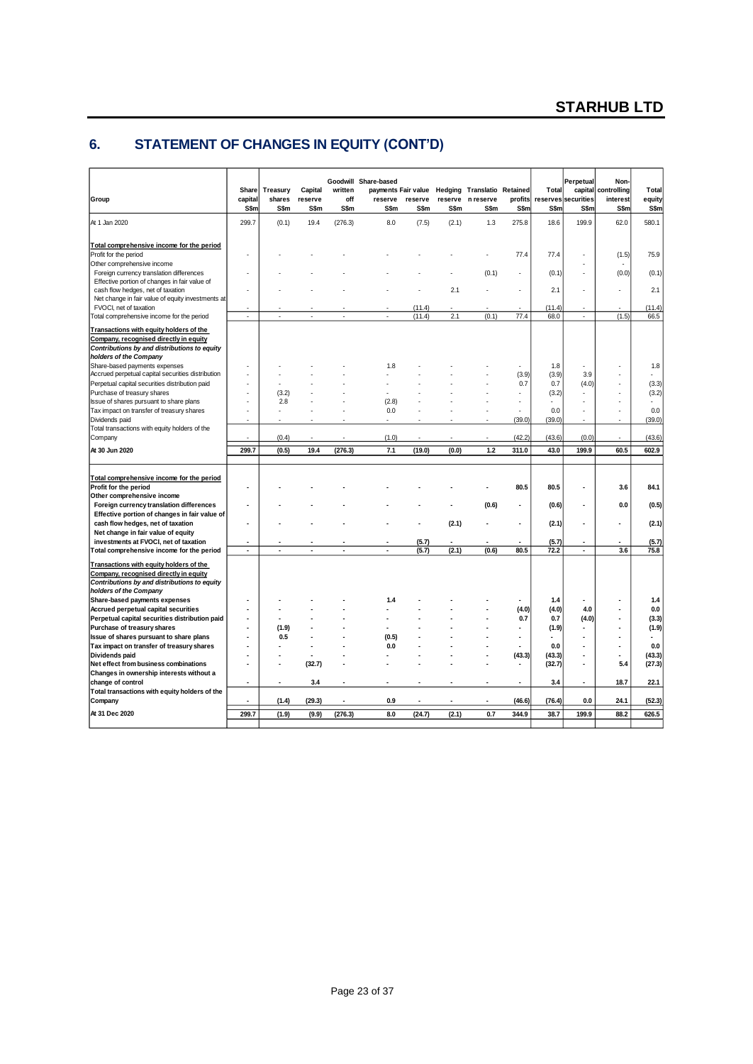# **6. STATEMENT OF CHANGES IN EQUITY (CONT'D)**

| Group                                                                                                                   | Share<br>capital<br>S\$m | Treasury<br>shares<br>S\$m | Capital<br>reserve<br><b>S\$m</b> | written<br>off<br>S\$m | Goodwill Share-based<br>payments Fair value<br>reserve<br>S\$m | reserve<br>S\$m | reserve<br>S\$m | <b>Hedging Translatio Retained</b><br>n reserve<br>S\$m | profits<br>S\$m | Total<br>S\$m | Perpetual<br>capital<br>reserves securities<br>S\$m | Non-<br>controlling<br>interest<br>S\$m | Total<br>equity<br>S\$m |
|-------------------------------------------------------------------------------------------------------------------------|--------------------------|----------------------------|-----------------------------------|------------------------|----------------------------------------------------------------|-----------------|-----------------|---------------------------------------------------------|-----------------|---------------|-----------------------------------------------------|-----------------------------------------|-------------------------|
| At 1 Jan 2020                                                                                                           | 299.7                    | (0.1)                      | 19.4                              | (276.3)                | 8.0                                                            | (7.5)           | (2.1)           | 1.3                                                     | 275.8           | 18.6          | 199.9                                               | 62.0                                    | 580.1                   |
| Total comprehensive income for the period<br>Profit for the period                                                      |                          |                            |                                   |                        |                                                                |                 |                 |                                                         | 77.4            | 77.4          |                                                     | (1.5)                                   | 75.9                    |
| Other comprehensive income<br>Foreign currency translation differences<br>Effective portion of changes in fair value of |                          |                            |                                   |                        |                                                                |                 |                 | (0.1)                                                   |                 | (0.1)         | ÷.                                                  | (0.0)                                   | (0.1)                   |
| cash flow hedges, net of taxation<br>Net change in fair value of equity investments at<br>FVOCI, net of taxation        |                          |                            |                                   |                        |                                                                | (11.4)          | 2.1             |                                                         |                 | 2.1<br>(11.4) |                                                     | ä,                                      | 2.1<br>(11.4)           |
| Total comprehensive income for the period                                                                               | ×,                       |                            |                                   |                        | ×.                                                             | (11.4)          | 2.1             | (0.1)                                                   | 77.4            | 68.0          | $\overline{\phantom{a}}$                            | (1.5)                                   | 66.5                    |
| Transactions with equity holders of the<br>Company, recognised directly in equity                                       |                          |                            |                                   |                        |                                                                |                 |                 |                                                         |                 |               |                                                     |                                         |                         |
| Contributions by and distributions to equity                                                                            |                          |                            |                                   |                        |                                                                |                 |                 |                                                         |                 |               |                                                     |                                         |                         |
| holders of the Company                                                                                                  |                          |                            |                                   |                        |                                                                |                 |                 |                                                         |                 |               |                                                     |                                         |                         |
| Share-based payments expenses<br>Accrued perpetual capital securities distribution                                      |                          |                            |                                   |                        | 1.8                                                            |                 |                 |                                                         | (3.9)           | 1.8<br>(3.9)  | 3.9                                                 |                                         | 1.8                     |
| Perpetual capital securities distribution paid                                                                          |                          |                            |                                   |                        |                                                                |                 |                 |                                                         | 0.7             | 0.7           | (4.0)<br>ä,                                         |                                         | (3.3)                   |
| Purchase of treasury shares<br>Issue of shares pursuant to share plans                                                  |                          | (3.2)<br>2.8               |                                   |                        | (2.8)                                                          |                 |                 |                                                         |                 | (3.2)<br>×.   |                                                     |                                         | (3.2)                   |
| Tax impact on transfer of treasury shares                                                                               |                          |                            |                                   |                        | 0.0                                                            |                 |                 |                                                         |                 | 0.0           |                                                     |                                         | 0.0                     |
| Dividends paid                                                                                                          |                          |                            |                                   |                        |                                                                |                 |                 |                                                         | (39.0)          | (39.0)        |                                                     | ä,                                      | (39.0)                  |
| Total transactions with equity holders of the<br>Company                                                                |                          | (0.4)                      |                                   |                        | (1.0)                                                          |                 |                 |                                                         | (42.2)          | (43.6)        | (0.0)                                               | ÷.                                      | (43.6)                  |
| At 30 Jun 2020                                                                                                          | 299.7                    | (0.5)                      | 19.4                              | (276.3)                | 7.1                                                            | (19.0)          | (0.0)           | $1.2$                                                   | 311.0           | 43.0          | 199.9                                               | 60.5                                    | 602.9                   |
|                                                                                                                         |                          |                            |                                   |                        |                                                                |                 |                 |                                                         |                 |               |                                                     |                                         |                         |
| Total comprehensive income for the period<br>Profit for the period                                                      |                          |                            |                                   |                        |                                                                |                 |                 |                                                         | 80.5            | 80.5          | ÷                                                   | 3.6                                     | 84.1                    |
| Other comprehensive income                                                                                              |                          |                            |                                   |                        |                                                                |                 |                 | (0.6)                                                   |                 | (0.6)         | ä,                                                  | 0.0                                     |                         |
| Foreign currency translation differences<br>Effective portion of changes in fair value of                               |                          |                            |                                   |                        |                                                                |                 |                 |                                                         |                 |               |                                                     |                                         | (0.5)                   |
| cash flow hedges, net of taxation                                                                                       |                          |                            |                                   |                        |                                                                |                 | (2.1)           |                                                         |                 | (2.1)         |                                                     | ٠                                       | (2.1)                   |
| Net change in fair value of equity                                                                                      |                          |                            |                                   |                        |                                                                |                 |                 |                                                         |                 |               |                                                     |                                         |                         |
| investments at FVOCI, net of taxation                                                                                   | <b>Single</b>            |                            |                                   |                        |                                                                | (5.7)           |                 |                                                         | ÷.              | (5.7)         | $\ddot{\phantom{1}}$                                | ä.                                      | (5.7)                   |
| Total comprehensive income for the period                                                                               | $\blacksquare$           | ä,                         |                                   | ä,                     | $\blacksquare$                                                 | (5.7)           | (2.1)           | (0.6)                                                   | 80.5            | 72.2          | $\blacksquare$                                      | 3.6                                     | 75.8                    |
| Transactions with equity holders of the<br>Company, recognised directly in equity                                       |                          |                            |                                   |                        |                                                                |                 |                 |                                                         |                 |               |                                                     |                                         |                         |
| Contributions by and distributions to equity                                                                            |                          |                            |                                   |                        |                                                                |                 |                 |                                                         |                 |               |                                                     |                                         |                         |
| holders of the Company                                                                                                  |                          |                            |                                   |                        |                                                                |                 |                 |                                                         |                 |               |                                                     |                                         |                         |
| Share-based payments expenses                                                                                           |                          |                            |                                   |                        | 1.4                                                            |                 |                 |                                                         |                 | 1.4           |                                                     |                                         | 1.4                     |
| Accrued perpetual capital securities<br>Perpetual capital securities distribution paid                                  |                          |                            |                                   |                        |                                                                |                 |                 |                                                         | (4.0)<br>0.7    | (4.0)<br>0.7  | 4.0<br>(4.0)                                        |                                         | 0.0<br>(3.3)            |
| Purchase of treasury shares                                                                                             |                          | (1.9)                      |                                   |                        |                                                                |                 |                 |                                                         |                 | (1.9)         |                                                     |                                         | (1.9)                   |
| Issue of shares pursuant to share plans                                                                                 |                          | 0.5                        |                                   |                        | (0.5)                                                          |                 |                 |                                                         | ÷               |               | ÷                                                   |                                         |                         |
| Tax impact on transfer of treasury shares                                                                               |                          |                            |                                   |                        | 0.0                                                            |                 |                 |                                                         |                 | 0.0           |                                                     |                                         | 0.0                     |
| Dividends paid                                                                                                          |                          |                            |                                   |                        |                                                                |                 |                 |                                                         | (43.3)          | (43.3)        | ÷                                                   |                                         | (43.3)                  |
| Net effect from business combinations                                                                                   |                          |                            | (32.7)                            |                        |                                                                |                 |                 |                                                         |                 | (32.7)        | $\blacksquare$                                      | 5.4                                     | (27.3)                  |
| Changes in ownership interests without a                                                                                |                          |                            |                                   |                        |                                                                |                 |                 |                                                         |                 |               |                                                     |                                         |                         |
| change of control                                                                                                       | $\blacksquare$           |                            | 3.4                               |                        |                                                                |                 |                 |                                                         |                 | 3.4           | ä,                                                  | 18.7                                    | 22.1                    |
| Total transactions with equity holders of the<br>Company                                                                |                          | (1.4)                      | (29.3)                            | ä,                     | 0.9                                                            | ä,              |                 | ä,                                                      | (46.6)          | (76.4)        | 0.0                                                 | 24.1                                    | (52.3)                  |
| At 31 Dec 2020                                                                                                          | 299.7                    | (1.9)                      | (9.9)                             | (276.3)                | 8.0                                                            |                 | (2.1)           | 0.7                                                     | 344.9           | 38.7          | 199.9                                               | 88.2                                    | 626.5                   |
|                                                                                                                         |                          |                            |                                   |                        |                                                                | (24.7)          |                 |                                                         |                 |               |                                                     |                                         |                         |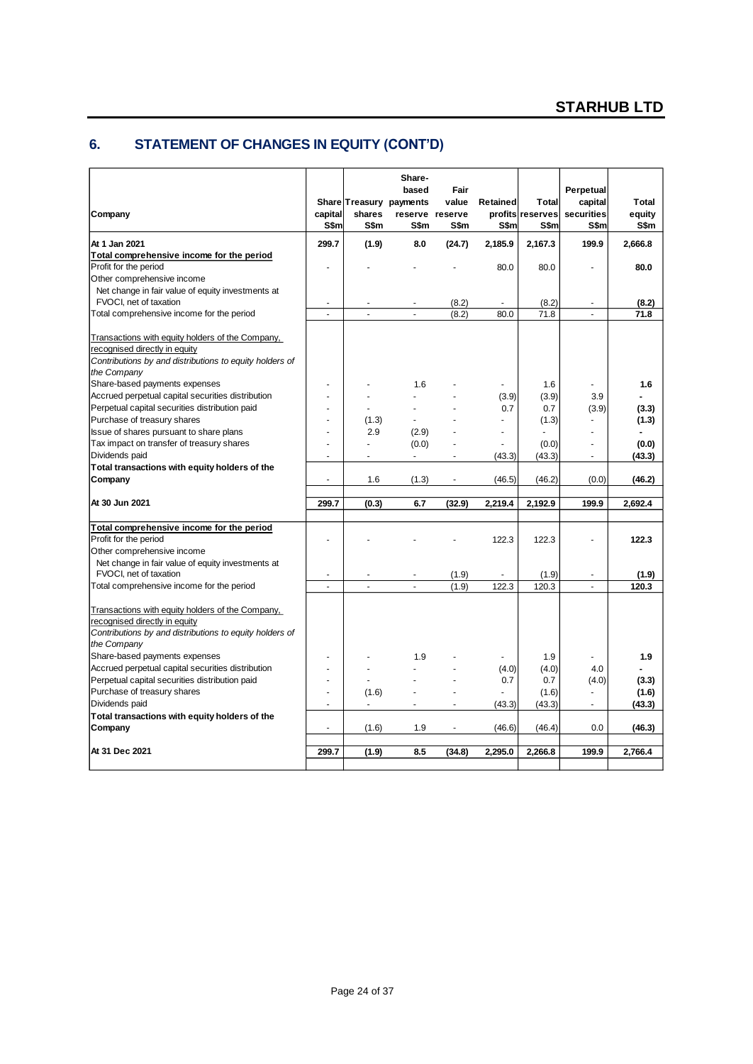# **6. STATEMENT OF CHANGES IN EQUITY (CONT'D)**

|                                                         |                          |                          | Share-<br>based                    | Fair                     |          |                                  | Perpetual                |                 |
|---------------------------------------------------------|--------------------------|--------------------------|------------------------------------|--------------------------|----------|----------------------------------|--------------------------|-----------------|
| Company                                                 | capital                  | shares                   | Share Treasury payments<br>reserve | value<br>reserve         | Retained | <b>Total</b><br>profits reserves | capital<br>securities    | Total<br>equity |
|                                                         | S\$m                     | S\$m                     | S\$m                               | S\$m                     | S\$m     | S\$m                             | S\$m                     | S\$m            |
| At 1 Jan 2021                                           | 299.7                    | (1.9)                    | 8.0                                | (24.7)                   | 2,185.9  | 2,167.3                          | 199.9                    | 2,666.8         |
| Total comprehensive income for the period               |                          |                          |                                    |                          |          |                                  |                          |                 |
| Profit for the period                                   |                          |                          |                                    |                          | 80.0     | 80.0                             | ä,                       | 80.0            |
| Other comprehensive income                              |                          |                          |                                    |                          |          |                                  |                          |                 |
| Net change in fair value of equity investments at       |                          |                          |                                    |                          |          |                                  |                          |                 |
| FVOCI, net of taxation                                  | $\sim$                   |                          |                                    | (8.2)                    | ÷        | (8.2)                            | $\ddot{\phantom{1}}$     | (8.2)           |
| Total comprehensive income for the period               | ÷.                       | $\overline{\phantom{a}}$ | $\overline{a}$                     | (8.2)                    | 80.0     | 71.8                             | ÷.                       | 71.8            |
| Transactions with equity holders of the Company,        |                          |                          |                                    |                          |          |                                  |                          |                 |
| recognised directly in equity                           |                          |                          |                                    |                          |          |                                  |                          |                 |
| Contributions by and distributions to equity holders of |                          |                          |                                    |                          |          |                                  |                          |                 |
| the Company                                             |                          |                          |                                    |                          |          |                                  |                          |                 |
| Share-based payments expenses                           | $\overline{a}$           |                          | 1.6                                |                          |          | 1.6                              | ä,                       | 1.6             |
| Accrued perpetual capital securities distribution       | $\overline{\phantom{a}}$ |                          |                                    |                          | (3.9)    | (3.9)                            | 3.9                      |                 |
| Perpetual capital securities distribution paid          |                          |                          |                                    |                          | 0.7      | 0.7                              | (3.9)                    | (3.3)           |
| Purchase of treasury shares                             |                          | (1.3)                    | ä,                                 |                          | ä,       | (1.3)                            | ٠                        | (1.3)           |
| Issue of shares pursuant to share plans                 |                          | 2.9                      | (2.9)                              |                          |          |                                  |                          |                 |
| Tax impact on transfer of treasury shares               | $\overline{\phantom{a}}$ | $\overline{a}$           | (0.0)                              | ٠                        | $\sim$   | (0.0)                            | $\overline{\phantom{a}}$ | (0.0)           |
| Dividends paid                                          | ÷                        | $\overline{\phantom{a}}$ |                                    | $\sim$                   | (43.3)   | (43.3)                           | $\sim$                   | (43.3)          |
| Total transactions with equity holders of the           |                          |                          |                                    |                          |          |                                  |                          |                 |
| Company                                                 | $\blacksquare$           | 1.6                      | (1.3)                              | $\overline{\phantom{a}}$ | (46.5)   | (46.2)                           | (0.0)                    | (46.2)          |
| At 30 Jun 2021                                          | 299.7                    | (0.3)                    | 6.7                                | (32.9)                   | 2,219.4  | 2,192.9                          | 199.9                    | 2,692.4         |
|                                                         |                          |                          |                                    |                          |          |                                  |                          |                 |
| Total comprehensive income for the period               |                          |                          |                                    |                          |          |                                  |                          |                 |
| Profit for the period                                   | ä,                       |                          |                                    |                          | 122.3    | 122.3                            |                          | 122.3           |
| Other comprehensive income                              |                          |                          |                                    |                          |          |                                  |                          |                 |
| Net change in fair value of equity investments at       |                          |                          |                                    |                          |          |                                  |                          |                 |
| FVOCI, net of taxation                                  | $\overline{\phantom{a}}$ |                          |                                    | (1.9)                    |          | (1.9)                            |                          | (1.9)           |
| Total comprehensive income for the period               | $\overline{a}$           |                          | $\overline{a}$                     | (1.9)                    | 122.3    | 120.3                            | $\overline{a}$           | 120.3           |
| Transactions with equity holders of the Company,        |                          |                          |                                    |                          |          |                                  |                          |                 |
| recognised directly in equity                           |                          |                          |                                    |                          |          |                                  |                          |                 |
| Contributions by and distributions to equity holders of |                          |                          |                                    |                          |          |                                  |                          |                 |
| the Company                                             |                          |                          |                                    |                          |          |                                  |                          |                 |
| Share-based payments expenses                           | ÷,                       |                          | 1.9                                |                          |          | 1.9                              |                          | 1.9             |
| Accrued perpetual capital securities distribution       |                          |                          |                                    |                          | (4.0)    | (4.0)                            | 4.0                      |                 |
| Perpetual capital securities distribution paid          |                          |                          |                                    |                          | 0.7      | 0.7                              | (4.0)                    | (3.3)           |
| Purchase of treasury shares                             | ä,                       | (1.6)                    |                                    | ä,                       | ÷,       | (1.6)                            | $\blacksquare$           | (1.6)           |
| Dividends paid                                          | $\overline{\phantom{a}}$ |                          | ÷.                                 | $\ddot{\phantom{1}}$     | (43.3)   | (43.3)                           | ٠                        | (43.3)          |
| Total transactions with equity holders of the           |                          |                          |                                    |                          |          |                                  |                          |                 |
| Company                                                 | $\blacksquare$           | (1.6)                    | 1.9                                | $\blacksquare$           | (46.6)   | (46.4)                           | 0.0                      | (46.3)          |
| At 31 Dec 2021                                          | 299.7                    | (1.9)                    | 8.5                                | (34.8)                   | 2,295.0  | 2,266.8                          | 199.9                    | 2,766.4         |
|                                                         |                          |                          |                                    |                          |          |                                  |                          |                 |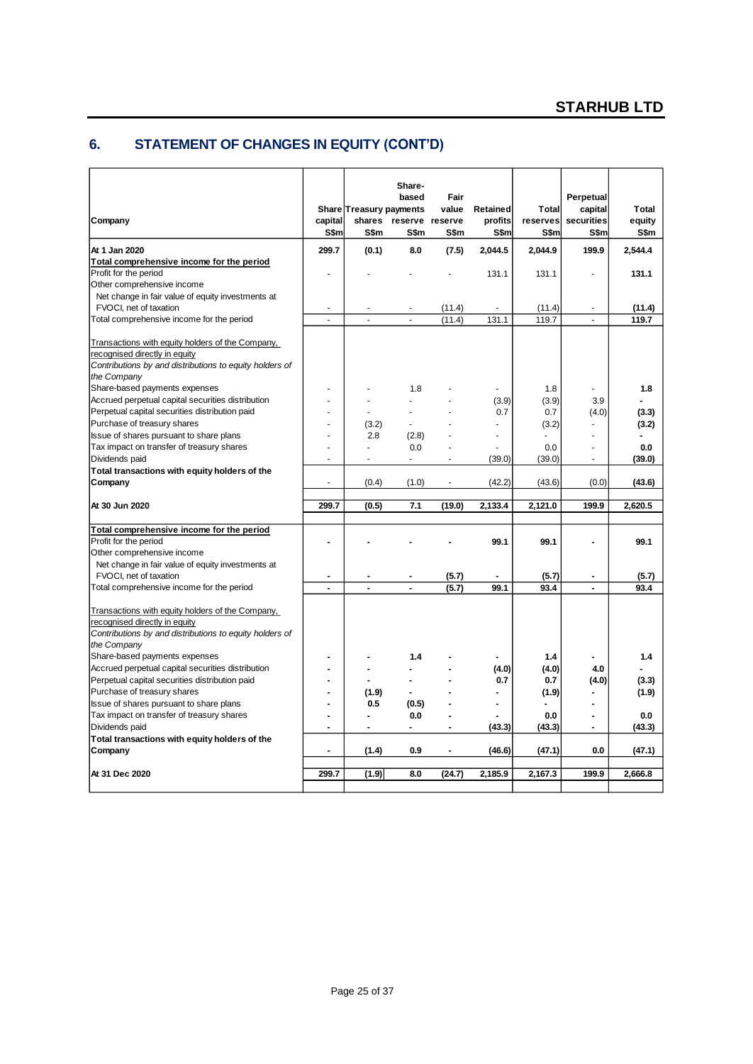# **6. STATEMENT OF CHANGES IN EQUITY (CONT'D)**

| Company                                                                                                                                                     | capital<br>S\$m          | Share Treasury payments<br>S\$m | Share-<br>based<br>shares reserve reserve<br>S\$m | Fair<br>value<br>S\$m    | <b>Retained</b><br>profits<br>S\$m | <b>Total</b><br>reserves<br>S\$m | Perpetual<br>capital<br>securities<br>S\$m | <b>Total</b><br>equity<br>S\$m |
|-------------------------------------------------------------------------------------------------------------------------------------------------------------|--------------------------|---------------------------------|---------------------------------------------------|--------------------------|------------------------------------|----------------------------------|--------------------------------------------|--------------------------------|
| At 1 Jan 2020                                                                                                                                               | 299.7                    | (0.1)                           | 8.0                                               | (7.5)                    | 2,044.5                            | 2,044.9                          | 199.9                                      | 2,544.4                        |
| Total comprehensive income for the period                                                                                                                   |                          |                                 |                                                   |                          |                                    |                                  |                                            |                                |
| Profit for the period                                                                                                                                       | ä,                       |                                 |                                                   |                          | 131.1                              | 131.1                            | ä,                                         | 131.1                          |
| Other comprehensive income                                                                                                                                  |                          |                                 |                                                   |                          |                                    |                                  |                                            |                                |
| Net change in fair value of equity investments at                                                                                                           |                          |                                 |                                                   |                          |                                    |                                  |                                            |                                |
| FVOCI, net of taxation                                                                                                                                      | $\overline{\phantom{a}}$ |                                 |                                                   | (11.4)                   | $\overline{a}$                     | (11.4)                           |                                            | (11.4)                         |
| Total comprehensive income for the period                                                                                                                   | $\overline{a}$           |                                 |                                                   | (11.4)                   | 131.1                              | 119.7                            | $\overline{a}$                             | 119.7                          |
| Transactions with equity holders of the Company,                                                                                                            |                          |                                 |                                                   |                          |                                    |                                  |                                            |                                |
| recognised directly in equity                                                                                                                               |                          |                                 |                                                   |                          |                                    |                                  |                                            |                                |
| Contributions by and distributions to equity holders of                                                                                                     |                          |                                 |                                                   |                          |                                    |                                  |                                            |                                |
| the Company                                                                                                                                                 |                          |                                 |                                                   |                          |                                    |                                  |                                            |                                |
| Share-based payments expenses                                                                                                                               | $\ddot{\phantom{0}}$     |                                 | 1.8                                               |                          |                                    | 1.8                              | $\blacksquare$                             | 1.8                            |
| Accrued perpetual capital securities distribution                                                                                                           |                          |                                 |                                                   |                          | (3.9)                              | (3.9)                            | 3.9                                        |                                |
| Perpetual capital securities distribution paid                                                                                                              |                          |                                 |                                                   |                          | 0.7                                | 0.7                              | (4.0)                                      | (3.3)                          |
| Purchase of treasury shares                                                                                                                                 |                          | (3.2)                           |                                                   |                          | $\overline{a}$                     | (3.2)                            | L.                                         | (3.2)                          |
| Issue of shares pursuant to share plans                                                                                                                     |                          | 2.8                             | (2.8)                                             |                          |                                    |                                  |                                            |                                |
| Tax impact on transfer of treasury shares                                                                                                                   | $\ddot{\phantom{0}}$     |                                 | 0.0                                               | $\overline{\phantom{a}}$ |                                    | 0.0                              | $\overline{a}$                             | 0.0                            |
| Dividends paid                                                                                                                                              | $\blacksquare$           |                                 | $\sim$                                            | $\sim$                   | (39.0)                             | (39.0)                           | $\blacksquare$                             | (39.0)                         |
| Total transactions with equity holders of the                                                                                                               |                          |                                 |                                                   |                          |                                    |                                  |                                            |                                |
| Company                                                                                                                                                     | $\overline{a}$           | (0.4)                           | (1.0)                                             | $\sim$                   | (42.2)                             | (43.6)                           | (0.0)                                      | (43.6)                         |
| At 30 Jun 2020                                                                                                                                              | 299.7                    | (0.5)                           | 7.1                                               | (19.0)                   | 2,133.4                            | 2,121.0                          | 199.9                                      | 2,620.5                        |
|                                                                                                                                                             |                          |                                 |                                                   |                          |                                    |                                  |                                            |                                |
| Total comprehensive income for the period                                                                                                                   |                          |                                 |                                                   |                          |                                    |                                  |                                            |                                |
| Profit for the period                                                                                                                                       | $\overline{a}$           |                                 |                                                   |                          | 99.1                               | 99.1                             |                                            | 99.1                           |
| Other comprehensive income                                                                                                                                  |                          |                                 |                                                   |                          |                                    |                                  |                                            |                                |
| Net change in fair value of equity investments at                                                                                                           |                          |                                 |                                                   |                          |                                    |                                  |                                            |                                |
| FVOCI, net of taxation                                                                                                                                      | $\blacksquare$           |                                 |                                                   | (5.7)                    |                                    | (5.7)                            | $\overline{a}$                             | (5.7)                          |
| Total comprehensive income for the period                                                                                                                   | ÷,                       | ÷,                              | L.                                                | (5.7)                    | 99.1                               | 93.4                             | $\blacksquare$                             | 93.4                           |
| Transactions with equity holders of the Company,<br>recognised directly in equity<br>Contributions by and distributions to equity holders of<br>the Company |                          |                                 |                                                   |                          |                                    |                                  |                                            |                                |
| Share-based payments expenses                                                                                                                               | $\overline{a}$           |                                 | 1.4                                               |                          |                                    | 1.4                              |                                            |                                |
| Accrued perpetual capital securities distribution                                                                                                           |                          |                                 |                                                   |                          | (4.0)                              | (4.0)                            | 4.0                                        | 1.4                            |
| Perpetual capital securities distribution paid                                                                                                              |                          |                                 |                                                   |                          | 0.7                                | 0.7                              | (4.0)                                      | (3.3)                          |
| Purchase of treasury shares                                                                                                                                 | $\overline{\phantom{a}}$ | (1.9)                           |                                                   |                          | $\blacksquare$                     | (1.9)                            | ۰                                          | (1.9)                          |
| Issue of shares pursuant to share plans                                                                                                                     | $\overline{\phantom{a}}$ | 0.5                             | (0.5)                                             |                          | Ĭ.                                 |                                  |                                            |                                |
| Tax impact on transfer of treasury shares                                                                                                                   |                          |                                 | 0.0                                               |                          |                                    | 0.0                              |                                            | 0.0                            |
| Dividends paid                                                                                                                                              |                          | $\blacksquare$                  | $\blacksquare$                                    | $\blacksquare$           | (43.3)                             | (43.3)                           | ۰                                          | (43.3)                         |
| Total transactions with equity holders of the                                                                                                               |                          |                                 |                                                   |                          |                                    |                                  |                                            |                                |
| Company                                                                                                                                                     | $\overline{\phantom{a}}$ | (1.4)                           | 0.9                                               | $\blacksquare$           | (46.6)                             | (47.1)                           | 0.0                                        | (47.1)                         |
| At 31 Dec 2020                                                                                                                                              | 299.7                    | (1.9)                           | 8.0                                               | (24.7)                   | 2,185.9                            | 2,167.3                          | 199.9                                      | 2.666.8                        |
|                                                                                                                                                             |                          |                                 |                                                   |                          |                                    |                                  |                                            |                                |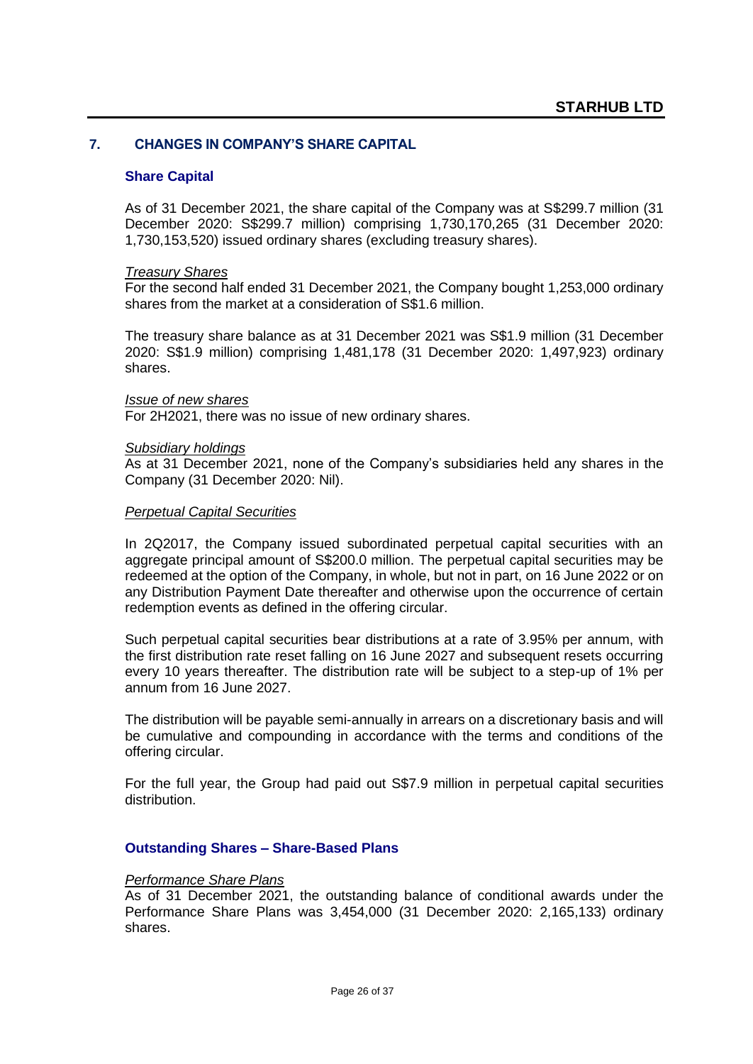### **7. CHANGES IN COMPANY'S SHARE CAPITAL**

#### **Share Capital**

As of 31 December 2021, the share capital of the Company was at S\$299.7 million (31 December 2020: S\$299.7 million) comprising 1,730,170,265 (31 December 2020: 1,730,153,520) issued ordinary shares (excluding treasury shares).

#### *Treasury Shares*

For the second half ended 31 December 2021, the Company bought 1,253,000 ordinary shares from the market at a consideration of S\$1.6 million.

The treasury share balance as at 31 December 2021 was S\$1.9 million (31 December 2020: S\$1.9 million) comprising 1,481,178 (31 December 2020: 1,497,923) ordinary shares.

#### *Issue of new shares*

For 2H2021, there was no issue of new ordinary shares.

#### *Subsidiary holdings*

As at 31 December 2021, none of the Company's subsidiaries held any shares in the Company (31 December 2020: Nil).

#### *Perpetual Capital Securities*

In 2Q2017, the Company issued subordinated perpetual capital securities with an aggregate principal amount of S\$200.0 million. The perpetual capital securities may be redeemed at the option of the Company, in whole, but not in part, on 16 June 2022 or on any Distribution Payment Date thereafter and otherwise upon the occurrence of certain redemption events as defined in the offering circular.

Such perpetual capital securities bear distributions at a rate of 3.95% per annum, with the first distribution rate reset falling on 16 June 2027 and subsequent resets occurring every 10 years thereafter. The distribution rate will be subject to a step-up of 1% per annum from 16 June 2027.

The distribution will be payable semi-annually in arrears on a discretionary basis and will be cumulative and compounding in accordance with the terms and conditions of the offering circular.

For the full year, the Group had paid out S\$7.9 million in perpetual capital securities distribution.

#### **Outstanding Shares – Share-Based Plans**

#### *Performance Share Plans*

As of 31 December 2021, the outstanding balance of conditional awards under the Performance Share Plans was 3,454,000 (31 December 2020: 2,165,133) ordinary shares.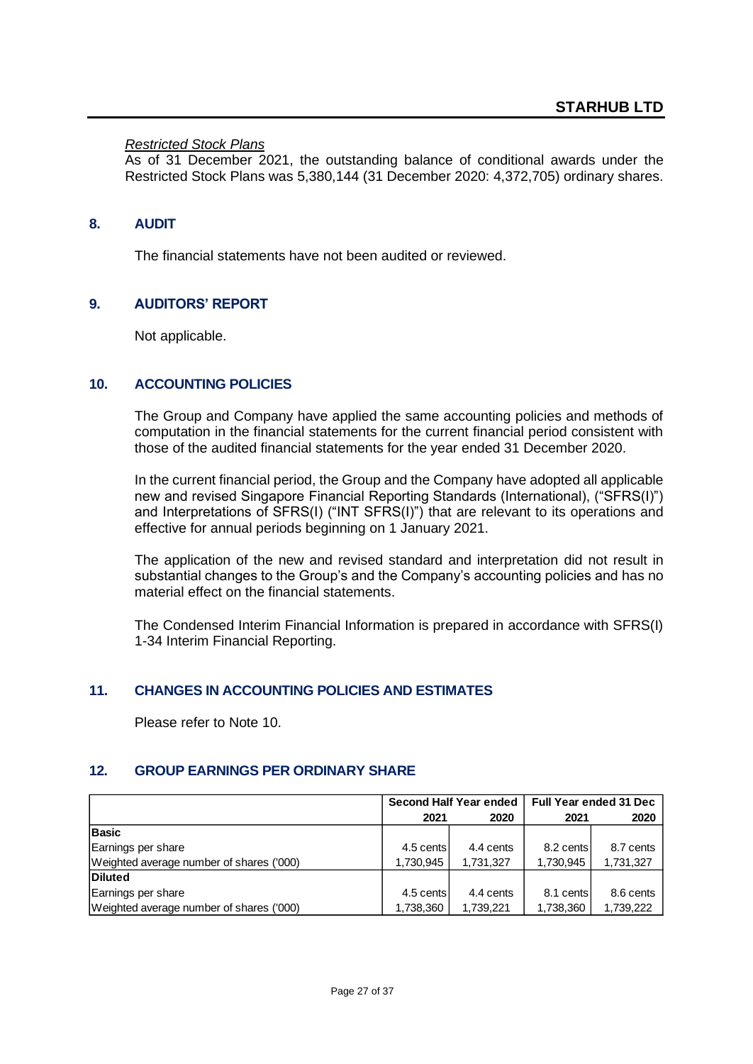### *Restricted Stock Plans*

As of 31 December 2021, the outstanding balance of conditional awards under the Restricted Stock Plans was 5,380,144 (31 December 2020: 4,372,705) ordinary shares.

### **8. AUDIT**

The financial statements have not been audited or reviewed.

### **9. AUDITORS' REPORT**

Not applicable.

### **10. ACCOUNTING POLICIES**

The Group and Company have applied the same accounting policies and methods of computation in the financial statements for the current financial period consistent with those of the audited financial statements for the year ended 31 December 2020.

In the current financial period, the Group and the Company have adopted all applicable new and revised Singapore Financial Reporting Standards (International), ("SFRS(I)") and Interpretations of SFRS(I) ("INT SFRS(I)") that are relevant to its operations and effective for annual periods beginning on 1 January 2021.

The application of the new and revised standard and interpretation did not result in substantial changes to the Group's and the Company's accounting policies and has no material effect on the financial statements.

The Condensed Interim Financial Information is prepared in accordance with SFRS(I) 1-34 Interim Financial Reporting.

### **11. CHANGES IN ACCOUNTING POLICIES AND ESTIMATES**

Please refer to Note 10.

### **12. GROUP EARNINGS PER ORDINARY SHARE**

|                                          |           | Second Half Year ended | <b>Full Year ended 31 Dec</b> |           |  |
|------------------------------------------|-----------|------------------------|-------------------------------|-----------|--|
|                                          | 2021      | 2020                   | 2021                          | 2020      |  |
| <b>Basic</b>                             |           |                        |                               |           |  |
| Earnings per share                       | 4.5 cents | 4.4 cents              | 8.2 cents                     | 8.7 cents |  |
| Weighted average number of shares ('000) | 1,730,945 | 1,731,327              | 1,730,945                     | 1,731,327 |  |
| Diluted                                  |           |                        |                               |           |  |
| Earnings per share                       | 4.5 cents | 4.4 cents              | 8.1 cents                     | 8.6 cents |  |
| Weighted average number of shares ('000) | 1,738,360 | 1.739.221              | 1,738,360                     | 1,739,222 |  |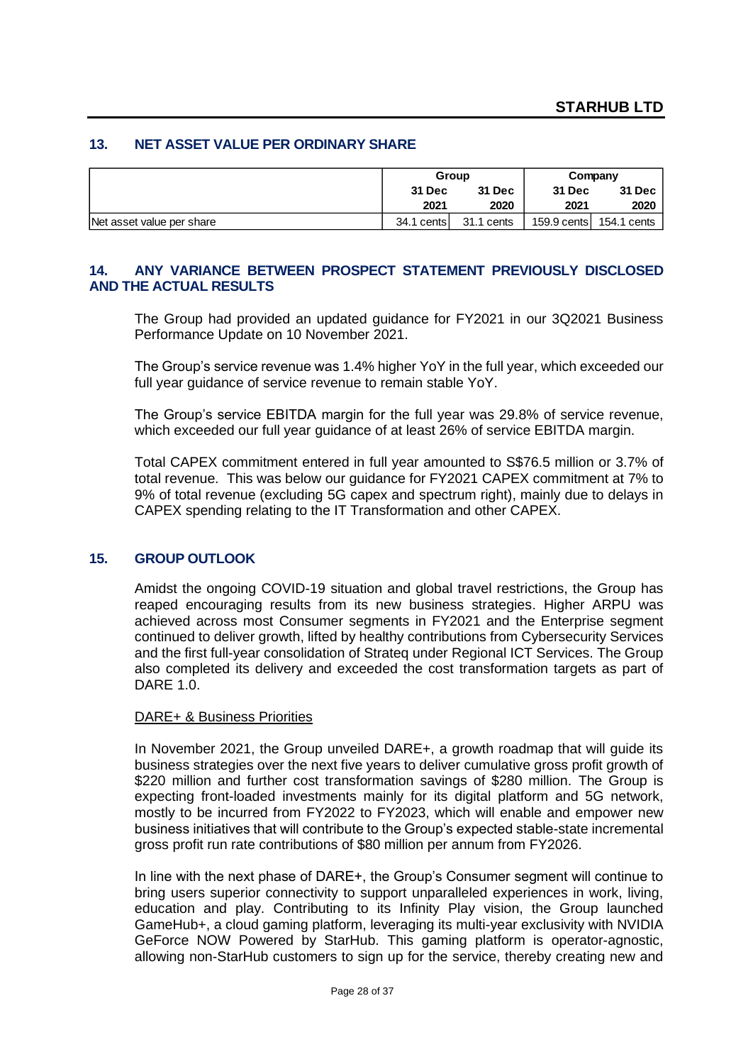#### **13. NET ASSET VALUE PER ORDINARY SHARE**

|                           |            | Group         | Company       |                         |  |
|---------------------------|------------|---------------|---------------|-------------------------|--|
|                           | 31 Dec     | <b>31 Dec</b> | <b>31 Dec</b> | <b>31 Dec</b>           |  |
|                           | 2021       | 2020          | 2021          | 2020                    |  |
| Net asset value per share | 34.1 cents | 31.1 cents    |               | 159.9 cents 154.1 cents |  |

### **14. ANY VARIANCE BETWEEN PROSPECT STATEMENT PREVIOUSLY DISCLOSED AND THE ACTUAL RESULTS**

The Group had provided an updated guidance for FY2021 in our 3Q2021 Business Performance Update on 10 November 2021.

The Group's service revenue was 1.4% higher YoY in the full year, which exceeded our full year guidance of service revenue to remain stable YoY.

The Group's service EBITDA margin for the full year was 29.8% of service revenue, which exceeded our full year guidance of at least 26% of service EBITDA margin.

Total CAPEX commitment entered in full year amounted to S\$76.5 million or 3.7% of total revenue. This was below our guidance for FY2021 CAPEX commitment at 7% to 9% of total revenue (excluding 5G capex and spectrum right), mainly due to delays in CAPEX spending relating to the IT Transformation and other CAPEX.

#### **15. GROUP OUTLOOK**

Amidst the ongoing COVID-19 situation and global travel restrictions, the Group has reaped encouraging results from its new business strategies. Higher ARPU was achieved across most Consumer segments in FY2021 and the Enterprise segment continued to deliver growth, lifted by healthy contributions from Cybersecurity Services and the first full-year consolidation of Strateq under Regional ICT Services. The Group also completed its delivery and exceeded the cost transformation targets as part of DARE 1.0.

#### DARE+ & Business Priorities

In November 2021, the Group unveiled DARE+, a growth roadmap that will guide its business strategies over the next five years to deliver cumulative gross profit growth of \$220 million and further cost transformation savings of \$280 million. The Group is expecting front-loaded investments mainly for its digital platform and 5G network, mostly to be incurred from FY2022 to FY2023, which will enable and empower new business initiatives that will contribute to the Group's expected stable-state incremental gross profit run rate contributions of \$80 million per annum from FY2026.

In line with the next phase of DARE+, the Group's Consumer segment will continue to bring users superior connectivity to support unparalleled experiences in work, living, education and play. Contributing to its Infinity Play vision, the Group launched GameHub+, a cloud gaming platform, leveraging its multi-year exclusivity with NVIDIA GeForce NOW Powered by StarHub. This gaming platform is operator-agnostic, allowing non-StarHub customers to sign up for the service, thereby creating new and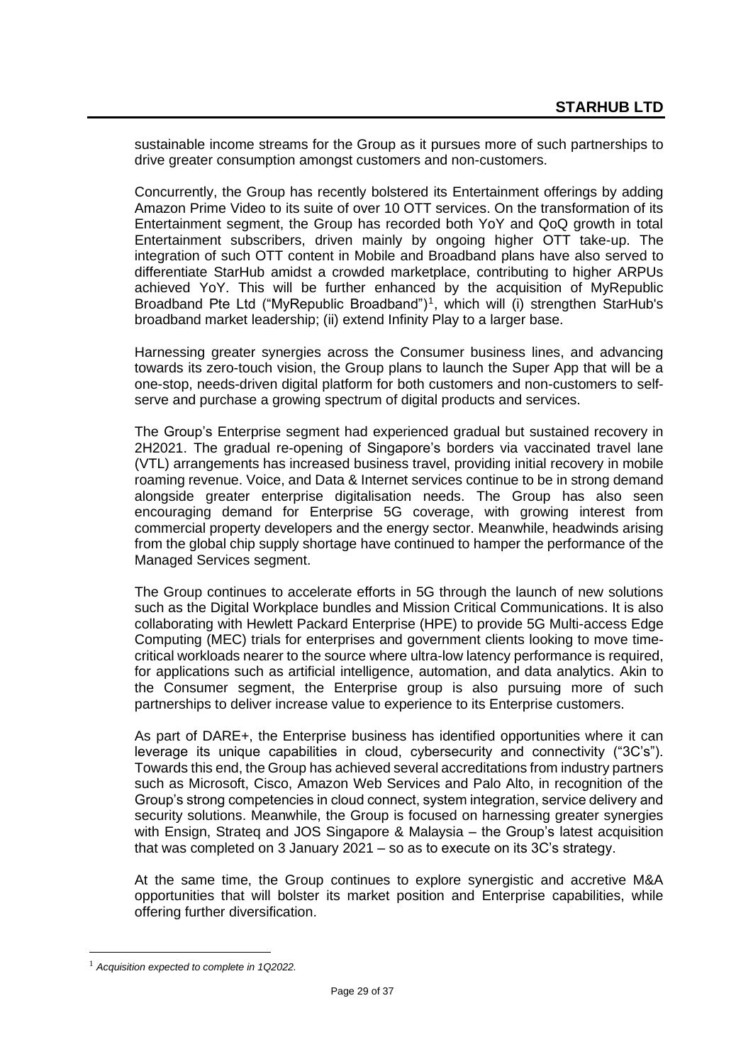sustainable income streams for the Group as it pursues more of such partnerships to drive greater consumption amongst customers and non-customers.

Concurrently, the Group has recently bolstered its Entertainment offerings by adding Amazon Prime Video to its suite of over 10 OTT services. On the transformation of its Entertainment segment, the Group has recorded both YoY and QoQ growth in total Entertainment subscribers, driven mainly by ongoing higher OTT take-up. The integration of such OTT content in Mobile and Broadband plans have also served to differentiate StarHub amidst a crowded marketplace, contributing to higher ARPUs achieved YoY. This will be further enhanced by the acquisition of MyRepublic Broadband Pte Ltd ("MyRepublic Broadband")<sup>1</sup>, which will (i) strengthen StarHub's broadband market leadership; (ii) extend Infinity Play to a larger base.

Harnessing greater synergies across the Consumer business lines, and advancing towards its zero-touch vision, the Group plans to launch the Super App that will be a one-stop, needs-driven digital platform for both customers and non-customers to selfserve and purchase a growing spectrum of digital products and services.

The Group's Enterprise segment had experienced gradual but sustained recovery in 2H2021. The gradual re-opening of Singapore's borders via vaccinated travel lane (VTL) arrangements has increased business travel, providing initial recovery in mobile roaming revenue. Voice, and Data & Internet services continue to be in strong demand alongside greater enterprise digitalisation needs. The Group has also seen encouraging demand for Enterprise 5G coverage, with growing interest from commercial property developers and the energy sector. Meanwhile, headwinds arising from the global chip supply shortage have continued to hamper the performance of the Managed Services segment.

The Group continues to accelerate efforts in 5G through the launch of new solutions such as the Digital Workplace bundles and Mission Critical Communications. It is also collaborating with Hewlett Packard Enterprise (HPE) to provide 5G Multi-access Edge Computing (MEC) trials for enterprises and government clients looking to move timecritical workloads nearer to the source where ultra-low latency performance is required, for applications such as artificial intelligence, automation, and data analytics. Akin to the Consumer segment, the Enterprise group is also pursuing more of such partnerships to deliver increase value to experience to its Enterprise customers.

As part of DARE+, the Enterprise business has identified opportunities where it can leverage its unique capabilities in cloud, cybersecurity and connectivity ("3C's"). Towards this end, the Group has achieved several accreditations from industry partners such as Microsoft, Cisco, Amazon Web Services and Palo Alto, in recognition of the Group's strong competencies in cloud connect, system integration, service delivery and security solutions. Meanwhile, the Group is focused on harnessing greater synergies with Ensign, Strateq and JOS Singapore & Malaysia – the Group's latest acquisition that was completed on 3 January 2021 – so as to execute on its 3C's strategy.

At the same time, the Group continues to explore synergistic and accretive M&A opportunities that will bolster its market position and Enterprise capabilities, while offering further diversification.

<sup>1</sup> *Acquisition expected to complete in 1Q2022.*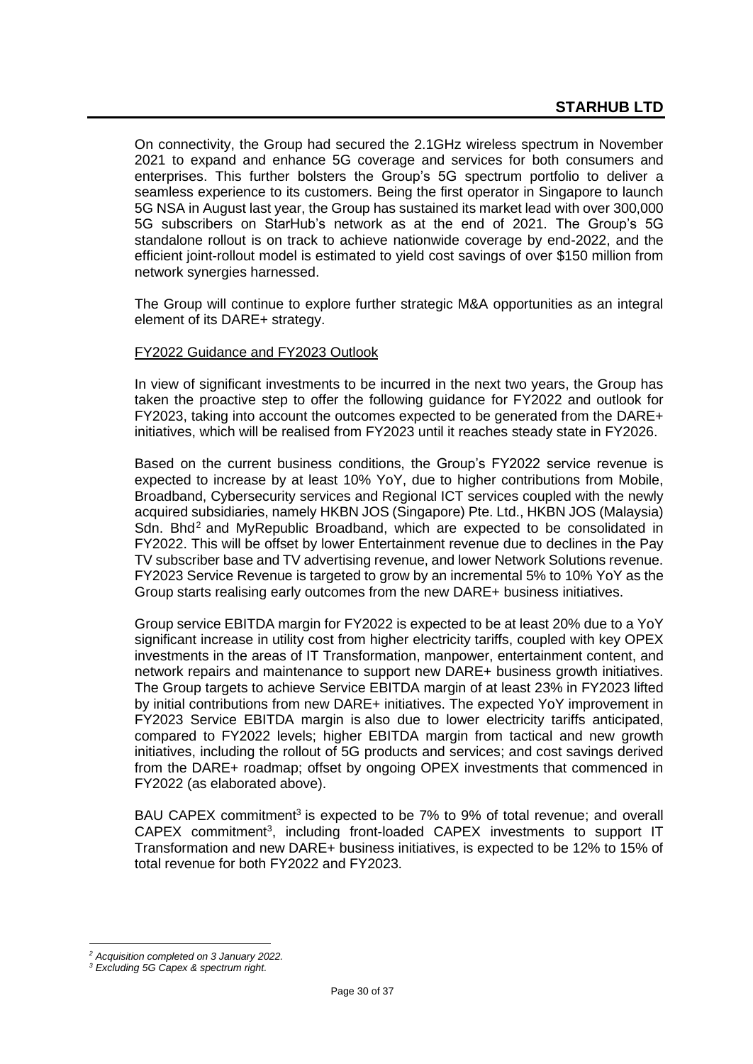On connectivity, the Group had secured the 2.1GHz wireless spectrum in November 2021 to expand and enhance 5G coverage and services for both consumers and enterprises. This further bolsters the Group's 5G spectrum portfolio to deliver a seamless experience to its customers. Being the first operator in Singapore to launch 5G NSA in August last year, the Group has sustained its market lead with over 300,000 5G subscribers on StarHub's network as at the end of 2021. The Group's 5G standalone rollout is on track to achieve nationwide coverage by end-2022, and the efficient joint-rollout model is estimated to yield cost savings of over \$150 million from network synergies harnessed.

The Group will continue to explore further strategic M&A opportunities as an integral element of its DARE+ strategy.

### FY2022 Guidance and FY2023 Outlook

In view of significant investments to be incurred in the next two years, the Group has taken the proactive step to offer the following guidance for FY2022 and outlook for FY2023, taking into account the outcomes expected to be generated from the DARE+ initiatives, which will be realised from FY2023 until it reaches steady state in FY2026.

Based on the current business conditions, the Group's FY2022 service revenue is expected to increase by at least 10% YoY, due to higher contributions from Mobile, Broadband, Cybersecurity services and Regional ICT services coupled with the newly acquired subsidiaries, namely HKBN JOS (Singapore) Pte. Ltd., HKBN JOS (Malaysia) Sdn. Bhd<sup>2</sup> and MyRepublic Broadband, which are expected to be consolidated in FY2022. This will be offset by lower Entertainment revenue due to declines in the Pay TV subscriber base and TV advertising revenue, and lower Network Solutions revenue. FY2023 Service Revenue is targeted to grow by an incremental 5% to 10% YoY as the Group starts realising early outcomes from the new DARE+ business initiatives.

Group service EBITDA margin for FY2022 is expected to be at least 20% due to a YoY significant increase in utility cost from higher electricity tariffs, coupled with key OPEX investments in the areas of IT Transformation, manpower, entertainment content, and network repairs and maintenance to support new DARE+ business growth initiatives. The Group targets to achieve Service EBITDA margin of at least 23% in FY2023 lifted by initial contributions from new DARE+ initiatives. The expected YoY improvement in FY2023 Service EBITDA margin is also due to lower electricity tariffs anticipated, compared to FY2022 levels; higher EBITDA margin from tactical and new growth initiatives, including the rollout of 5G products and services; and cost savings derived from the DARE+ roadmap; offset by ongoing OPEX investments that commenced in FY2022 (as elaborated above).

BAU CAPEX commitment<sup>3</sup> is expected to be 7% to 9% of total revenue; and overall CAPEX commitment<sup>3</sup>, including front-loaded CAPEX investments to support IT Transformation and new DARE+ business initiatives, is expected to be 12% to 15% of total revenue for both FY2022 and FY2023.

*<sup>2</sup> Acquisition completed on 3 January 2022.*

*<sup>3</sup> Excluding 5G Capex & spectrum right.*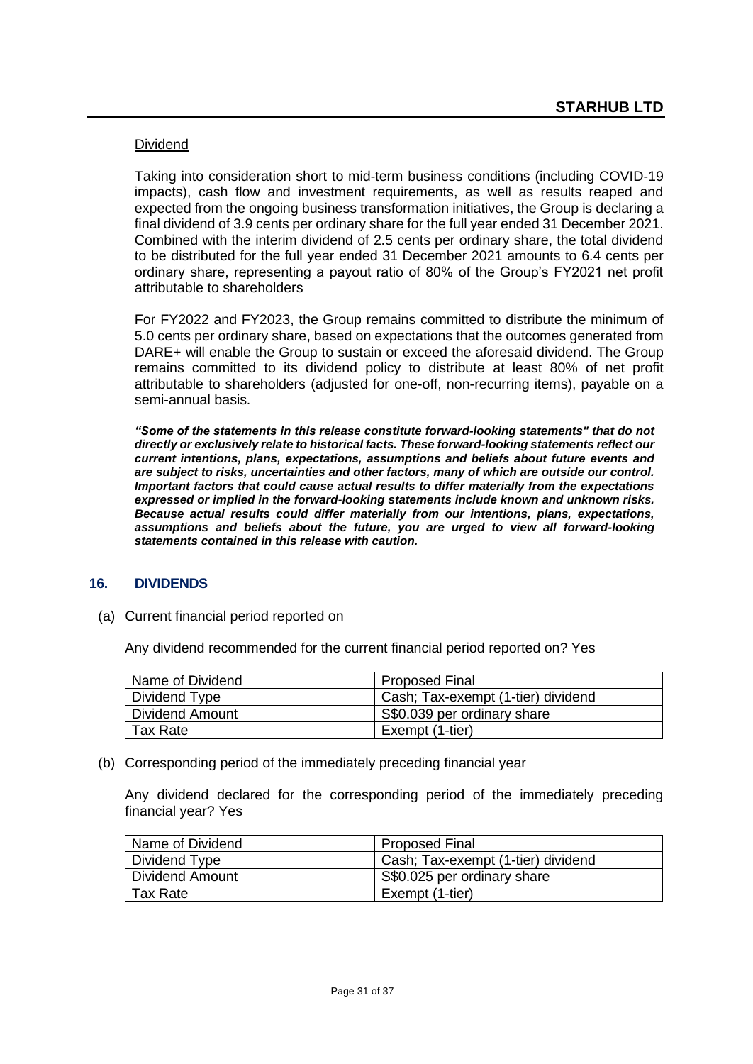### Dividend

Taking into consideration short to mid-term business conditions (including COVID-19 impacts), cash flow and investment requirements, as well as results reaped and expected from the ongoing business transformation initiatives, the Group is declaring a final dividend of 3.9 cents per ordinary share for the full year ended 31 December 2021. Combined with the interim dividend of 2.5 cents per ordinary share, the total dividend to be distributed for the full year ended 31 December 2021 amounts to 6.4 cents per ordinary share, representing a payout ratio of 80% of the Group's FY2021 net profit attributable to shareholders

For FY2022 and FY2023, the Group remains committed to distribute the minimum of 5.0 cents per ordinary share, based on expectations that the outcomes generated from DARE+ will enable the Group to sustain or exceed the aforesaid dividend. The Group remains committed to its dividend policy to distribute at least 80% of net profit attributable to shareholders (adjusted for one-off, non-recurring items), payable on a semi-annual basis.

*"Some of the statements in this release constitute forward-looking statements" that do not directly or exclusively relate to historical facts. These forward-looking statements reflect our current intentions, plans, expectations, assumptions and beliefs about future events and are subject to risks, uncertainties and other factors, many of which are outside our control. Important factors that could cause actual results to differ materially from the expectations expressed or implied in the forward-looking statements include known and unknown risks. Because actual results could differ materially from our intentions, plans, expectations, assumptions and beliefs about the future, you are urged to view all forward-looking statements contained in this release with caution.*

#### **16. DIVIDENDS**

(a) Current financial period reported on

Any dividend recommended for the current financial period reported on? Yes

| Name of Dividend | <b>Proposed Final</b>              |
|------------------|------------------------------------|
| Dividend Type    | Cash; Tax-exempt (1-tier) dividend |
| Dividend Amount  | S\$0.039 per ordinary share        |
| <b>Tax Rate</b>  | Exempt (1-tier)                    |

(b) Corresponding period of the immediately preceding financial year

Any dividend declared for the corresponding period of the immediately preceding financial year? Yes

| Name of Dividend | <b>Proposed Final</b>              |
|------------------|------------------------------------|
| Dividend Type    | Cash; Tax-exempt (1-tier) dividend |
| Dividend Amount  | S\$0.025 per ordinary share        |
| Tax Rate         | Exempt (1-tier)                    |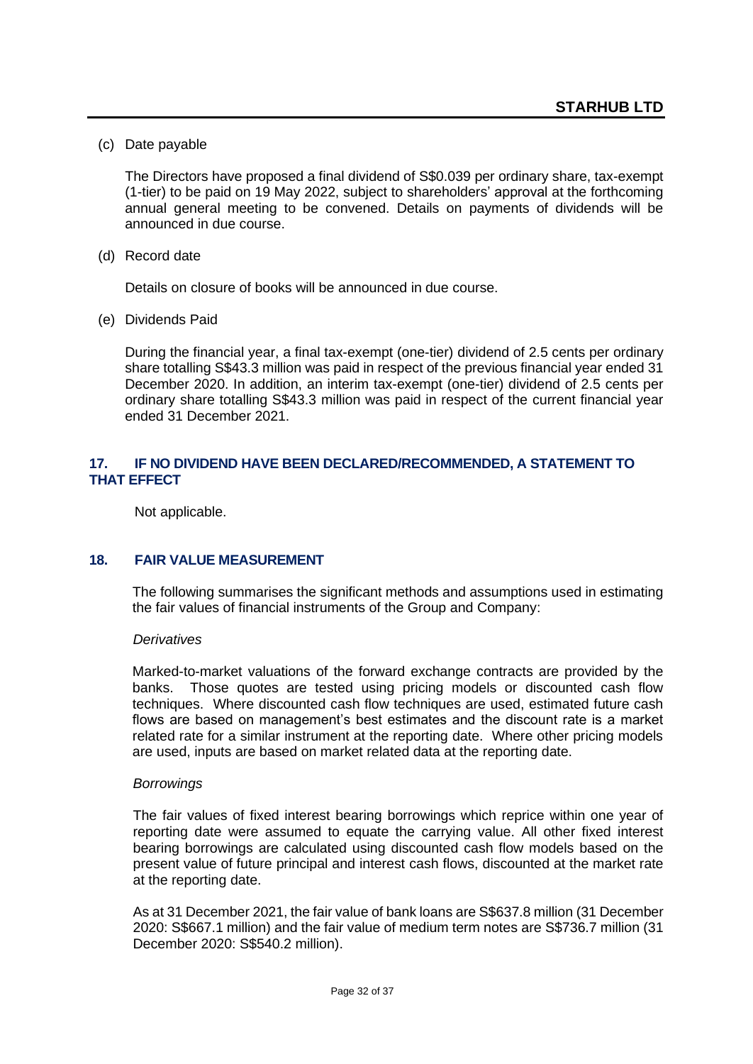(c) Date payable

The Directors have proposed a final dividend of S\$0.039 per ordinary share, tax-exempt (1-tier) to be paid on 19 May 2022, subject to shareholders' approval at the forthcoming annual general meeting to be convened. Details on payments of dividends will be announced in due course.

(d) Record date

Details on closure of books will be announced in due course.

(e) Dividends Paid

During the financial year, a final tax-exempt (one-tier) dividend of 2.5 cents per ordinary share totalling S\$43.3 million was paid in respect of the previous financial year ended 31 December 2020. In addition, an interim tax-exempt (one-tier) dividend of 2.5 cents per ordinary share totalling S\$43.3 million was paid in respect of the current financial year ended 31 December 2021.

### **17. IF NO DIVIDEND HAVE BEEN DECLARED/RECOMMENDED, A STATEMENT TO THAT EFFECT**

Not applicable.

### **18. FAIR VALUE MEASUREMENT**

The following summarises the significant methods and assumptions used in estimating the fair values of financial instruments of the Group and Company:

#### *Derivatives*

Marked-to-market valuations of the forward exchange contracts are provided by the banks. Those quotes are tested using pricing models or discounted cash flow techniques. Where discounted cash flow techniques are used, estimated future cash flows are based on management's best estimates and the discount rate is a market related rate for a similar instrument at the reporting date. Where other pricing models are used, inputs are based on market related data at the reporting date.

#### *Borrowings*

The fair values of fixed interest bearing borrowings which reprice within one year of reporting date were assumed to equate the carrying value. All other fixed interest bearing borrowings are calculated using discounted cash flow models based on the present value of future principal and interest cash flows, discounted at the market rate at the reporting date.

As at 31 December 2021, the fair value of bank loans are S\$637.8 million (31 December 2020: S\$667.1 million) and the fair value of medium term notes are S\$736.7 million (31 December 2020: S\$540.2 million).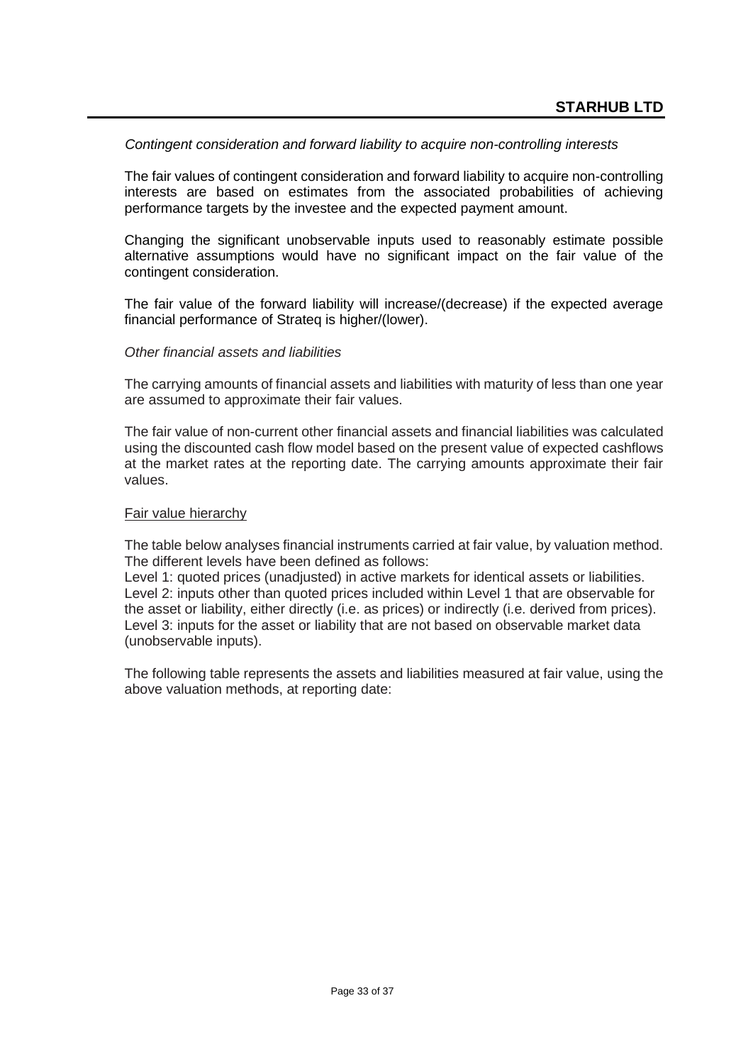### *Contingent consideration and forward liability to acquire non-controlling interests*

The fair values of contingent consideration and forward liability to acquire non-controlling interests are based on estimates from the associated probabilities of achieving performance targets by the investee and the expected payment amount.

Changing the significant unobservable inputs used to reasonably estimate possible alternative assumptions would have no significant impact on the fair value of the contingent consideration.

The fair value of the forward liability will increase/(decrease) if the expected average financial performance of Strateq is higher/(lower).

#### *Other financial assets and liabilities*

The carrying amounts of financial assets and liabilities with maturity of less than one year are assumed to approximate their fair values.

The fair value of non-current other financial assets and financial liabilities was calculated using the discounted cash flow model based on the present value of expected cashflows at the market rates at the reporting date. The carrying amounts approximate their fair values.

#### Fair value hierarchy

The table below analyses financial instruments carried at fair value, by valuation method. The different levels have been defined as follows:

Level 1: quoted prices (unadjusted) in active markets for identical assets or liabilities. Level 2: inputs other than quoted prices included within Level 1 that are observable for the asset or liability, either directly (i.e. as prices) or indirectly (i.e. derived from prices). Level 3: inputs for the asset or liability that are not based on observable market data (unobservable inputs).

The following table represents the assets and liabilities measured at fair value, using the above valuation methods, at reporting date: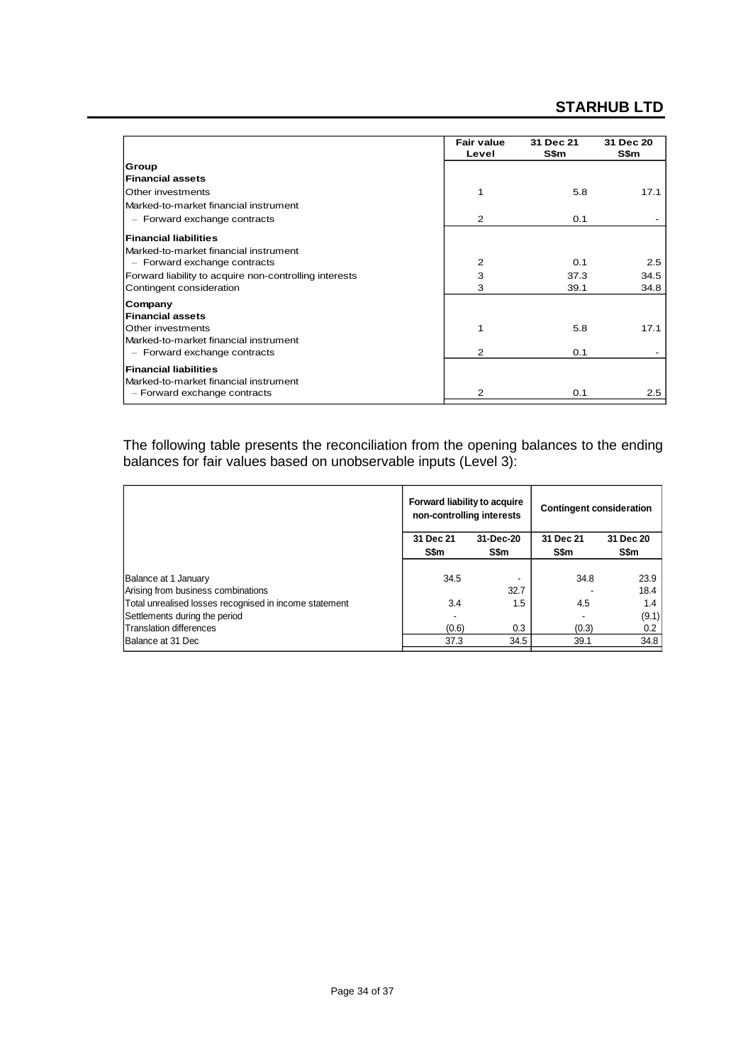# **STARHUB LTD**

|                                                        | <b>Fair value</b><br>Level | 31 Dec 21<br>S\$m | 31 Dec 20<br>S\$m |
|--------------------------------------------------------|----------------------------|-------------------|-------------------|
| Group                                                  |                            |                   |                   |
| <b>Financial assets</b>                                |                            |                   |                   |
| Other investments                                      | 1                          | 5.8               | 17.1              |
| Marked-to-market financial instrument                  |                            |                   |                   |
| $-$ Forward exchange contracts                         | 2                          | 0.1               |                   |
| <b>Financial liabilities</b>                           |                            |                   |                   |
| Marked-to-market financial instrument                  |                            |                   |                   |
| $-$ Forward exchange contracts                         | $\overline{2}$             | 0.1               | 2.5               |
| Forward liability to acquire non-controlling interests | 3                          | 37.3              | 34.5              |
| Contingent consideration                               | 3                          | 39.1              | 34.8              |
| Company                                                |                            |                   |                   |
| <b>Financial assets</b>                                |                            |                   |                   |
| Other investments                                      |                            | 5.8               | 17.1              |
| Marked-to-market financial instrument                  |                            |                   |                   |
| $-$ Forward exchange contracts                         | $\mathcal{P}$              | 0.1               |                   |
| <b>Financial liabilities</b>                           |                            |                   |                   |
| Marked-to-market financial instrument                  |                            |                   |                   |
| $-$ Forward exchange contracts                         | $\overline{2}$             | 0.1               | 2.5               |

The following table presents the reconciliation from the opening balances to the ending balances for fair values based on unobservable inputs (Level 3):

|                                                        | Forward liability to acquire<br>non-controlling interests |           | <b>Contingent consideration</b> |           |  |
|--------------------------------------------------------|-----------------------------------------------------------|-----------|---------------------------------|-----------|--|
|                                                        | 31 Dec 21                                                 | 31-Dec-20 | 31 Dec 21                       | 31 Dec 20 |  |
|                                                        | S\$m                                                      | S\$m      | S\$m                            | S\$m      |  |
|                                                        |                                                           |           |                                 |           |  |
| Balance at 1 January                                   | 34.5                                                      |           | 34.8                            | 23.9      |  |
| Arising from business combinations                     |                                                           | 32.7      |                                 | 18.4      |  |
| Total unrealised losses recognised in income statement | 3.4                                                       | 1.5       | 4.5                             | 1.4       |  |
| Settlements during the period                          |                                                           |           |                                 | (9.1)     |  |
| Translation differences                                | (0.6)                                                     | 0.3       | (0.3)                           | 0.2       |  |
| Balance at 31 Dec                                      | 37.3                                                      | 34.5      | 39.1                            | 34.8      |  |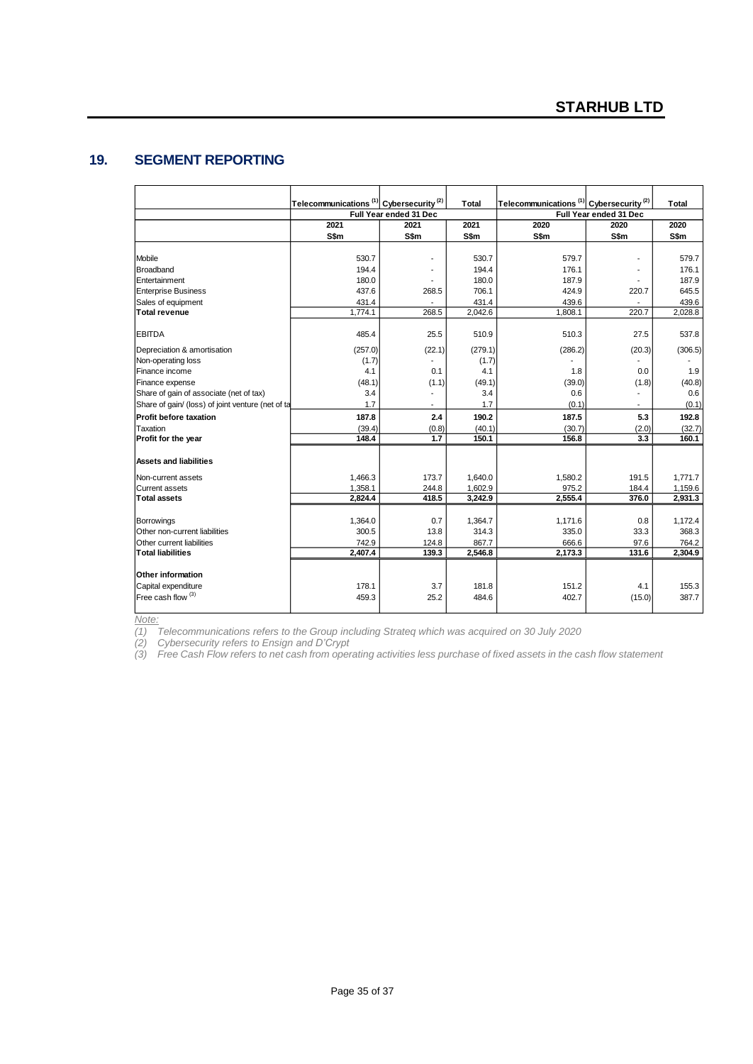### **19. SEGMENT REPORTING**

|                                                   | Telecommunications <sup>(1)</sup> Cybersecurity <sup>(2)</sup> |                          | Total                  | Telecommunications <sup>(1)</sup> Cybersecurity <sup>(2)</sup> |                          | <b>Total</b> |
|---------------------------------------------------|----------------------------------------------------------------|--------------------------|------------------------|----------------------------------------------------------------|--------------------------|--------------|
|                                                   | Full Year ended 31 Dec                                         |                          | Full Year ended 31 Dec |                                                                |                          |              |
|                                                   | 2021                                                           | 2021                     | 2021                   | 2020                                                           | 2020                     | 2020         |
|                                                   | S\$m                                                           | S\$m                     | S\$m                   | S\$m                                                           | S\$m                     | S\$m         |
|                                                   |                                                                |                          |                        |                                                                |                          |              |
| Mobile                                            | 530.7                                                          |                          | 530.7                  | 579.7                                                          | ٠                        | 579.7        |
| Broadband                                         | 194.4                                                          |                          | 194.4                  | 176.1                                                          |                          | 176.1        |
| Entertainment                                     | 180.0                                                          |                          | 180.0                  | 187.9                                                          |                          | 187.9        |
| <b>Enterprise Business</b>                        | 437.6                                                          | 268.5                    | 706.1                  | 424.9                                                          | 220.7                    | 645.5        |
| Sales of equipment                                | 431.4                                                          | $\overline{\phantom{a}}$ | 431.4                  | 439.6                                                          | ۰                        | 439.6        |
| Total revenue                                     | 1,774.1                                                        | 268.5                    | 2,042.6                | 1,808.1                                                        | 220.7                    | 2,028.8      |
| <b>EBITDA</b>                                     | 485.4                                                          | 25.5                     | 510.9                  | 510.3                                                          | 27.5                     | 537.8        |
| Depreciation & amortisation                       | (257.0)                                                        | (22.1)                   | (279.1)                | (286.2)                                                        | (20.3)                   | (306.5)      |
| Non-operating loss                                | (1.7)                                                          |                          | (1.7)                  |                                                                |                          |              |
| Finance income                                    | 4.1                                                            | 0.1                      | 4.1                    | 1.8                                                            | 0.0                      | 1.9          |
| Finance expense                                   | (48.1)                                                         | (1.1)                    | (49.1)                 | (39.0)                                                         | (1.8)                    | (40.8)       |
| Share of gain of associate (net of tax)           | 3.4                                                            | $\blacksquare$           | 3.4                    | 0.6                                                            | $\overline{\phantom{a}}$ | 0.6          |
| Share of gain/ (loss) of joint venture (net of ta | 1.7                                                            |                          | 1.7                    | (0.1)                                                          | $\overline{\phantom{a}}$ | (0.1)        |
| <b>Profit before taxation</b>                     | 187.8                                                          | 2.4                      | 190.2                  | 187.5                                                          | 5.3                      | 192.8        |
| Taxation                                          | (39.4)                                                         | (0.8)                    | (40.1)                 | (30.7)                                                         | (2.0)                    | (32.7)       |
| Profit for the year                               | 148.4                                                          | 1.7                      | 150.1                  | 156.8                                                          | 3.3                      | 160.1        |
| <b>Assets and liabilities</b>                     |                                                                |                          |                        |                                                                |                          |              |
| Non-current assets                                | 1,466.3                                                        | 173.7                    | 1,640.0                | 1,580.2                                                        | 191.5                    | 1,771.7      |
| Current assets                                    | 1,358.1                                                        | 244.8                    | 1,602.9                | 975.2                                                          | 184.4                    | 1,159.6      |
| <b>Total assets</b>                               | 2,824.4                                                        | 418.5                    | 3,242.9                | 2,555.4                                                        | 376.0                    | 2,931.3      |
|                                                   |                                                                |                          |                        |                                                                |                          |              |
| Borrowings                                        | 1,364.0                                                        | 0.7                      | 1,364.7                | 1,171.6                                                        | 0.8                      | 1,172.4      |
| Other non-current liabilities                     | 300.5                                                          | 13.8                     | 314.3                  | 335.0                                                          | 33.3                     | 368.3        |
| Other current liabilities                         | 742.9                                                          | 124.8                    | 867.7                  | 666.6                                                          | 97.6                     | 764.2        |
| <b>Total liabilities</b>                          | 2,407.4                                                        | 139.3                    | 2,546.8                | 2,173.3                                                        | 131.6                    | 2,304.9      |
| Other information                                 |                                                                |                          |                        |                                                                |                          |              |
| Capital expenditure                               | 178.1                                                          | 3.7                      | 181.8                  | 151.2                                                          | 4.1                      | 155.3        |
| $F$ ree cash flow $(3)$                           | 459.3                                                          | 25.2                     | 484.6                  | 402.7                                                          | (15.0)                   | 387.7        |
|                                                   |                                                                |                          |                        |                                                                |                          |              |

*Note:*

*(1) Telecommunications refers to the Group including Strateq which was acquired on 30 July 2020*

*(2) Cybersecurity refers to Ensign and D'Crypt*

*(3) Free Cash Flow refers to net cash from operating activities less purchase of fixed assets in the cash flow statement*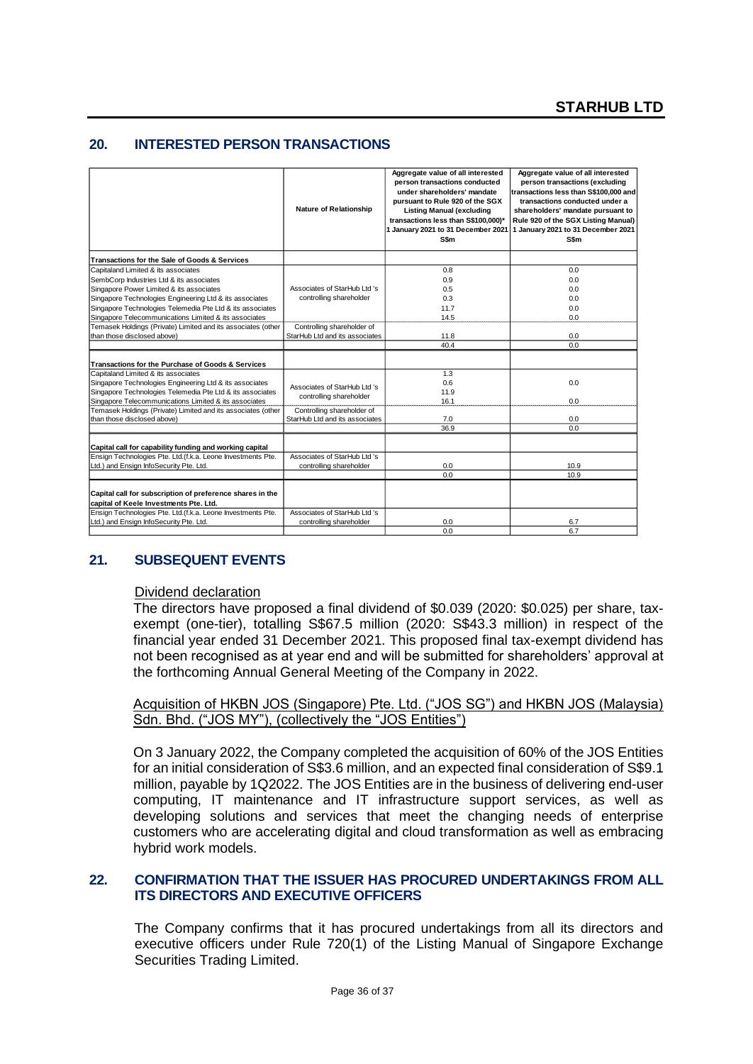### **20. INTERESTED PERSON TRANSACTIONS**

|                                                              |                                | Aggregate value of all interested                            | Aggregate value of all interested                                       |
|--------------------------------------------------------------|--------------------------------|--------------------------------------------------------------|-------------------------------------------------------------------------|
|                                                              |                                | person transactions conducted<br>under shareholders' mandate | person transactions (excluding<br>transactions less than S\$100,000 and |
|                                                              |                                | pursuant to Rule 920 of the SGX                              | transactions conducted under a                                          |
|                                                              | <b>Nature of Relationship</b>  | <b>Listing Manual (excluding</b>                             | shareholders' mandate pursuant to                                       |
|                                                              |                                | transactions less than S\$100,000)*                          | Rule 920 of the SGX Listing Manual)                                     |
|                                                              |                                |                                                              | 1 January 2021 to 31 December 2021 1 January 2021 to 31 December 2021   |
|                                                              |                                | S\$m                                                         | S\$m                                                                    |
| Transactions for the Sale of Goods & Services                |                                |                                                              |                                                                         |
| Capitaland Limited & its associates                          |                                | 0.8                                                          | 0.0                                                                     |
| SembCorp Industries Ltd & its associates                     |                                | 0.9                                                          | 0.0                                                                     |
| Singapore Power Limited & its associates                     | Associates of StarHub Ltd 's   | 0.5                                                          | 0.0                                                                     |
| Singapore Technologies Engineering Ltd & its associates      | controlling shareholder        | 0.3                                                          | 0.0                                                                     |
| Singapore Technologies Telemedia Pte Ltd & its associates    |                                | 11.7                                                         | 0.0                                                                     |
| Singapore Telecommunications Limited & its associates        |                                | 14.5                                                         | 0.0                                                                     |
| Temasek Holdings (Private) Limited and its associates (other | Controlling shareholder of     |                                                              |                                                                         |
| than those disclosed above)                                  | StarHub Ltd and its associates | 11.8                                                         | 0.0                                                                     |
|                                                              |                                | 40.4                                                         | 0.0                                                                     |
| Transactions for the Purchase of Goods & Services            |                                |                                                              |                                                                         |
| Capitaland Limited & its associates                          |                                | 1.3                                                          |                                                                         |
| Singapore Technologies Engineering Ltd & its associates      | Associates of StarHub Ltd 's   | 0.6                                                          | 0.0                                                                     |
| Singapore Technologies Telemedia Pte Ltd & its associates    | controlling shareholder        | 11.9                                                         |                                                                         |
| Singapore Telecommunications Limited & its associates        |                                | 16.1                                                         | 0.0                                                                     |
| Temasek Holdings (Private) Limited and its associates (other | Controlling shareholder of     |                                                              |                                                                         |
| than those disclosed above)                                  | StarHub Ltd and its associates | 7.0                                                          | 0.0                                                                     |
|                                                              |                                | 36.9                                                         | 0.0                                                                     |
| Capital call for capability funding and working capital      |                                |                                                              |                                                                         |
| Ensign Technologies Pte. Ltd.(f.k.a. Leone Investments Pte.  | Associates of StarHub Ltd 's   |                                                              |                                                                         |
| Ltd.) and Ensign InfoSecurity Pte. Ltd.                      | controlling shareholder        | 0.0                                                          | 10.9                                                                    |
|                                                              |                                | 0.0                                                          | 10.9                                                                    |
|                                                              |                                |                                                              |                                                                         |
| Capital call for subscription of preference shares in the    |                                |                                                              |                                                                         |
| capital of Keele Investments Pte. Ltd.                       |                                |                                                              |                                                                         |
| Ensign Technologies Pte. Ltd.(f.k.a. Leone Investments Pte.  | Associates of StarHub Ltd 's   |                                                              |                                                                         |
| Ltd.) and Ensign InfoSecurity Pte. Ltd.                      | controlling shareholder        | 0.0                                                          | 6.7                                                                     |
|                                                              |                                | 0.0                                                          | 6.7                                                                     |

### **21. SUBSEQUENT EVENTS**

#### Dividend declaration

The directors have proposed a final dividend of \$0.039 (2020: \$0.025) per share, taxexempt (one-tier), totalling S\$67.5 million (2020: S\$43.3 million) in respect of the financial year ended 31 December 2021. This proposed final tax-exempt dividend has not been recognised as at year end and will be submitted for shareholders' approval at the forthcoming Annual General Meeting of the Company in 2022.

Acquisition of HKBN JOS (Singapore) Pte. Ltd. ("JOS SG") and HKBN JOS (Malaysia) Sdn. Bhd. ("JOS MY"), (collectively the "JOS Entities")

On 3 January 2022, the Company completed the acquisition of 60% of the JOS Entities for an initial consideration of S\$3.6 million, and an expected final consideration of S\$9.1 million, payable by 1Q2022. The JOS Entities are in the business of delivering end-user computing, IT maintenance and IT infrastructure support services, as well as developing solutions and services that meet the changing needs of enterprise customers who are accelerating digital and cloud transformation as well as embracing hybrid work models.

### **22. CONFIRMATION THAT THE ISSUER HAS PROCURED UNDERTAKINGS FROM ALL ITS DIRECTORS AND EXECUTIVE OFFICERS**

The Company confirms that it has procured undertakings from all its directors and executive officers under Rule 720(1) of the Listing Manual of Singapore Exchange Securities Trading Limited.